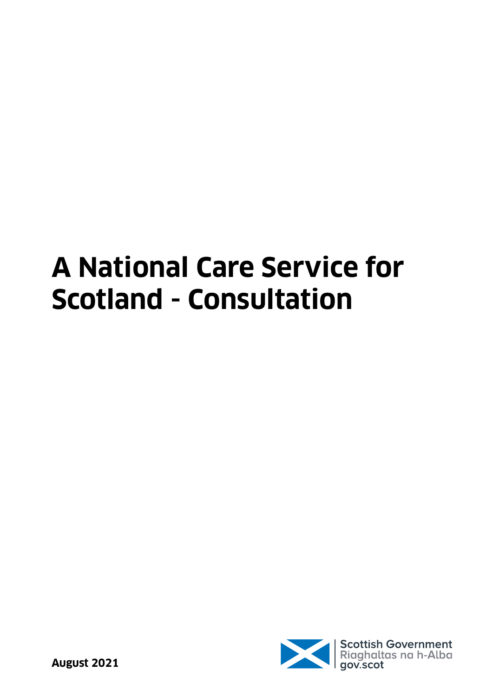# **A National Care Service for Scotland - Consultation**

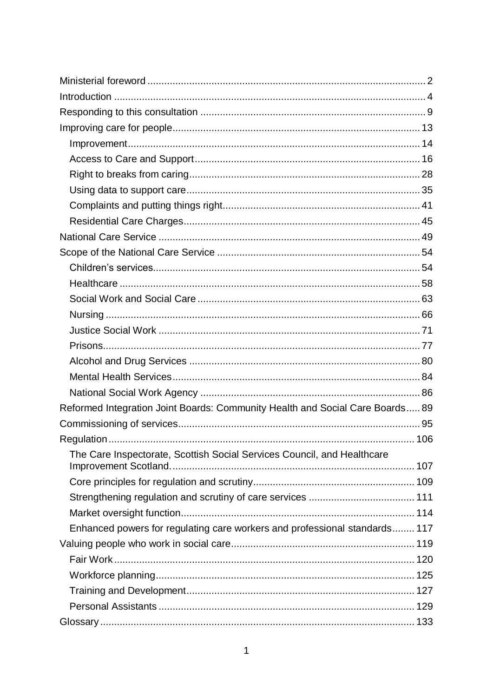| Reformed Integration Joint Boards: Community Health and Social Care Boards 89 |  |
|-------------------------------------------------------------------------------|--|
|                                                                               |  |
|                                                                               |  |
| The Care Inspectorate, Scottish Social Services Council, and Healthcare       |  |
|                                                                               |  |
|                                                                               |  |
|                                                                               |  |
|                                                                               |  |
| Enhanced powers for regulating care workers and professional standards 117    |  |
|                                                                               |  |
|                                                                               |  |
|                                                                               |  |
|                                                                               |  |
|                                                                               |  |
|                                                                               |  |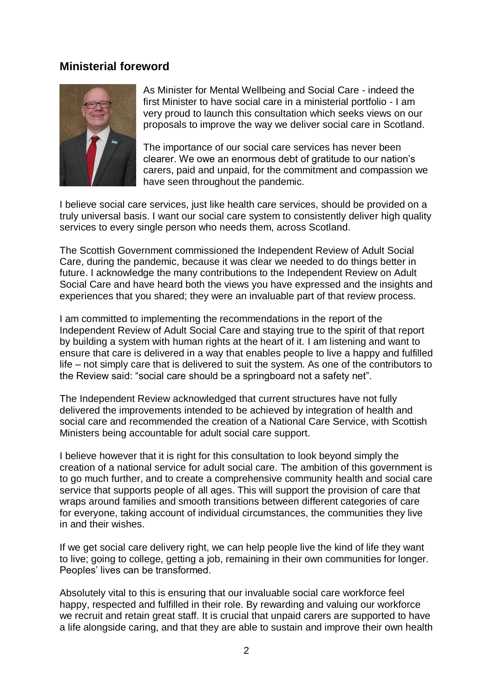## <span id="page-2-0"></span>**Ministerial foreword**



As Minister for Mental Wellbeing and Social Care - indeed the first Minister to have social care in a ministerial portfolio - I am very proud to launch this consultation which seeks views on our proposals to improve the way we deliver social care in Scotland.

The importance of our social care services has never been clearer. We owe an enormous debt of gratitude to our nation's carers, paid and unpaid, for the commitment and compassion we have seen throughout the pandemic.

I believe social care services, just like health care services, should be provided on a truly universal basis. I want our social care system to consistently deliver high quality services to every single person who needs them, across Scotland.

The Scottish Government commissioned the Independent Review of Adult Social Care, during the pandemic, because it was clear we needed to do things better in future. I acknowledge the many contributions to the Independent Review on Adult Social Care and have heard both the views you have expressed and the insights and experiences that you shared; they were an invaluable part of that review process.

I am committed to implementing the recommendations in the report of the Independent Review of Adult Social Care and staying true to the spirit of that report by building a system with human rights at the heart of it. I am listening and want to ensure that care is delivered in a way that enables people to live a happy and fulfilled life – not simply care that is delivered to suit the system. As one of the contributors to the Review said: "social care should be a springboard not a safety net".

The Independent Review acknowledged that current structures have not fully delivered the improvements intended to be achieved by integration of health and social care and recommended the creation of a National Care Service, with Scottish Ministers being accountable for adult social care support.

I believe however that it is right for this consultation to look beyond simply the creation of a national service for adult social care. The ambition of this government is to go much further, and to create a comprehensive community health and social care service that supports people of all ages. This will support the provision of care that wraps around families and smooth transitions between different categories of care for everyone, taking account of individual circumstances, the communities they live in and their wishes.

If we get social care delivery right, we can help people live the kind of life they want to live; going to college, getting a job, remaining in their own communities for longer. Peoples' lives can be transformed.

Absolutely vital to this is ensuring that our invaluable social care workforce feel happy, respected and fulfilled in their role. By rewarding and valuing our workforce we recruit and retain great staff. It is crucial that unpaid carers are supported to have a life alongside caring, and that they are able to sustain and improve their own health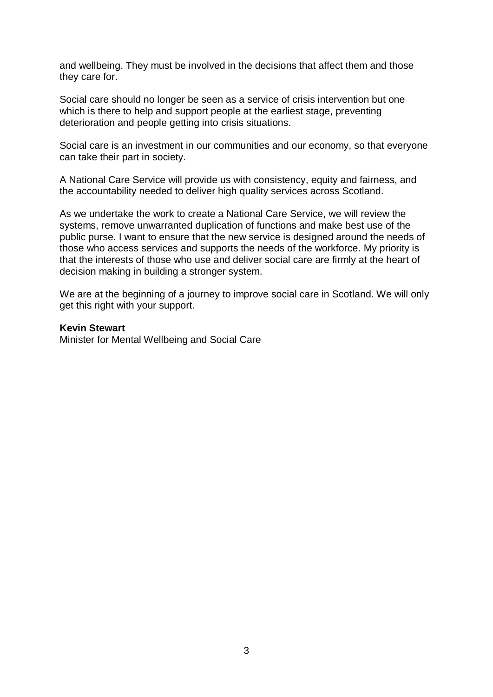and wellbeing. They must be involved in the decisions that affect them and those they care for.

Social care should no longer be seen as a service of crisis intervention but one which is there to help and support people at the earliest stage, preventing deterioration and people getting into crisis situations.

Social care is an investment in our communities and our economy, so that everyone can take their part in society.

A National Care Service will provide us with consistency, equity and fairness, and the accountability needed to deliver high quality services across Scotland.

As we undertake the work to create a National Care Service, we will review the systems, remove unwarranted duplication of functions and make best use of the public purse. I want to ensure that the new service is designed around the needs of those who access services and supports the needs of the workforce. My priority is that the interests of those who use and deliver social care are firmly at the heart of decision making in building a stronger system.

We are at the beginning of a journey to improve social care in Scotland. We will only get this right with your support.

#### **Kevin Stewart**

Minister for Mental Wellbeing and Social Care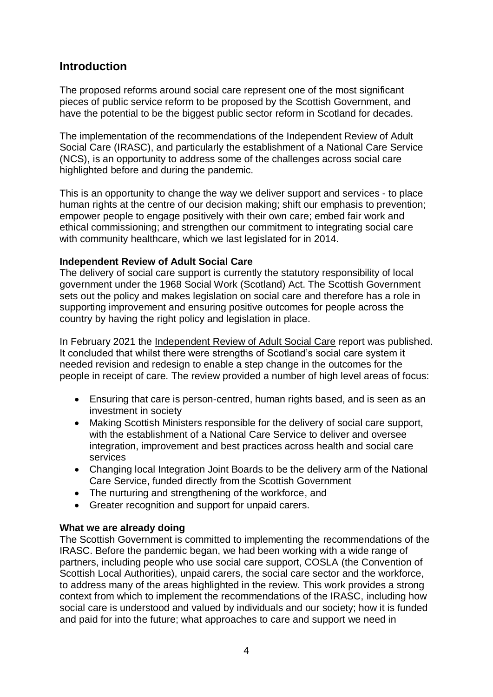# <span id="page-4-0"></span>**Introduction**

The proposed reforms around social care represent one of the most significant pieces of public service reform to be proposed by the Scottish Government, and have the potential to be the biggest public sector reform in Scotland for decades.

The implementation of the recommendations of the Independent Review of Adult Social Care (IRASC), and particularly the establishment of a National Care Service (NCS), is an opportunity to address some of the challenges across social care highlighted before and during the pandemic.

This is an opportunity to change the way we deliver support and services - to place human rights at the centre of our decision making; shift our emphasis to prevention; empower people to engage positively with their own care; embed fair work and ethical commissioning; and strengthen our commitment to integrating social care with community healthcare, which we last legislated for in 2014.

## **Independent Review of Adult Social Care**

The delivery of social care support is currently the statutory responsibility of local government under the 1968 Social Work (Scotland) Act. The Scottish Government sets out the policy and makes legislation on social care and therefore has a role in supporting improvement and ensuring positive outcomes for people across the country by having the right policy and legislation in place.

In February 2021 the [Independent Review of Adult Social Care](https://www.gov.scot/groups/independent-review-of-adult-social-care/) report was published. It concluded that whilst there were strengths of Scotland's social care system it needed revision and redesign to enable a step change in the outcomes for the people in receipt of care. The review provided a number of high level areas of focus:

- Ensuring that care is person-centred, human rights based, and is seen as an investment in society
- Making Scottish Ministers responsible for the delivery of social care support, with the establishment of a National Care Service to deliver and oversee integration, improvement and best practices across health and social care services
- Changing local Integration Joint Boards to be the delivery arm of the National Care Service, funded directly from the Scottish Government
- The nurturing and strengthening of the workforce, and
- Greater recognition and support for unpaid carers.

## **What we are already doing**

The Scottish Government is committed to implementing the recommendations of the IRASC. Before the pandemic began, we had been working with a wide range of partners, including people who use social care support, COSLA (the Convention of Scottish Local Authorities), unpaid carers, the social care sector and the workforce, to address many of the areas highlighted in the review. This work provides a strong context from which to implement the recommendations of the IRASC, including how social care is understood and valued by individuals and our society; how it is funded and paid for into the future; what approaches to care and support we need in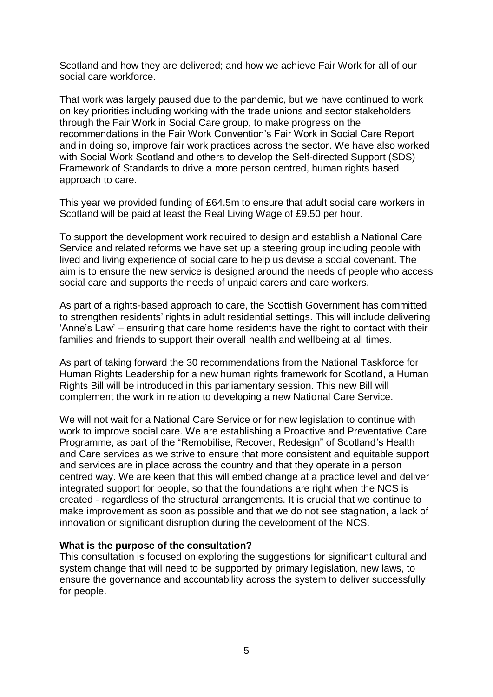Scotland and how they are delivered; and how we achieve Fair Work for all of our social care workforce.

That work was largely paused due to the pandemic, but we have continued to work on key priorities including working with the trade unions and sector stakeholders through the Fair Work in Social Care group, to make progress on the recommendations in the Fair Work Convention's Fair Work in Social Care Report and in doing so, improve fair work practices across the sector. We have also worked with Social Work Scotland and others to develop the Self-directed Support (SDS) Framework of Standards to drive a more person centred, human rights based approach to care.

This year we provided funding of £64.5m to ensure that adult social care workers in Scotland will be paid at least the Real Living Wage of £9.50 per hour.

To support the development work required to design and establish a National Care Service and related reforms we have set up a steering group including people with lived and living experience of social care to help us devise a social covenant. The aim is to ensure the new service is designed around the needs of people who access social care and supports the needs of unpaid carers and care workers.

As part of a rights-based approach to care, the Scottish Government has committed to strengthen residents' rights in adult residential settings. This will include delivering 'Anne's Law' – ensuring that care home residents have the right to contact with their families and friends to support their overall health and wellbeing at all times.

As part of taking forward the 30 recommendations from the National Taskforce for Human Rights Leadership for a new human rights framework for Scotland, a Human Rights Bill will be introduced in this parliamentary session. This new Bill will complement the work in relation to developing a new National Care Service.

We will not wait for a National Care Service or for new legislation to continue with work to improve social care. We are establishing a Proactive and Preventative Care Programme, as part of the "Remobilise, Recover, Redesign" of Scotland's Health and Care services as we strive to ensure that more consistent and equitable support and services are in place across the country and that they operate in a person centred way. We are keen that this will embed change at a practice level and deliver integrated support for people, so that the foundations are right when the NCS is created - regardless of the structural arrangements. It is crucial that we continue to make improvement as soon as possible and that we do not see stagnation, a lack of innovation or significant disruption during the development of the NCS.

#### **What is the purpose of the consultation?**

This consultation is focused on exploring the suggestions for significant cultural and system change that will need to be supported by primary legislation, new laws, to ensure the governance and accountability across the system to deliver successfully for people.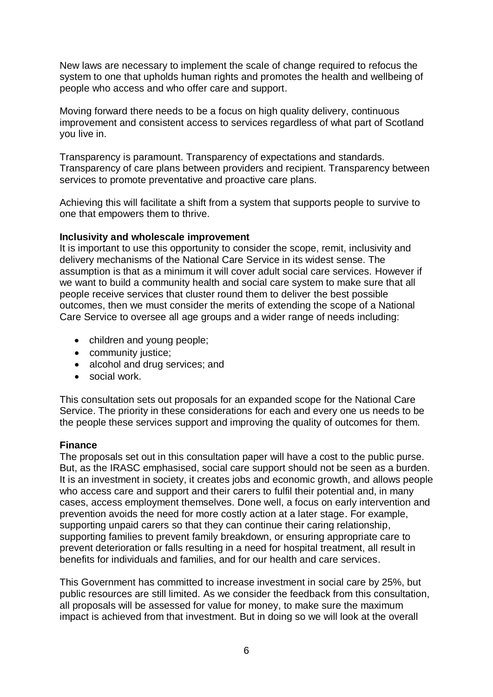New laws are necessary to implement the scale of change required to refocus the system to one that upholds human rights and promotes the health and wellbeing of people who access and who offer care and support.

Moving forward there needs to be a focus on high quality delivery, continuous improvement and consistent access to services regardless of what part of Scotland you live in.

Transparency is paramount. Transparency of expectations and standards. Transparency of care plans between providers and recipient. Transparency between services to promote preventative and proactive care plans.

Achieving this will facilitate a shift from a system that supports people to survive to one that empowers them to thrive.

#### **Inclusivity and wholescale improvement**

It is important to use this opportunity to consider the scope, remit, inclusivity and delivery mechanisms of the National Care Service in its widest sense. The assumption is that as a minimum it will cover adult social care services. However if we want to build a community health and social care system to make sure that all people receive services that cluster round them to deliver the best possible outcomes, then we must consider the merits of extending the scope of a National Care Service to oversee all age groups and a wider range of needs including:

- children and young people;
- community justice;
- alcohol and drug services; and
- social work.

This consultation sets out proposals for an expanded scope for the National Care Service. The priority in these considerations for each and every one us needs to be the people these services support and improving the quality of outcomes for them.

## **Finance**

The proposals set out in this consultation paper will have a cost to the public purse. But, as the IRASC emphasised, social care support should not be seen as a burden. It is an investment in society, it creates jobs and economic growth, and allows people who access care and support and their carers to fulfil their potential and, in many cases, access employment themselves. Done well, a focus on early intervention and prevention avoids the need for more costly action at a later stage. For example, supporting unpaid carers so that they can continue their caring relationship, supporting families to prevent family breakdown, or ensuring appropriate care to prevent deterioration or falls resulting in a need for hospital treatment, all result in benefits for individuals and families, and for our health and care services.

This Government has committed to increase investment in social care by 25%, but public resources are still limited. As we consider the feedback from this consultation, all proposals will be assessed for value for money, to make sure the maximum impact is achieved from that investment. But in doing so we will look at the overall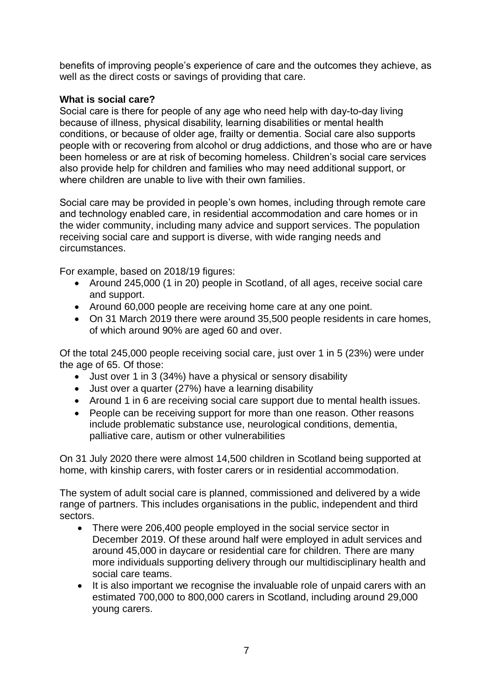benefits of improving people's experience of care and the outcomes they achieve, as well as the direct costs or savings of providing that care.

## **What is social care?**

Social care is there for people of any age who need help with day-to-day living because of illness, physical disability, learning disabilities or mental health conditions, or because of older age, frailty or dementia. Social care also supports people with or recovering from alcohol or drug addictions, and those who are or have been homeless or are at risk of becoming homeless. Children's social care services also provide help for children and families who may need additional support, or where children are unable to live with their own families

Social care may be provided in people's own homes, including through remote care and technology enabled care, in residential accommodation and care homes or in the wider community, including many advice and support services. The population receiving social care and support is diverse, with wide ranging needs and circumstances.

For example, based on 2018/19 figures:

- Around 245,000 (1 in 20) people in Scotland, of all ages, receive social care and support.
- Around 60,000 people are receiving home care at any one point.
- On 31 March 2019 there were around 35,500 people residents in care homes, of which around 90% are aged 60 and over.

Of the total 245,000 people receiving social care, just over 1 in 5 (23%) were under the age of 65. Of those:

- Just over 1 in 3 (34%) have a physical or sensory disability
- Just over a quarter (27%) have a learning disability
- Around 1 in 6 are receiving social care support due to mental health issues.
- People can be receiving support for more than one reason. Other reasons include problematic substance use, neurological conditions, dementia, palliative care, autism or other vulnerabilities

On 31 July 2020 there were almost 14,500 children in Scotland being supported at home, with kinship carers, with foster carers or in residential accommodation.

The system of adult social care is planned, commissioned and delivered by a wide range of partners. This includes organisations in the public, independent and third sectors.

- There were 206,400 people employed in the social service sector in December 2019. Of these around half were employed in adult services and around 45,000 in daycare or residential care for children. There are many more individuals supporting delivery through our multidisciplinary health and social care teams.
- It is also important we recognise the invaluable role of unpaid carers with an estimated 700,000 to 800,000 carers in Scotland, including around 29,000 young carers.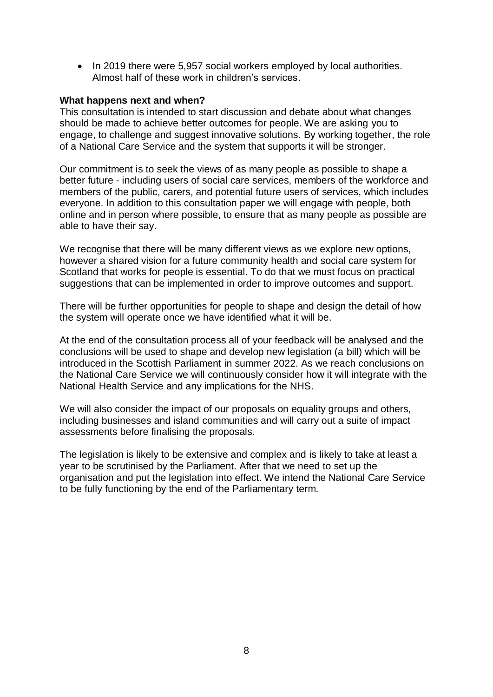• In 2019 there were 5,957 social workers employed by local authorities. Almost half of these work in children's services.

#### **What happens next and when?**

This consultation is intended to start discussion and debate about what changes should be made to achieve better outcomes for people. We are asking you to engage, to challenge and suggest innovative solutions. By working together, the role of a National Care Service and the system that supports it will be stronger.

Our commitment is to seek the views of as many people as possible to shape a better future - including users of social care services, members of the workforce and members of the public, carers, and potential future users of services, which includes everyone. In addition to this consultation paper we will engage with people, both online and in person where possible, to ensure that as many people as possible are able to have their say.

We recognise that there will be many different views as we explore new options, however a shared vision for a future community health and social care system for Scotland that works for people is essential. To do that we must focus on practical suggestions that can be implemented in order to improve outcomes and support.

There will be further opportunities for people to shape and design the detail of how the system will operate once we have identified what it will be.

At the end of the consultation process all of your feedback will be analysed and the conclusions will be used to shape and develop new legislation (a bill) which will be introduced in the Scottish Parliament in summer 2022. As we reach conclusions on the National Care Service we will continuously consider how it will integrate with the National Health Service and any implications for the NHS.

We will also consider the impact of our proposals on equality groups and others, including businesses and island communities and will carry out a suite of impact assessments before finalising the proposals.

The legislation is likely to be extensive and complex and is likely to take at least a year to be scrutinised by the Parliament. After that we need to set up the organisation and put the legislation into effect. We intend the National Care Service to be fully functioning by the end of the Parliamentary term.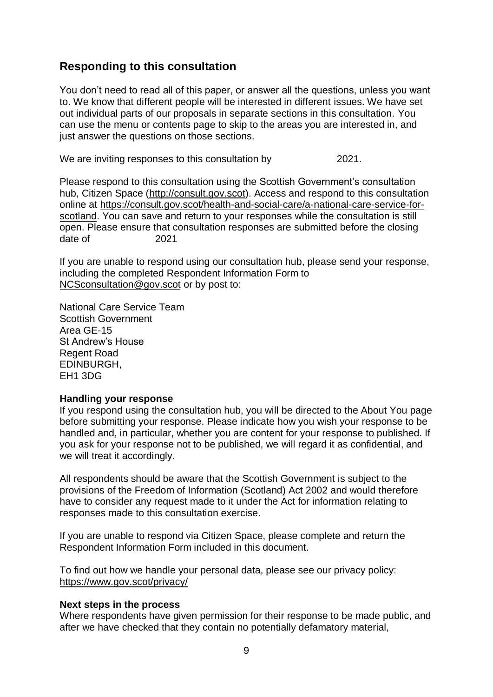# <span id="page-9-0"></span>**Responding to this consultation**

You don't need to read all of this paper, or answer all the questions, unless you want to. We know that different people will be interested in different issues. We have set out individual parts of our proposals in separate sections in this consultation. You can use the menu or contents page to skip to the areas you are interested in, and just answer the questions on those sections.

We are inviting responses to this consultation by 02 November 2021.

Please respond to this consultation using the Scottish Government's consultation hub, Citizen Space [\(http://consult.gov.scot\)](http://consult.gov.scot/). Access and respond to this consultation online at [https://consult.gov.scot/health-and-social-care/a-national-care-service-for](https://consult.gov.scot/health-and-social-care/a-national-care-service-for-scotland)[scotland.](https://consult.gov.scot/health-and-social-care/a-national-care-service-for-scotland) You can save and return to your responses while the consultation is still open. Please ensure that consultation responses are submitted before the closing date of 02 November 2021

If you are unable to respond using our consultation hub, please send your response, including the completed Respondent Information Form to [NCSconsultation@gov.scot](mailto:NCSconsultation@gov.scot) or by post to:

National Care Service Team Scottish Government Area GE-15 St Andrew's House Regent Road EDINBURGH, EH1 3DG

#### **Handling your response**

If you respond using the consultation hub, you will be directed to the About You page before submitting your response. Please indicate how you wish your response to be handled and, in particular, whether you are content for your response to published. If you ask for your response not to be published, we will regard it as confidential, and we will treat it accordingly.

All respondents should be aware that the Scottish Government is subject to the provisions of the Freedom of Information (Scotland) Act 2002 and would therefore have to consider any request made to it under the Act for information relating to responses made to this consultation exercise.

If you are unable to respond via Citizen Space, please complete and return the Respondent Information Form included in this document.

To find out how we handle your personal data, please see our privacy policy: <https://www.gov.scot/privacy/>

#### **Next steps in the process**

Where respondents have given permission for their response to be made public, and after we have checked that they contain no potentially defamatory material,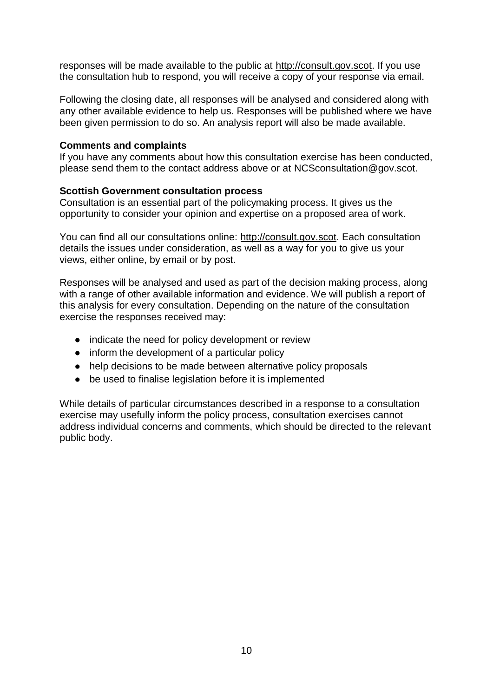responses will be made available to the public at [http://consult.gov.scot.](http://consult.gov.scot/) If you use the consultation hub to respond, you will receive a copy of your response via email.

Following the closing date, all responses will be analysed and considered along with any other available evidence to help us. Responses will be published where we have been given permission to do so. An analysis report will also be made available.

#### **Comments and complaints**

If you have any comments about how this consultation exercise has been conducted, please send them to the contact address above or at NCSconsultation@gov.scot.

#### **Scottish Government consultation process**

Consultation is an essential part of the policymaking process. It gives us the opportunity to consider your opinion and expertise on a proposed area of work.

You can find all our consultations online: [http://consult.gov.scot.](http://consult.gov.scot/) Each consultation details the issues under consideration, as well as a way for you to give us your views, either online, by email or by post.

Responses will be analysed and used as part of the decision making process, along with a range of other available information and evidence. We will publish a report of this analysis for every consultation. Depending on the nature of the consultation exercise the responses received may:

- indicate the need for policy development or review
- inform the development of a particular policy
- help decisions to be made between alternative policy proposals
- be used to finalise legislation before it is implemented

While details of particular circumstances described in a response to a consultation exercise may usefully inform the policy process, consultation exercises cannot address individual concerns and comments, which should be directed to the relevant public body.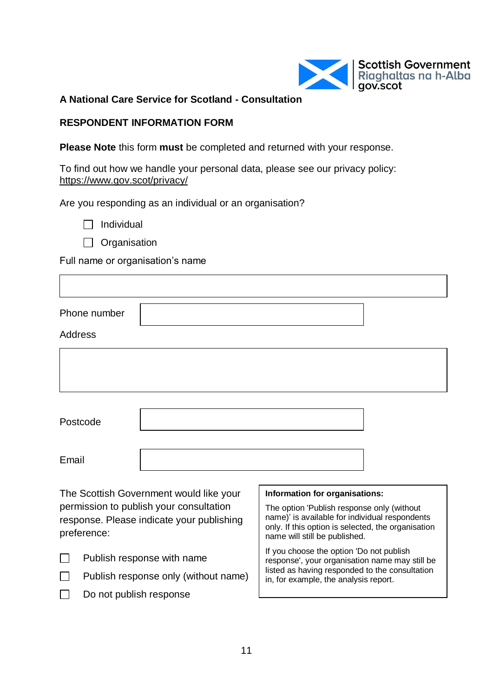

**A National Care Service for Scotland - Consultation**

## **RESPONDENT INFORMATION FORM**

**Please Note** this form **must** be completed and returned with your response.

To find out how we handle your personal data, please see our privacy policy: <https://www.gov.scot/privacy/>

Are you responding as an individual or an organisation?

 $\Box$  Individual

Organisation

Full name or organisation's name

| Phone number                                                                                        |                                                                                                                                                                                     |
|-----------------------------------------------------------------------------------------------------|-------------------------------------------------------------------------------------------------------------------------------------------------------------------------------------|
| Address                                                                                             |                                                                                                                                                                                     |
|                                                                                                     |                                                                                                                                                                                     |
|                                                                                                     |                                                                                                                                                                                     |
| Postcode                                                                                            |                                                                                                                                                                                     |
| Email                                                                                               |                                                                                                                                                                                     |
| The Scottish Government would like your                                                             | Information for organisations:                                                                                                                                                      |
| permission to publish your consultation<br>response. Please indicate your publishing<br>preference: | The option 'Publish response only (without<br>name)' is available for individual respondents<br>only. If this option is selected, the organisation<br>name will still be published. |
| Publish response with name<br>─                                                                     | If you choose the option 'Do not publish<br>response', your organisation name may still be<br>listed as having responded to the consultation                                        |

 $\Box$ Publish response only (without name)

 $\Box$ Do not publish response in, for example, the analysis report.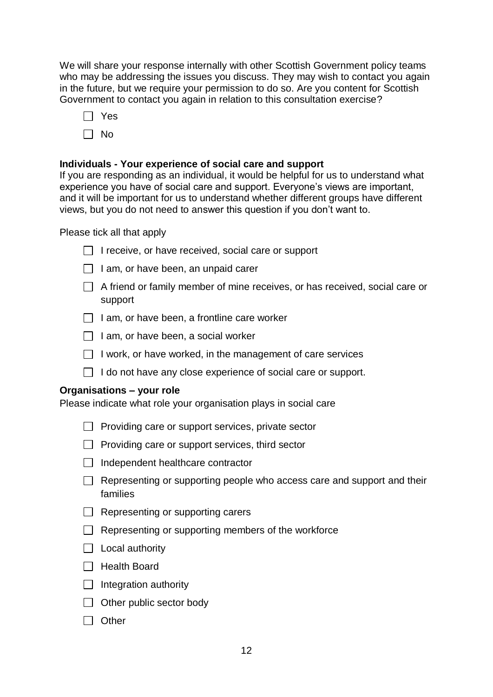We will share your response internally with other Scottish Government policy teams who may be addressing the issues you discuss. They may wish to contact you again in the future, but we require your permission to do so. Are you content for Scottish Government to contact you again in relation to this consultation exercise?

- Yes
- $\Box$  No

## **Individuals - Your experience of social care and support**

If you are responding as an individual, it would be helpful for us to understand what experience you have of social care and support. Everyone's views are important, and it will be important for us to understand whether different groups have different views, but you do not need to answer this question if you don't want to.

Please tick all that apply

- $\Box$  I receive, or have received, social care or support
- $\Box$  I am, or have been, an unpaid carer
- $\Box$  A friend or family member of mine receives, or has received, social care or support
- $\Box$  I am, or have been, a frontline care worker
- $\Box$  I am, or have been, a social worker
- $\Box$  I work, or have worked, in the management of care services
- $\Box$  I do not have any close experience of social care or support.

## **Organisations – your role**

Please indicate what role your organisation plays in social care

- $\Box$  Providing care or support services, private sector
- $\Box$  Providing care or support services, third sector
- $\Box$  Independent healthcare contractor
- $\Box$  Representing or supporting people who access care and support and their families
- $\Box$  Representing or supporting carers
- $\Box$  Representing or supporting members of the workforce
- $\Box$  Local authority
- $\Box$  Health Board
- $\Box$  Integration authority
- $\Box$  Other public sector body
- $\Box$  Other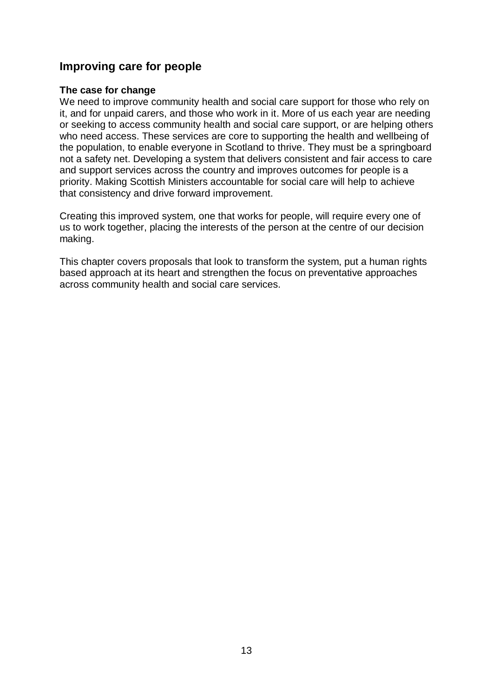# <span id="page-13-0"></span>**Improving care for people**

#### **The case for change**

We need to improve community health and social care support for those who rely on it, and for unpaid carers, and those who work in it. More of us each year are needing or seeking to access community health and social care support, or are helping others who need access. These services are core to supporting the health and wellbeing of the population, to enable everyone in Scotland to thrive. They must be a springboard not a safety net. Developing a system that delivers consistent and fair access to care and support services across the country and improves outcomes for people is a priority. Making Scottish Ministers accountable for social care will help to achieve that consistency and drive forward improvement.

Creating this improved system, one that works for people, will require every one of us to work together, placing the interests of the person at the centre of our decision making.

This chapter covers proposals that look to transform the system, put a human rights based approach at its heart and strengthen the focus on preventative approaches across community health and social care services.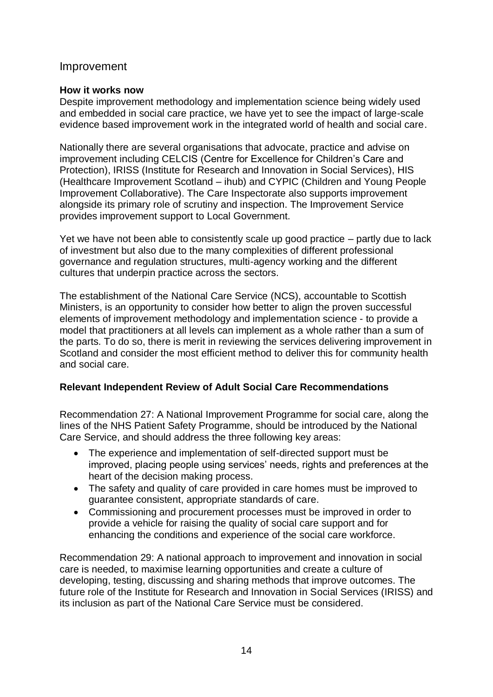## <span id="page-14-0"></span>Improvement

## **How it works now**

Despite improvement methodology and implementation science being widely used and embedded in social care practice, we have yet to see the impact of large-scale evidence based improvement work in the integrated world of health and social care.

Nationally there are several organisations that advocate, practice and advise on improvement including CELCIS (Centre for Excellence for Children's Care and Protection), IRISS (Institute for Research and Innovation in Social Services), HIS (Healthcare Improvement Scotland – ihub) and CYPIC (Children and Young People Improvement Collaborative). The Care Inspectorate also supports improvement alongside its primary role of scrutiny and inspection. The Improvement Service provides improvement support to Local Government.

Yet we have not been able to consistently scale up good practice – partly due to lack of investment but also due to the many complexities of different professional governance and regulation structures, multi-agency working and the different cultures that underpin practice across the sectors.

The establishment of the National Care Service (NCS), accountable to Scottish Ministers, is an opportunity to consider how better to align the proven successful elements of improvement methodology and implementation science - to provide a model that practitioners at all levels can implement as a whole rather than a sum of the parts. To do so, there is merit in reviewing the services delivering improvement in Scotland and consider the most efficient method to deliver this for community health and social care.

## **Relevant Independent Review of Adult Social Care Recommendations**

Recommendation 27: A National Improvement Programme for social care, along the lines of the NHS Patient Safety Programme, should be introduced by the National Care Service, and should address the three following key areas:

- The experience and implementation of self-directed support must be improved, placing people using services' needs, rights and preferences at the heart of the decision making process.
- The safety and quality of care provided in care homes must be improved to guarantee consistent, appropriate standards of care.
- Commissioning and procurement processes must be improved in order to provide a vehicle for raising the quality of social care support and for enhancing the conditions and experience of the social care workforce.

Recommendation 29: A national approach to improvement and innovation in social care is needed, to maximise learning opportunities and create a culture of developing, testing, discussing and sharing methods that improve outcomes. The future role of the Institute for Research and Innovation in Social Services (IRISS) and its inclusion as part of the National Care Service must be considered.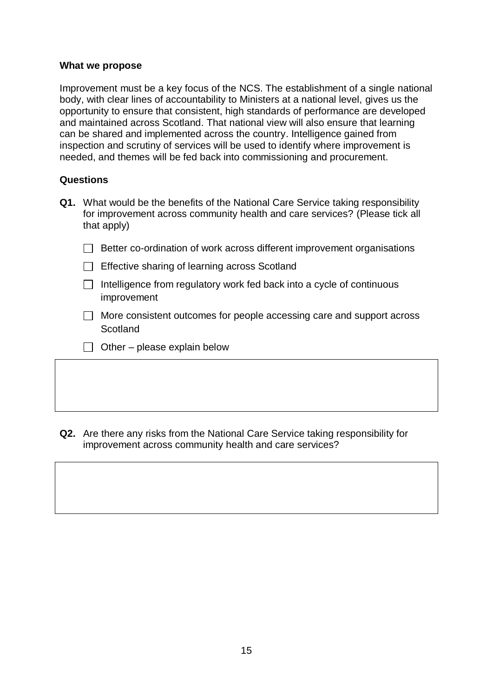#### **What we propose**

Improvement must be a key focus of the NCS. The establishment of a single national body, with clear lines of accountability to Ministers at a national level, gives us the opportunity to ensure that consistent, high standards of performance are developed and maintained across Scotland. That national view will also ensure that learning can be shared and implemented across the country. Intelligence gained from inspection and scrutiny of services will be used to identify where improvement is needed, and themes will be fed back into commissioning and procurement.

#### **Questions**

- **Q1.** What would be the benefits of the National Care Service taking responsibility for improvement across community health and care services? (Please tick all that apply)
	- $\Box$  Better co-ordination of work across different improvement organisations
	- $\Box$  Effective sharing of learning across Scotland
	- $\Box$  Intelligence from regulatory work fed back into a cycle of continuous improvement
	- $\Box$  More consistent outcomes for people accessing care and support across **Scotland**
	- $\Box$  Other please explain below

**Q2.** Are there any risks from the National Care Service taking responsibility for improvement across community health and care services?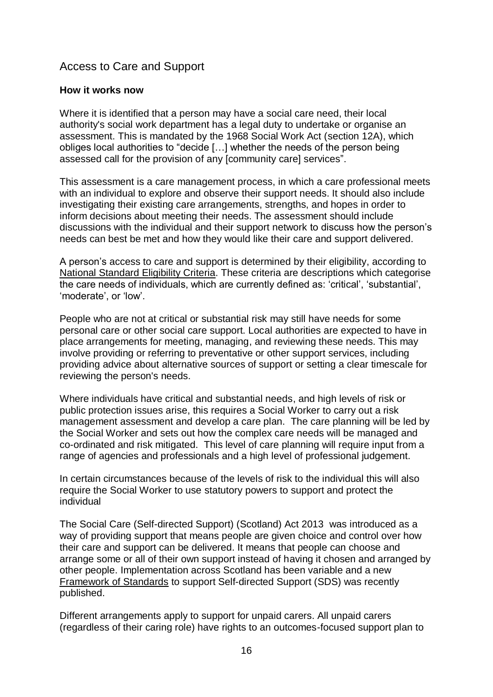# <span id="page-16-0"></span>Access to Care and Support

## **How it works now**

Where it is identified that a person may have a social care need, their local authority's social work department has a legal duty to undertake or organise an assessment. This is mandated by the 1968 Social Work Act (section 12A), which obliges local authorities to "decide […] whether the needs of the person being assessed call for the provision of any [community care] services".

This assessment is a care management process, in which a care professional meets with an individual to explore and observe their support needs. It should also include investigating their existing care arrangements, strengths, and hopes in order to inform decisions about meeting their needs. The assessment should include discussions with the individual and their support network to discuss how the person's needs can best be met and how they would like their care and support delivered.

A person's access to care and support is determined by their eligibility, according to [National Standard Eligibility Criteria.](https://www.gov.scot/publications/self-directed-support-practitioners-guidance/pages/6/) These criteria are descriptions which categorise the care needs of individuals, which are currently defined as: 'critical', 'substantial', 'moderate', or 'low'.

People who are not at critical or substantial risk may still have needs for some personal care or other social care support. Local authorities are expected to have in place arrangements for meeting, managing, and reviewing these needs. This may involve providing or referring to preventative or other support services, including providing advice about alternative sources of support or setting a clear timescale for reviewing the person's needs.

Where individuals have critical and substantial needs, and high levels of risk or public protection issues arise, this requires a Social Worker to carry out a risk management assessment and develop a care plan. The care planning will be led by the Social Worker and sets out how the complex care needs will be managed and co-ordinated and risk mitigated. This level of care planning will require input from a range of agencies and professionals and a high level of professional judgement.

In certain circumstances because of the levels of risk to the individual this will also require the Social Worker to use statutory powers to support and protect the individual

The Social Care (Self-directed Support) (Scotland) Act 2013 was introduced as a way of providing support that means people are given choice and control over how their care and support can be delivered. It means that people can choose and arrange some or all of their own support instead of having it chosen and arranged by other people. Implementation across Scotland has been variable and a new [Framework of](https://www.gov.scot/publications/self-directed-support-framework-standards-including-practice-statements-core-components/) Standards to support Self-directed Support (SDS) was recently published.

Different arrangements apply to support for unpaid carers. All unpaid carers (regardless of their caring role) have rights to an outcomes-focused support plan to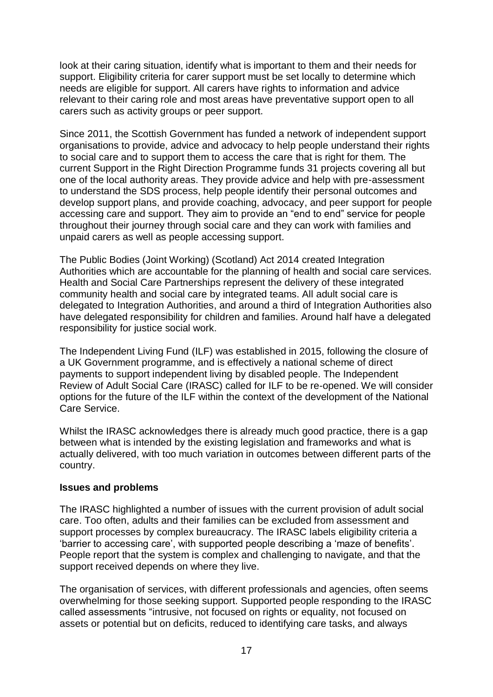look at their caring situation, identify what is important to them and their needs for support. Eligibility criteria for carer support must be set locally to determine which needs are eligible for support. All carers have rights to information and advice relevant to their caring role and most areas have preventative support open to all carers such as activity groups or peer support.

Since 2011, the Scottish Government has funded a network of independent support organisations to provide, advice and advocacy to help people understand their rights to social care and to support them to access the care that is right for them. The current Support in the Right Direction Programme funds 31 projects covering all but one of the local authority areas. They provide advice and help with pre-assessment to understand the SDS process, help people identify their personal outcomes and develop support plans, and provide coaching, advocacy, and peer support for people accessing care and support. They aim to provide an "end to end" service for people throughout their journey through social care and they can work with families and unpaid carers as well as people accessing support.

The Public Bodies (Joint Working) (Scotland) Act 2014 created Integration Authorities which are accountable for the planning of health and social care services. Health and Social Care Partnerships represent the delivery of these integrated community health and social care by integrated teams. All adult social care is delegated to Integration Authorities, and around a third of Integration Authorities also have delegated responsibility for children and families. Around half have a delegated responsibility for justice social work.

The Independent Living Fund (ILF) was established in 2015, following the closure of a UK Government programme, and is effectively a national scheme of direct payments to support independent living by disabled people. The Independent Review of Adult Social Care (IRASC) called for ILF to be re-opened. We will consider options for the future of the ILF within the context of the development of the National Care Service.

Whilst the IRASC acknowledges there is already much good practice, there is a gap between what is intended by the existing legislation and frameworks and what is actually delivered, with too much variation in outcomes between different parts of the country.

## **Issues and problems**

The IRASC highlighted a number of issues with the current provision of adult social care. Too often, adults and their families can be excluded from assessment and support processes by complex bureaucracy. The IRASC labels eligibility criteria a 'barrier to accessing care', with supported people describing a 'maze of benefits'. People report that the system is complex and challenging to navigate, and that the support received depends on where they live.

The organisation of services, with different professionals and agencies, often seems overwhelming for those seeking support. Supported people responding to the IRASC called assessments "intrusive, not focused on rights or equality, not focused on assets or potential but on deficits, reduced to identifying care tasks, and always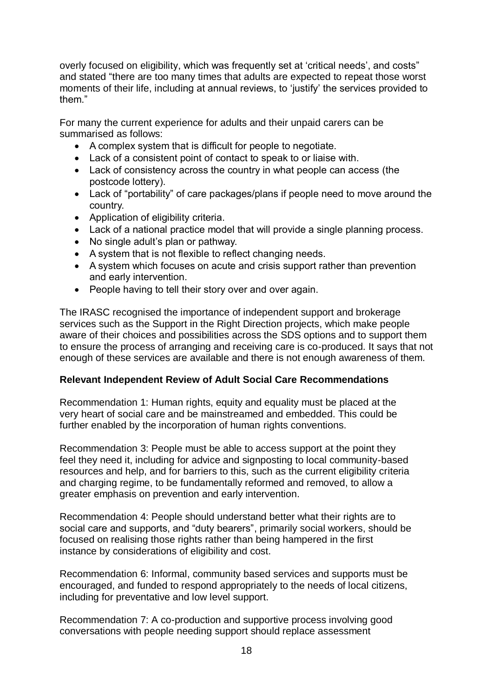overly focused on eligibility, which was frequently set at 'critical needs', and costs" and stated "there are too many times that adults are expected to repeat those worst moments of their life, including at annual reviews, to 'justify' the services provided to them."

For many the current experience for adults and their unpaid carers can be summarised as follows:

- A complex system that is difficult for people to negotiate.
- Lack of a consistent point of contact to speak to or liaise with.
- Lack of consistency across the country in what people can access (the postcode lottery).
- Lack of "portability" of care packages/plans if people need to move around the country.
- Application of eligibility criteria.
- Lack of a national practice model that will provide a single planning process.
- No single adult's plan or pathway.
- A system that is not flexible to reflect changing needs.
- A system which focuses on acute and crisis support rather than prevention and early intervention.
- People having to tell their story over and over again.

The IRASC recognised the importance of independent support and brokerage services such as the Support in the Right Direction projects, which make people aware of their choices and possibilities across the SDS options and to support them to ensure the process of arranging and receiving care is co-produced. It says that not enough of these services are available and there is not enough awareness of them.

## **Relevant Independent Review of Adult Social Care Recommendations**

Recommendation 1: Human rights, equity and equality must be placed at the very heart of social care and be mainstreamed and embedded. This could be further enabled by the incorporation of human rights conventions.

Recommendation 3: People must be able to access support at the point they feel they need it, including for advice and signposting to local community-based resources and help, and for barriers to this, such as the current eligibility criteria and charging regime, to be fundamentally reformed and removed, to allow a greater emphasis on prevention and early intervention.

Recommendation 4: People should understand better what their rights are to social care and supports, and "duty bearers", primarily social workers, should be focused on realising those rights rather than being hampered in the first instance by considerations of eligibility and cost.

Recommendation 6: Informal, community based services and supports must be encouraged, and funded to respond appropriately to the needs of local citizens, including for preventative and low level support.

Recommendation 7: A co-production and supportive process involving good conversations with people needing support should replace assessment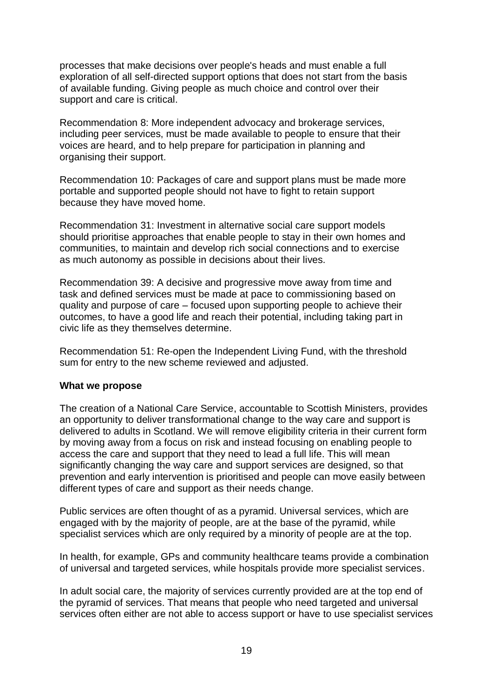processes that make decisions over people's heads and must enable a full exploration of all self-directed support options that does not start from the basis of available funding. Giving people as much choice and control over their support and care is critical.

Recommendation 8: More independent advocacy and brokerage services, including peer services, must be made available to people to ensure that their voices are heard, and to help prepare for participation in planning and organising their support.

Recommendation 10: Packages of care and support plans must be made more portable and supported people should not have to fight to retain support because they have moved home.

Recommendation 31: Investment in alternative social care support models should prioritise approaches that enable people to stay in their own homes and communities, to maintain and develop rich social connections and to exercise as much autonomy as possible in decisions about their lives.

Recommendation 39: A decisive and progressive move away from time and task and defined services must be made at pace to commissioning based on quality and purpose of care – focused upon supporting people to achieve their outcomes, to have a good life and reach their potential, including taking part in civic life as they themselves determine.

Recommendation 51: Re-open the Independent Living Fund, with the threshold sum for entry to the new scheme reviewed and adjusted.

#### **What we propose**

The creation of a National Care Service, accountable to Scottish Ministers, provides an opportunity to deliver transformational change to the way care and support is delivered to adults in Scotland. We will remove eligibility criteria in their current form by moving away from a focus on risk and instead focusing on enabling people to access the care and support that they need to lead a full life. This will mean significantly changing the way care and support services are designed, so that prevention and early intervention is prioritised and people can move easily between different types of care and support as their needs change.

Public services are often thought of as a pyramid. Universal services, which are engaged with by the majority of people, are at the base of the pyramid, while specialist services which are only required by a minority of people are at the top.

In health, for example, GPs and community healthcare teams provide a combination of universal and targeted services, while hospitals provide more specialist services.

In adult social care, the majority of services currently provided are at the top end of the pyramid of services. That means that people who need targeted and universal services often either are not able to access support or have to use specialist services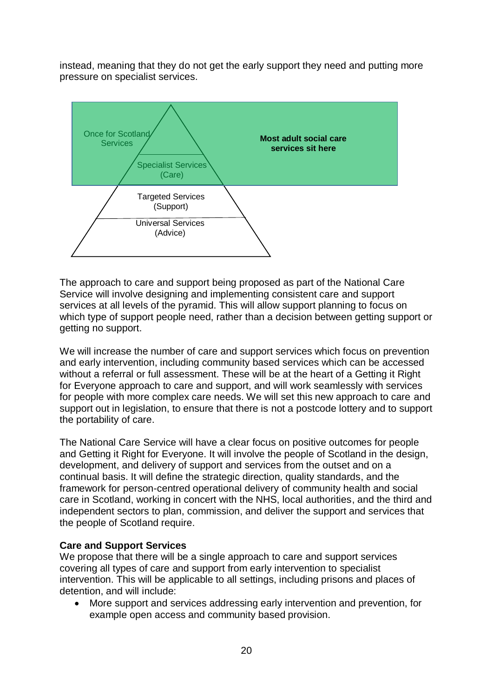instead, meaning that they do not get the early support they need and putting more pressure on specialist services.



The approach to care and support being proposed as part of the National Care Service will involve designing and implementing consistent care and support services at all levels of the pyramid. This will allow support planning to focus on which type of support people need, rather than a decision between getting support or getting no support.

We will increase the number of care and support services which focus on prevention and early intervention, including community based services which can be accessed without a referral or full assessment. These will be at the heart of a Getting it Right for Everyone approach to care and support, and will work seamlessly with services for people with more complex care needs. We will set this new approach to care and support out in legislation, to ensure that there is not a postcode lottery and to support the portability of care.

The National Care Service will have a clear focus on positive outcomes for people and Getting it Right for Everyone. It will involve the people of Scotland in the design, development, and delivery of support and services from the outset and on a continual basis. It will define the strategic direction, quality standards, and the framework for person-centred operational delivery of community health and social care in Scotland, working in concert with the NHS, local authorities, and the third and independent sectors to plan, commission, and deliver the support and services that the people of Scotland require.

## **Care and Support Services**

We propose that there will be a single approach to care and support services covering all types of care and support from early intervention to specialist intervention. This will be applicable to all settings, including prisons and places of detention, and will include:

• More support and services addressing early intervention and prevention, for example open access and community based provision.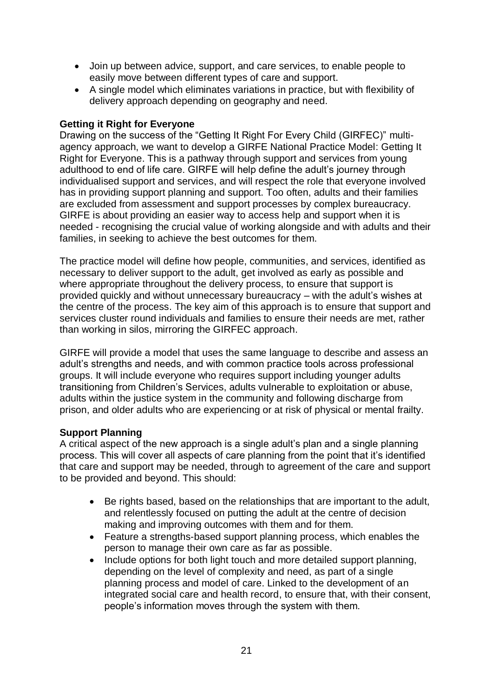- Join up between advice, support, and care services, to enable people to easily move between different types of care and support.
- A single model which eliminates variations in practice, but with flexibility of delivery approach depending on geography and need.

## **Getting it Right for Everyone**

Drawing on the success of the "Getting It Right For Every Child (GIRFEC)" multiagency approach, we want to develop a GIRFE National Practice Model: Getting It Right for Everyone. This is a pathway through support and services from young adulthood to end of life care. GIRFE will help define the adult's journey through individualised support and services, and will respect the role that everyone involved has in providing support planning and support. Too often, adults and their families are excluded from assessment and support processes by complex bureaucracy. GIRFE is about providing an easier way to access help and support when it is needed - recognising the crucial value of working alongside and with adults and their families, in seeking to achieve the best outcomes for them.

The practice model will define how people, communities, and services, identified as necessary to deliver support to the adult, get involved as early as possible and where appropriate throughout the delivery process, to ensure that support is provided quickly and without unnecessary bureaucracy – with the adult's wishes at the centre of the process. The key aim of this approach is to ensure that support and services cluster round individuals and families to ensure their needs are met, rather than working in silos, mirroring the GIRFEC approach.

GIRFE will provide a model that uses the same language to describe and assess an adult's strengths and needs, and with common practice tools across professional groups. It will include everyone who requires support including younger adults transitioning from Children's Services, adults vulnerable to exploitation or abuse, adults within the justice system in the community and following discharge from prison, and older adults who are experiencing or at risk of physical or mental frailty.

## **Support Planning**

A critical aspect of the new approach is a single adult's plan and a single planning process. This will cover all aspects of care planning from the point that it's identified that care and support may be needed, through to agreement of the care and support to be provided and beyond. This should:

- Be rights based, based on the relationships that are important to the adult, and relentlessly focused on putting the adult at the centre of decision making and improving outcomes with them and for them.
- Feature a strengths-based support planning process, which enables the person to manage their own care as far as possible.
- Include options for both light touch and more detailed support planning, depending on the level of complexity and need, as part of a single planning process and model of care. Linked to the development of an integrated social care and health record, to ensure that, with their consent, people's information moves through the system with them.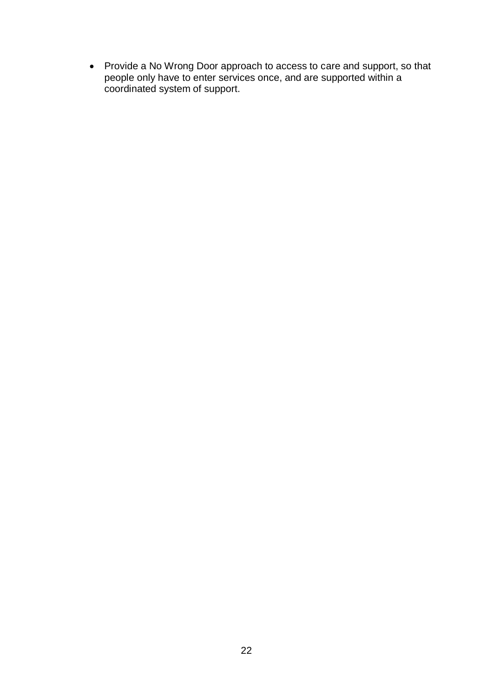• Provide a No Wrong Door approach to access to care and support, so that people only have to enter services once, and are supported within a coordinated system of support.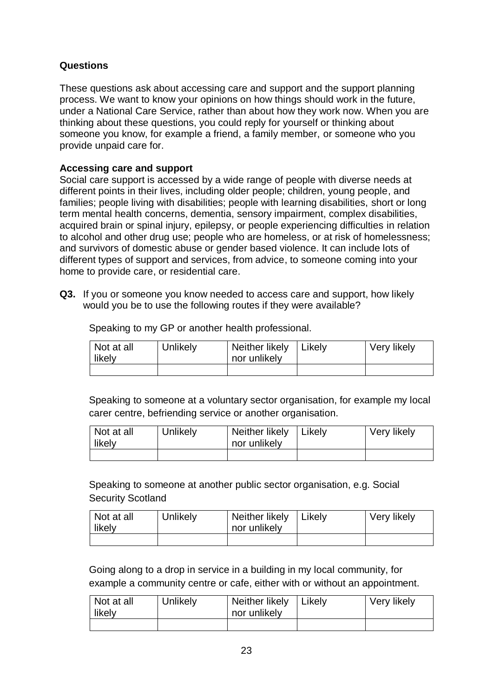## **Questions**

These questions ask about accessing care and support and the support planning process. We want to know your opinions on how things should work in the future, under a National Care Service, rather than about how they work now. When you are thinking about these questions, you could reply for yourself or thinking about someone you know, for example a friend, a family member, or someone who you provide unpaid care for.

## **Accessing care and support**

Social care support is accessed by a wide range of people with diverse needs at different points in their lives, including older people; children, young people, and families; people living with disabilities; people with learning disabilities, short or long term mental health concerns, dementia, sensory impairment, complex disabilities, acquired brain or spinal injury, epilepsy, or people experiencing difficulties in relation to alcohol and other drug use; people who are homeless, or at risk of homelessness; and survivors of domestic abuse or gender based violence. It can include lots of different types of support and services, from advice, to someone coming into your home to provide care, or residential care.

**Q3.** If you or someone you know needed to access care and support, how likely would you be to use the following routes if they were available?

Speaking to my GP or another health professional.

| Not at all<br>likely | Unlikely | Neither likely<br>nor unlikely | Likely | Very likely |
|----------------------|----------|--------------------------------|--------|-------------|
|                      |          |                                |        |             |

Speaking to someone at a voluntary sector organisation, for example my local carer centre, befriending service or another organisation.

| Not at all<br>likely | Unlikely | Neither likely<br>nor unlikely | Likely | Very likely |
|----------------------|----------|--------------------------------|--------|-------------|
|                      |          |                                |        |             |

Speaking to someone at another public sector organisation, e.g. Social Security Scotland

| Not at all<br>likely | Unlikely | Neither likely<br>nor unlikely | Likelv | Very likely |
|----------------------|----------|--------------------------------|--------|-------------|
|                      |          |                                |        |             |

Going along to a drop in service in a building in my local community, for example a community centre or cafe, either with or without an appointment.

| Not at all<br>likely | Unlikely | Neither likely<br>nor unlikely | Likely | Very likely |
|----------------------|----------|--------------------------------|--------|-------------|
|                      |          |                                |        |             |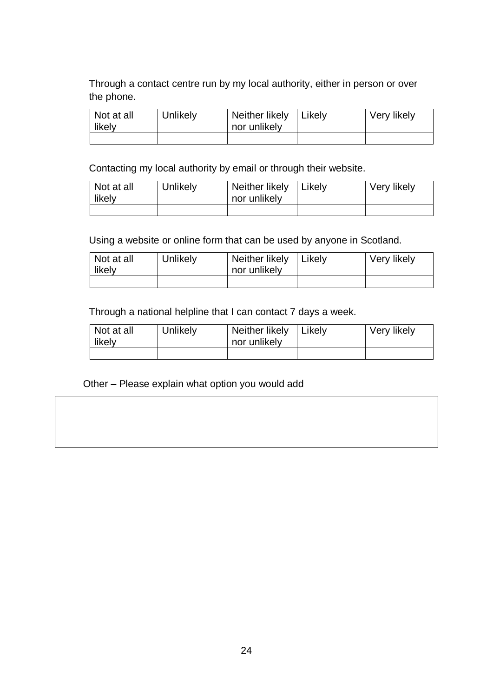Through a contact centre run by my local authority, either in person or over the phone.

| Not at all<br>likely | Unlikely | Neither likely<br>nor unlikely | Likelv | Very likely |
|----------------------|----------|--------------------------------|--------|-------------|
|                      |          |                                |        |             |

Contacting my local authority by email or through their website.

| Not at all<br>likely | Unlikely | Neither likely<br>nor unlikely | Likely | Very likely |
|----------------------|----------|--------------------------------|--------|-------------|
|                      |          |                                |        |             |

Using a website or online form that can be used by anyone in Scotland.

| Not at all<br>likely | Unlikely | Neither likely<br>nor unlikely | Likely | Very likely |
|----------------------|----------|--------------------------------|--------|-------------|
|                      |          |                                |        |             |

Through a national helpline that I can contact 7 days a week.

| Not at all<br>likely | Unlikely | Neither likely<br>nor unlikely | l Likelv | Very likely |
|----------------------|----------|--------------------------------|----------|-------------|
|                      |          |                                |          |             |

Other – Please explain what option you would add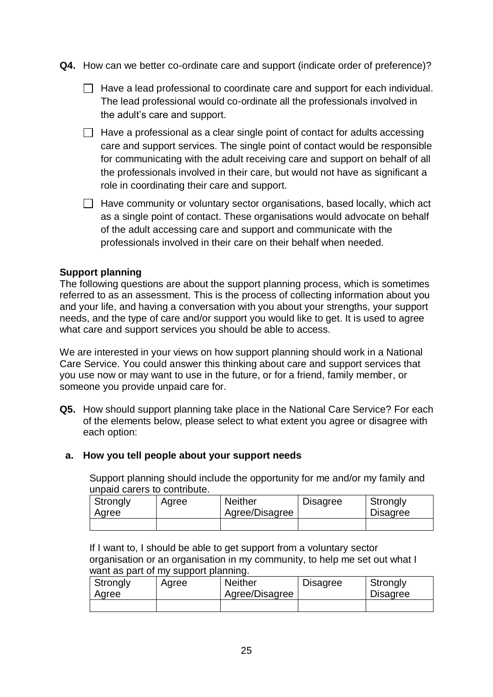- **Q4.** How can we better co-ordinate care and support (indicate order of preference)?
	- $\Box$  Have a lead professional to coordinate care and support for each individual. The lead professional would co-ordinate all the professionals involved in the adult's care and support.
	- $\Box$  Have a professional as a clear single point of contact for adults accessing care and support services. The single point of contact would be responsible for communicating with the adult receiving care and support on behalf of all the professionals involved in their care, but would not have as significant a role in coordinating their care and support.
	- $\Box$  Have community or voluntary sector organisations, based locally, which act as a single point of contact. These organisations would advocate on behalf of the adult accessing care and support and communicate with the professionals involved in their care on their behalf when needed.

## **Support planning**

The following questions are about the support planning process, which is sometimes referred to as an assessment. This is the process of collecting information about you and your life, and having a conversation with you about your strengths, your support needs, and the type of care and/or support you would like to get. It is used to agree what care and support services you should be able to access.

We are interested in your views on how support planning should work in a National Care Service. You could answer this thinking about care and support services that you use now or may want to use in the future, or for a friend, family member, or someone you provide unpaid care for.

**Q5.** How should support planning take place in the National Care Service? For each of the elements below, please select to what extent you agree or disagree with each option:

## **a. How you tell people about your support needs**

Support planning should include the opportunity for me and/or my family and unpaid carers to contribute.

| Strongly<br>Agree | Agree | <b>Neither</b><br>Agree/Disagree | <b>Disagree</b> | Strongly<br><b>Disagree</b> |
|-------------------|-------|----------------------------------|-----------------|-----------------------------|
|                   |       |                                  |                 |                             |

If I want to, I should be able to get support from a voluntary sector organisation or an organisation in my community, to help me set out what I want as part of my support planning.

| Strongly<br>Agree | Agree | <b>Neither</b><br>Agree/Disagree | <b>Disagree</b> | Strongly<br><b>Disagree</b> |
|-------------------|-------|----------------------------------|-----------------|-----------------------------|
|                   |       |                                  |                 |                             |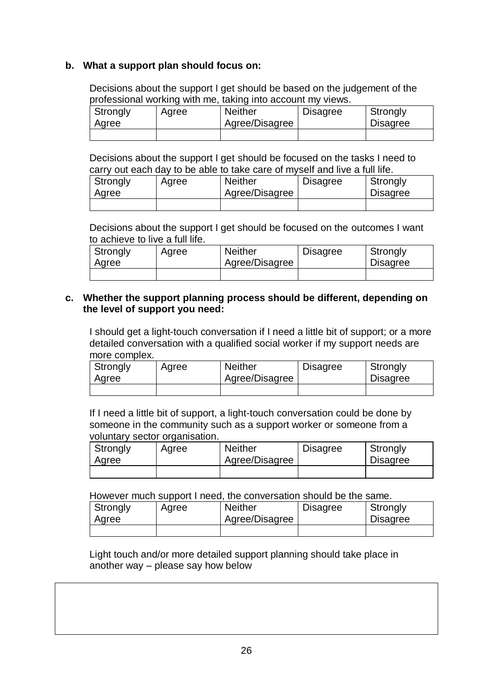## **b. What a support plan should focus on:**

Decisions about the support I get should be based on the judgement of the professional working with me, taking into account my views.

| Strongly<br>Agree | Agree | <b>Neither</b><br>Agree/Disagree | Disagree | Strongly<br><b>Disagree</b> |
|-------------------|-------|----------------------------------|----------|-----------------------------|
|                   |       |                                  |          |                             |

Decisions about the support I get should be focused on the tasks I need to carry out each day to be able to take care of myself and live a full life.

| Strongly<br>Agree | Agree | <b>Neither</b><br>Agree/Disagree | <b>Disagree</b> | Strongly<br><b>Disagree</b> |
|-------------------|-------|----------------------------------|-----------------|-----------------------------|
|                   |       |                                  |                 |                             |

Decisions about the support I get should be focused on the outcomes I want to achieve to live a full life.

| Strongly<br>Agree | Agree | <b>Neither</b><br>Agree/Disagree | <b>Disagree</b> | Strongly<br><b>Disagree</b> |
|-------------------|-------|----------------------------------|-----------------|-----------------------------|
|                   |       |                                  |                 |                             |

## **c. Whether the support planning process should be different, depending on the level of support you need:**

I should get a light-touch conversation if I need a little bit of support; or a more detailed conversation with a qualified social worker if my support needs are more complex.

| Strongly<br>Agree | Agree | <b>Neither</b><br>Agree/Disagree | <b>Disagree</b> | Strongly<br><b>Disagree</b> |
|-------------------|-------|----------------------------------|-----------------|-----------------------------|
|                   |       |                                  |                 |                             |

If I need a little bit of support, a light-touch conversation could be done by someone in the community such as a support worker or someone from a voluntary sector organisation.

| Strongly<br>Agree | Agree | <b>Neither</b><br>Agree/Disagree | <b>Disagree</b> | Strongly<br><b>Disagree</b> |
|-------------------|-------|----------------------------------|-----------------|-----------------------------|
|                   |       |                                  |                 |                             |

However much support I need, the conversation should be the same.

| Strongly<br>Agree | Agree | <b>Neither</b><br>Agree/Disagree | <b>Disagree</b> | Strongly<br><b>Disagree</b> |
|-------------------|-------|----------------------------------|-----------------|-----------------------------|
|                   |       |                                  |                 |                             |

Light touch and/or more detailed support planning should take place in another way – please say how below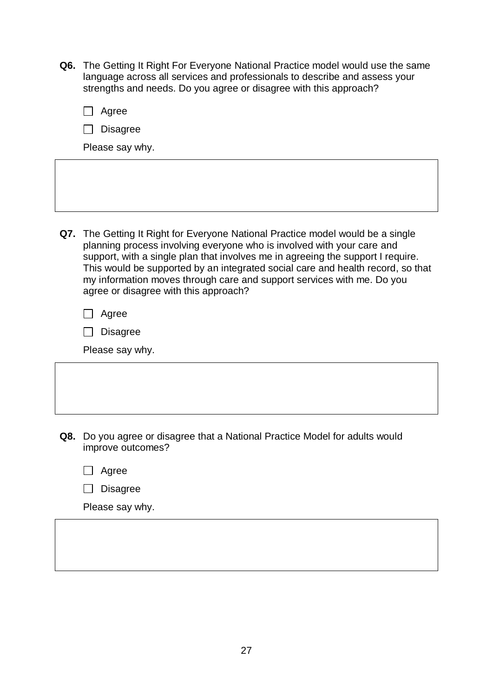**Q6.** The Getting It Right For Everyone National Practice model would use the same language across all services and professionals to describe and assess your strengths and needs. Do you agree or disagree with this approach?

| Agree<br><b>Disagree</b>                                                                                                                                                                                                                                                                                                                                                                                                                           |
|----------------------------------------------------------------------------------------------------------------------------------------------------------------------------------------------------------------------------------------------------------------------------------------------------------------------------------------------------------------------------------------------------------------------------------------------------|
| Please say why.                                                                                                                                                                                                                                                                                                                                                                                                                                    |
|                                                                                                                                                                                                                                                                                                                                                                                                                                                    |
|                                                                                                                                                                                                                                                                                                                                                                                                                                                    |
| Q7. The Getting It Right for Everyone National Practice model would be a single<br>planning process involving everyone who is involved with your care and<br>support, with a single plan that involves me in agreeing the support I require.<br>This would be supported by an integrated social care and health record, so that<br>my information moves through care and support services with me. Do you<br>agree or disagree with this approach? |
| Agree<br><b>Disagree</b>                                                                                                                                                                                                                                                                                                                                                                                                                           |
| Please say why.                                                                                                                                                                                                                                                                                                                                                                                                                                    |

- **Q8.** Do you agree or disagree that a National Practice Model for adults would improve outcomes?
	- □ Agree

| Disagree |
|----------|
|----------|

Please say why.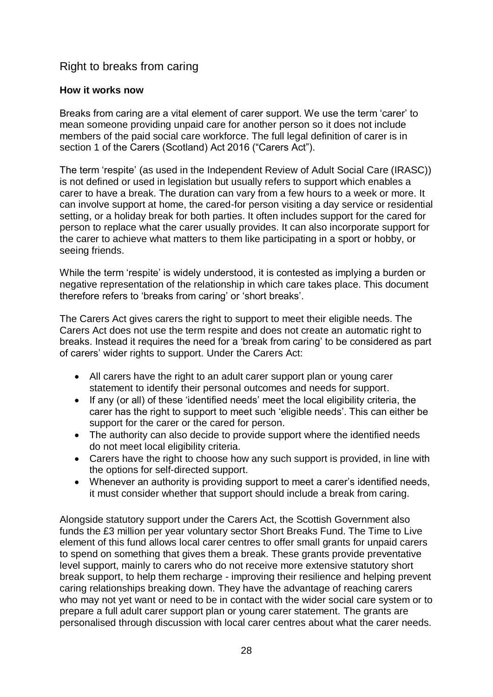# <span id="page-28-0"></span>Right to breaks from caring

## **How it works now**

Breaks from caring are a vital element of carer support. We use the term 'carer' to mean someone providing unpaid care for another person so it does not include members of the paid social care workforce. The full legal definition of carer is in section 1 of the Carers (Scotland) Act 2016 ("Carers Act").

The term 'respite' (as used in the Independent Review of Adult Social Care (IRASC)) is not defined or used in legislation but usually refers to support which enables a carer to have a break. The duration can vary from a few hours to a week or more. It can involve support at home, the cared-for person visiting a day service or residential setting, or a holiday break for both parties. It often includes support for the cared for person to replace what the carer usually provides. It can also incorporate support for the carer to achieve what matters to them like participating in a sport or hobby, or seeing friends.

While the term 'respite' is widely understood, it is contested as implying a burden or negative representation of the relationship in which care takes place. This document therefore refers to 'breaks from caring' or 'short breaks'.

The Carers Act gives carers the right to support to meet their eligible needs. The Carers Act does not use the term respite and does not create an automatic right to breaks. Instead it requires the need for a 'break from caring' to be considered as part of carers' wider rights to support. Under the Carers Act:

- All carers have the right to an adult carer support plan or young carer statement to identify their personal outcomes and needs for support.
- If any (or all) of these 'identified needs' meet the local eligibility criteria, the carer has the right to support to meet such 'eligible needs'. This can either be support for the carer or the cared for person.
- The authority can also decide to provide support where the identified needs do not meet local eligibility criteria.
- Carers have the right to choose how any such support is provided, in line with the options for self-directed support.
- Whenever an authority is providing support to meet a carer's identified needs, it must consider whether that support should include a break from caring.

Alongside statutory support under the Carers Act, the Scottish Government also funds the £3 million per year voluntary sector Short Breaks Fund. The Time to Live element of this fund allows local carer centres to offer small grants for unpaid carers to spend on something that gives them a break. These grants provide preventative level support, mainly to carers who do not receive more extensive statutory short break support, to help them recharge - improving their resilience and helping prevent caring relationships breaking down. They have the advantage of reaching carers who may not yet want or need to be in contact with the wider social care system or to prepare a full adult carer support plan or young carer statement. The grants are personalised through discussion with local carer centres about what the carer needs.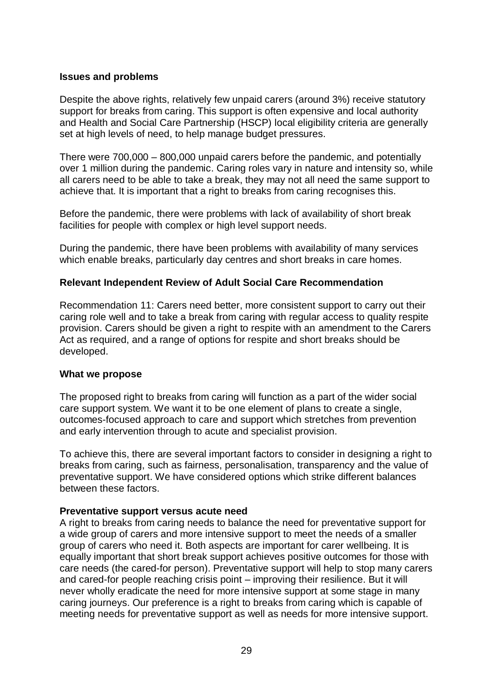#### **Issues and problems**

Despite the above rights, relatively few unpaid carers (around 3%) receive statutory support for breaks from caring. This support is often expensive and local authority and Health and Social Care Partnership (HSCP) local eligibility criteria are generally set at high levels of need, to help manage budget pressures.

There were 700,000 – 800,000 unpaid carers before the pandemic, and potentially over 1 million during the pandemic. Caring roles vary in nature and intensity so, while all carers need to be able to take a break, they may not all need the same support to achieve that. It is important that a right to breaks from caring recognises this.

Before the pandemic, there were problems with lack of availability of short break facilities for people with complex or high level support needs.

During the pandemic, there have been problems with availability of many services which enable breaks, particularly day centres and short breaks in care homes.

#### **Relevant Independent Review of Adult Social Care Recommendation**

Recommendation 11: Carers need better, more consistent support to carry out their caring role well and to take a break from caring with regular access to quality respite provision. Carers should be given a right to respite with an amendment to the Carers Act as required, and a range of options for respite and short breaks should be developed.

#### **What we propose**

The proposed right to breaks from caring will function as a part of the wider social care support system. We want it to be one element of plans to create a single, outcomes-focused approach to care and support which stretches from prevention and early intervention through to acute and specialist provision.

To achieve this, there are several important factors to consider in designing a right to breaks from caring, such as fairness, personalisation, transparency and the value of preventative support. We have considered options which strike different balances between these factors.

#### **Preventative support versus acute need**

A right to breaks from caring needs to balance the need for preventative support for a wide group of carers and more intensive support to meet the needs of a smaller group of carers who need it. Both aspects are important for carer wellbeing. It is equally important that short break support achieves positive outcomes for those with care needs (the cared-for person). Preventative support will help to stop many carers and cared-for people reaching crisis point – improving their resilience. But it will never wholly eradicate the need for more intensive support at some stage in many caring journeys. Our preference is a right to breaks from caring which is capable of meeting needs for preventative support as well as needs for more intensive support.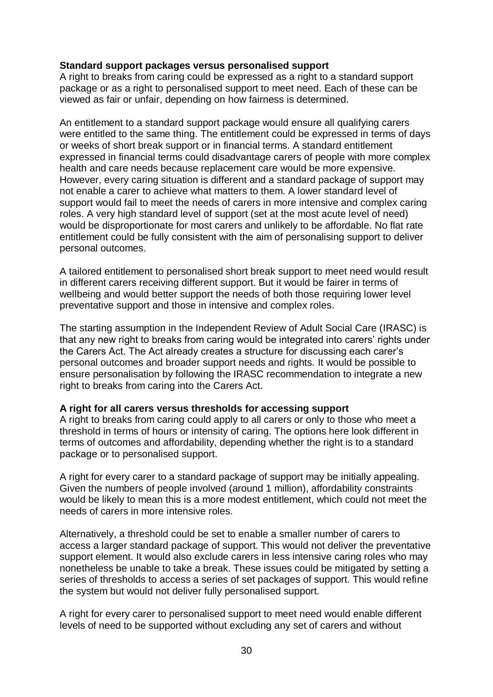## **Standard support packages versus personalised support**

A right to breaks from caring could be expressed as a right to a standard support package or as a right to personalised support to meet need. Each of these can be viewed as fair or unfair, depending on how fairness is determined.

An entitlement to a standard support package would ensure all qualifying carers were entitled to the same thing. The entitlement could be expressed in terms of days or weeks of short break support or in financial terms. A standard entitlement expressed in financial terms could disadvantage carers of people with more complex health and care needs because replacement care would be more expensive. However, every caring situation is different and a standard package of support may not enable a carer to achieve what matters to them. A lower standard level of support would fail to meet the needs of carers in more intensive and complex caring roles. A very high standard level of support (set at the most acute level of need) would be disproportionate for most carers and unlikely to be affordable. No flat rate entitlement could be fully consistent with the aim of personalising support to deliver personal outcomes.

A tailored entitlement to personalised short break support to meet need would result in different carers receiving different support. But it would be fairer in terms of wellbeing and would better support the needs of both those requiring lower level preventative support and those in intensive and complex roles.

The starting assumption in the Independent Review of Adult Social Care (IRASC) is that any new right to breaks from caring would be integrated into carers' rights under the Carers Act. The Act already creates a structure for discussing each carer's personal outcomes and broader support needs and rights. It would be possible to ensure personalisation by following the IRASC recommendation to integrate a new right to breaks from caring into the Carers Act.

## **A right for all carers versus thresholds for accessing support**

A right to breaks from caring could apply to all carers or only to those who meet a threshold in terms of hours or intensity of caring. The options here look different in terms of outcomes and affordability, depending whether the right is to a standard package or to personalised support.

A right for every carer to a standard package of support may be initially appealing. Given the numbers of people involved (around 1 million), affordability constraints would be likely to mean this is a more modest entitlement, which could not meet the needs of carers in more intensive roles.

Alternatively, a threshold could be set to enable a smaller number of carers to access a larger standard package of support. This would not deliver the preventative support element. It would also exclude carers in less intensive caring roles who may nonetheless be unable to take a break. These issues could be mitigated by setting a series of thresholds to access a series of set packages of support. This would refine the system but would not deliver fully personalised support.

A right for every carer to personalised support to meet need would enable different levels of need to be supported without excluding any set of carers and without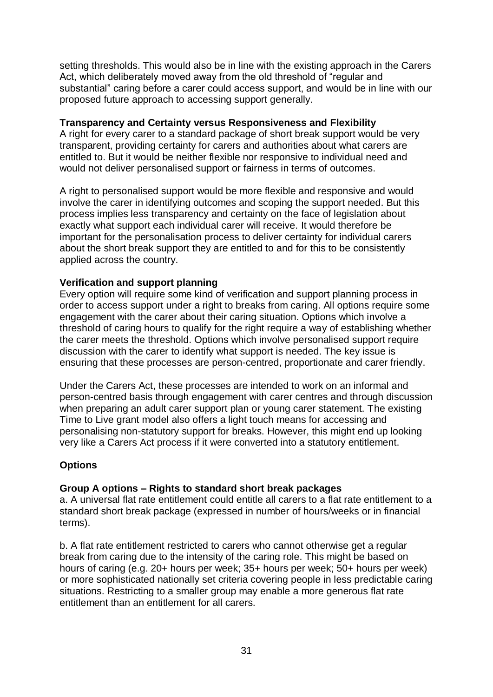setting thresholds. This would also be in line with the existing approach in the Carers Act, which deliberately moved away from the old threshold of "regular and substantial" caring before a carer could access support, and would be in line with our proposed future approach to accessing support generally.

## **Transparency and Certainty versus Responsiveness and Flexibility**

A right for every carer to a standard package of short break support would be very transparent, providing certainty for carers and authorities about what carers are entitled to. But it would be neither flexible nor responsive to individual need and would not deliver personalised support or fairness in terms of outcomes.

A right to personalised support would be more flexible and responsive and would involve the carer in identifying outcomes and scoping the support needed. But this process implies less transparency and certainty on the face of legislation about exactly what support each individual carer will receive. It would therefore be important for the personalisation process to deliver certainty for individual carers about the short break support they are entitled to and for this to be consistently applied across the country.

## **Verification and support planning**

Every option will require some kind of verification and support planning process in order to access support under a right to breaks from caring. All options require some engagement with the carer about their caring situation. Options which involve a threshold of caring hours to qualify for the right require a way of establishing whether the carer meets the threshold. Options which involve personalised support require discussion with the carer to identify what support is needed. The key issue is ensuring that these processes are person-centred, proportionate and carer friendly.

Under the Carers Act, these processes are intended to work on an informal and person-centred basis through engagement with carer centres and through discussion when preparing an adult carer support plan or young carer statement. The existing Time to Live grant model also offers a light touch means for accessing and personalising non-statutory support for breaks. However, this might end up looking very like a Carers Act process if it were converted into a statutory entitlement.

## **Options**

## **Group A options – Rights to standard short break packages**

a. A universal flat rate entitlement could entitle all carers to a flat rate entitlement to a standard short break package (expressed in number of hours/weeks or in financial terms).

b. A flat rate entitlement restricted to carers who cannot otherwise get a regular break from caring due to the intensity of the caring role. This might be based on hours of caring (e.g. 20+ hours per week; 35+ hours per week; 50+ hours per week) or more sophisticated nationally set criteria covering people in less predictable caring situations. Restricting to a smaller group may enable a more generous flat rate entitlement than an entitlement for all carers.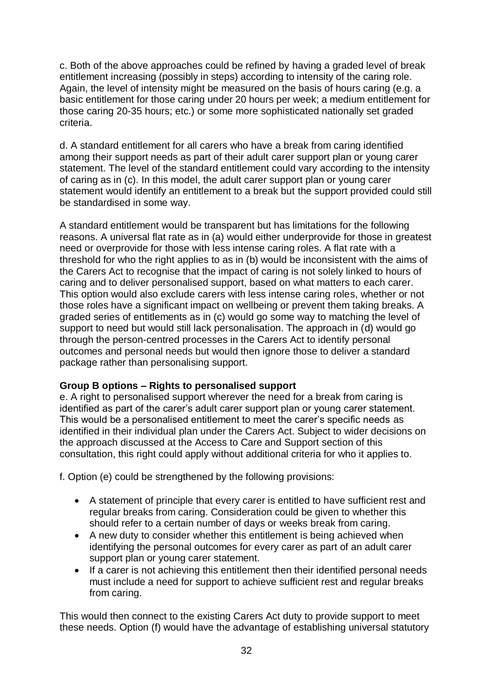c. Both of the above approaches could be refined by having a graded level of break entitlement increasing (possibly in steps) according to intensity of the caring role. Again, the level of intensity might be measured on the basis of hours caring (e.g. a basic entitlement for those caring under 20 hours per week; a medium entitlement for those caring 20-35 hours; etc.) or some more sophisticated nationally set graded criteria.

d. A standard entitlement for all carers who have a break from caring identified among their support needs as part of their adult carer support plan or young carer statement. The level of the standard entitlement could vary according to the intensity of caring as in (c). In this model, the adult carer support plan or young carer statement would identify an entitlement to a break but the support provided could still be standardised in some way.

A standard entitlement would be transparent but has limitations for the following reasons. A universal flat rate as in (a) would either underprovide for those in greatest need or overprovide for those with less intense caring roles. A flat rate with a threshold for who the right applies to as in (b) would be inconsistent with the aims of the Carers Act to recognise that the impact of caring is not solely linked to hours of caring and to deliver personalised support, based on what matters to each carer. This option would also exclude carers with less intense caring roles, whether or not those roles have a significant impact on wellbeing or prevent them taking breaks. A graded series of entitlements as in (c) would go some way to matching the level of support to need but would still lack personalisation. The approach in (d) would go through the person-centred processes in the Carers Act to identify personal outcomes and personal needs but would then ignore those to deliver a standard package rather than personalising support.

## **Group B options – Rights to personalised support**

e. A right to personalised support wherever the need for a break from caring is identified as part of the carer's adult carer support plan or young carer statement. This would be a personalised entitlement to meet the carer's specific needs as identified in their individual plan under the Carers Act. Subject to wider decisions on the approach discussed at the Access to Care and Support section of this consultation, this right could apply without additional criteria for who it applies to.

f. Option (e) could be strengthened by the following provisions:

- A statement of principle that every carer is entitled to have sufficient rest and regular breaks from caring. Consideration could be given to whether this should refer to a certain number of days or weeks break from caring.
- A new duty to consider whether this entitlement is being achieved when identifying the personal outcomes for every carer as part of an adult carer support plan or young carer statement.
- If a carer is not achieving this entitlement then their identified personal needs must include a need for support to achieve sufficient rest and regular breaks from caring.

This would then connect to the existing Carers Act duty to provide support to meet these needs. Option (f) would have the advantage of establishing universal statutory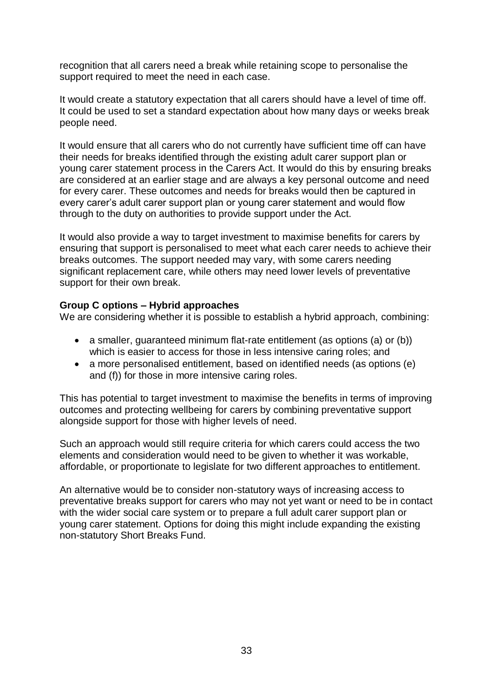recognition that all carers need a break while retaining scope to personalise the support required to meet the need in each case.

It would create a statutory expectation that all carers should have a level of time off. It could be used to set a standard expectation about how many days or weeks break people need.

It would ensure that all carers who do not currently have sufficient time off can have their needs for breaks identified through the existing adult carer support plan or young carer statement process in the Carers Act. It would do this by ensuring breaks are considered at an earlier stage and are always a key personal outcome and need for every carer. These outcomes and needs for breaks would then be captured in every carer's adult carer support plan or young carer statement and would flow through to the duty on authorities to provide support under the Act.

It would also provide a way to target investment to maximise benefits for carers by ensuring that support is personalised to meet what each carer needs to achieve their breaks outcomes. The support needed may vary, with some carers needing significant replacement care, while others may need lower levels of preventative support for their own break.

## **Group C options – Hybrid approaches**

We are considering whether it is possible to establish a hybrid approach, combining:

- a smaller, guaranteed minimum flat-rate entitlement (as options (a) or (b)) which is easier to access for those in less intensive caring roles; and
- a more personalised entitlement, based on identified needs (as options (e) and (f)) for those in more intensive caring roles.

This has potential to target investment to maximise the benefits in terms of improving outcomes and protecting wellbeing for carers by combining preventative support alongside support for those with higher levels of need.

Such an approach would still require criteria for which carers could access the two elements and consideration would need to be given to whether it was workable, affordable, or proportionate to legislate for two different approaches to entitlement.

An alternative would be to consider non-statutory ways of increasing access to preventative breaks support for carers who may not yet want or need to be in contact with the wider social care system or to prepare a full adult carer support plan or young carer statement. Options for doing this might include expanding the existing non-statutory Short Breaks Fund.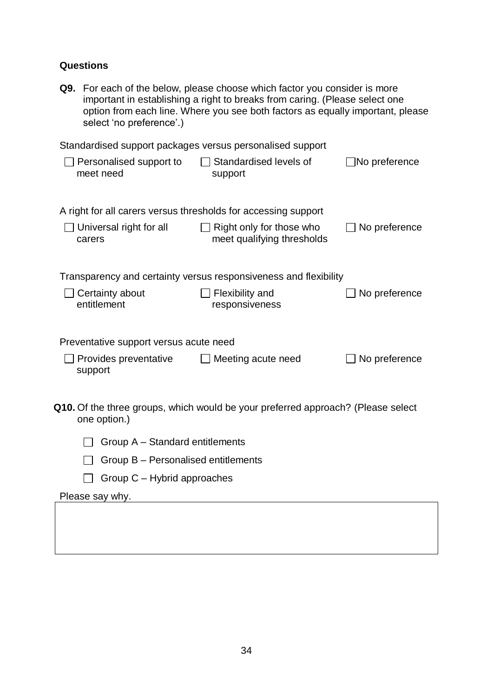# **Questions**

| select 'no preference'.)                                       | Q9. For each of the below, please choose which factor you consider is more<br>important in establishing a right to breaks from caring. (Please select one<br>option from each line. Where you see both factors as equally important, please |                      |  |  |  |
|----------------------------------------------------------------|---------------------------------------------------------------------------------------------------------------------------------------------------------------------------------------------------------------------------------------------|----------------------|--|--|--|
|                                                                | Standardised support packages versus personalised support                                                                                                                                                                                   |                      |  |  |  |
| Personalised support to<br>meet need                           | Standardised levels of<br>support                                                                                                                                                                                                           | $\Box$ No preference |  |  |  |
| A right for all carers versus thresholds for accessing support |                                                                                                                                                                                                                                             |                      |  |  |  |
| $\Box$ Universal right for all<br>carers                       | $\Box$ Right only for those who<br>meet qualifying thresholds                                                                                                                                                                               | No preference        |  |  |  |
|                                                                | Transparency and certainty versus responsiveness and flexibility                                                                                                                                                                            |                      |  |  |  |
| Certainty about<br>entitlement                                 | <b>Flexibility and</b><br>responsiveness                                                                                                                                                                                                    | No preference        |  |  |  |
| Preventative support versus acute need                         |                                                                                                                                                                                                                                             |                      |  |  |  |
| Provides preventative<br>support                               | Meeting acute need                                                                                                                                                                                                                          | No preference        |  |  |  |
| one option.)                                                   | Q10. Of the three groups, which would be your preferred approach? (Please select                                                                                                                                                            |                      |  |  |  |
| Group A – Standard entitlements                                |                                                                                                                                                                                                                                             |                      |  |  |  |
| Group B - Personalised entitlements                            |                                                                                                                                                                                                                                             |                      |  |  |  |
| Group C - Hybrid approaches                                    |                                                                                                                                                                                                                                             |                      |  |  |  |
| Please say why.                                                |                                                                                                                                                                                                                                             |                      |  |  |  |
|                                                                |                                                                                                                                                                                                                                             |                      |  |  |  |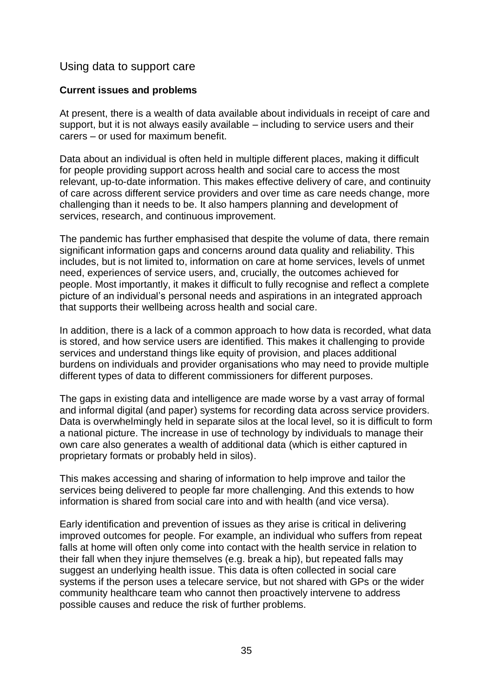## <span id="page-35-0"></span>Using data to support care

## **Current issues and problems**

At present, there is a wealth of data available about individuals in receipt of care and support, but it is not always easily available – including to service users and their carers – or used for maximum benefit.

Data about an individual is often held in multiple different places, making it difficult for people providing support across health and social care to access the most relevant, up-to-date information. This makes effective delivery of care, and continuity of care across different service providers and over time as care needs change, more challenging than it needs to be. It also hampers planning and development of services, research, and continuous improvement.

The pandemic has further emphasised that despite the volume of data, there remain significant information gaps and concerns around data quality and reliability. This includes, but is not limited to, information on care at home services, levels of unmet need, experiences of service users, and, crucially, the outcomes achieved for people. Most importantly, it makes it difficult to fully recognise and reflect a complete picture of an individual's personal needs and aspirations in an integrated approach that supports their wellbeing across health and social care.

In addition, there is a lack of a common approach to how data is recorded, what data is stored, and how service users are identified. This makes it challenging to provide services and understand things like equity of provision, and places additional burdens on individuals and provider organisations who may need to provide multiple different types of data to different commissioners for different purposes.

The gaps in existing data and intelligence are made worse by a vast array of formal and informal digital (and paper) systems for recording data across service providers. Data is overwhelmingly held in separate silos at the local level, so it is difficult to form a national picture. The increase in use of technology by individuals to manage their own care also generates a wealth of additional data (which is either captured in proprietary formats or probably held in silos).

This makes accessing and sharing of information to help improve and tailor the services being delivered to people far more challenging. And this extends to how information is shared from social care into and with health (and vice versa).

Early identification and prevention of issues as they arise is critical in delivering improved outcomes for people. For example, an individual who suffers from repeat falls at home will often only come into contact with the health service in relation to their fall when they injure themselves (e.g. break a hip), but repeated falls may suggest an underlying health issue. This data is often collected in social care systems if the person uses a telecare service, but not shared with GPs or the wider community healthcare team who cannot then proactively intervene to address possible causes and reduce the risk of further problems.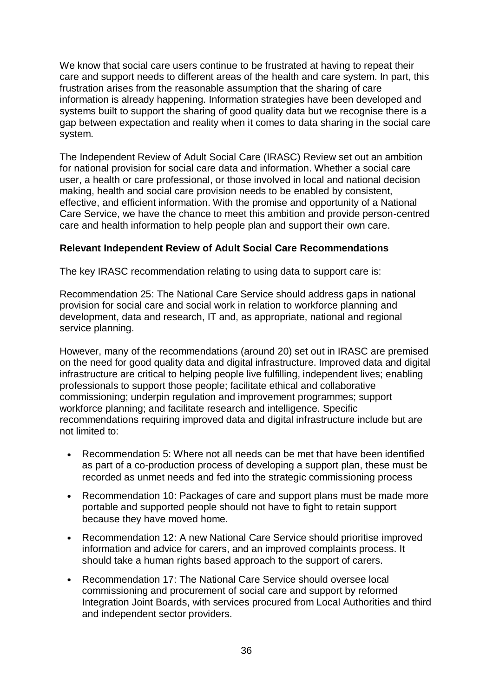We know that social care users continue to be frustrated at having to repeat their care and support needs to different areas of the health and care system. In part, this frustration arises from the reasonable assumption that the sharing of care information is already happening. Information strategies have been developed and systems built to support the sharing of good quality data but we recognise there is a gap between expectation and reality when it comes to data sharing in the social care system.

The Independent Review of Adult Social Care (IRASC) Review set out an ambition for national provision for social care data and information. Whether a social care user, a health or care professional, or those involved in local and national decision making, health and social care provision needs to be enabled by consistent, effective, and efficient information. With the promise and opportunity of a National Care Service, we have the chance to meet this ambition and provide person-centred care and health information to help people plan and support their own care.

#### **Relevant Independent Review of Adult Social Care Recommendations**

The key IRASC recommendation relating to using data to support care is:

Recommendation 25: The National Care Service should address gaps in national provision for social care and social work in relation to workforce planning and development, data and research, IT and, as appropriate, national and regional service planning.

However, many of the recommendations (around 20) set out in IRASC are premised on the need for good quality data and digital infrastructure. Improved data and digital infrastructure are critical to helping people live fulfilling, independent lives; enabling professionals to support those people; facilitate ethical and collaborative commissioning; underpin regulation and improvement programmes; support workforce planning; and facilitate research and intelligence. Specific recommendations requiring improved data and digital infrastructure include but are not limited to:

- Recommendation 5: Where not all needs can be met that have been identified as part of a co-production process of developing a support plan, these must be recorded as unmet needs and fed into the strategic commissioning process
- Recommendation 10: Packages of care and support plans must be made more portable and supported people should not have to fight to retain support because they have moved home.
- Recommendation 12: A new National Care Service should prioritise improved information and advice for carers, and an improved complaints process. It should take a human rights based approach to the support of carers.
- Recommendation 17: The National Care Service should oversee local commissioning and procurement of social care and support by reformed Integration Joint Boards, with services procured from Local Authorities and third and independent sector providers.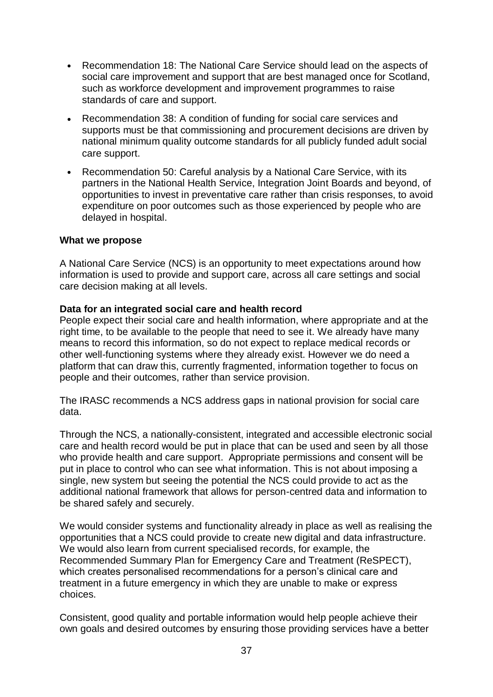- Recommendation 18: The National Care Service should lead on the aspects of social care improvement and support that are best managed once for Scotland, such as workforce development and improvement programmes to raise standards of care and support.
- Recommendation 38: A condition of funding for social care services and supports must be that commissioning and procurement decisions are driven by national minimum quality outcome standards for all publicly funded adult social care support.
- Recommendation 50: Careful analysis by a National Care Service, with its partners in the National Health Service, Integration Joint Boards and beyond, of opportunities to invest in preventative care rather than crisis responses, to avoid expenditure on poor outcomes such as those experienced by people who are delayed in hospital.

#### **What we propose**

A National Care Service (NCS) is an opportunity to meet expectations around how information is used to provide and support care, across all care settings and social care decision making at all levels.

#### **Data for an integrated social care and health record**

People expect their social care and health information, where appropriate and at the right time, to be available to the people that need to see it. We already have many means to record this information, so do not expect to replace medical records or other well-functioning systems where they already exist. However we do need a platform that can draw this, currently fragmented, information together to focus on people and their outcomes, rather than service provision.

The IRASC recommends a NCS address gaps in national provision for social care data.

Through the NCS, a nationally-consistent, integrated and accessible electronic social care and health record would be put in place that can be used and seen by all those who provide health and care support. Appropriate permissions and consent will be put in place to control who can see what information. This is not about imposing a single, new system but seeing the potential the NCS could provide to act as the additional national framework that allows for person-centred data and information to be shared safely and securely.

We would consider systems and functionality already in place as well as realising the opportunities that a NCS could provide to create new digital and data infrastructure. We would also learn from current specialised records, for example, the Recommended Summary Plan for Emergency Care and Treatment (ReSPECT), which creates personalised recommendations for a person's clinical care and treatment in a future emergency in which they are unable to make or express choices.

Consistent, good quality and portable information would help people achieve their own goals and desired outcomes by ensuring those providing services have a better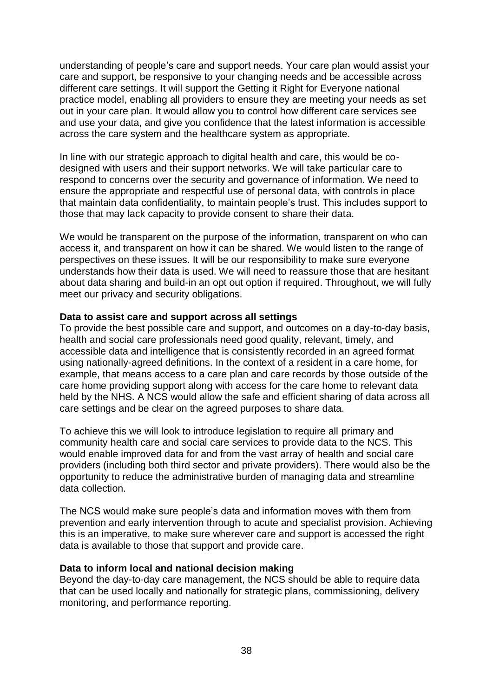understanding of people's care and support needs. Your care plan would assist your care and support, be responsive to your changing needs and be accessible across different care settings. It will support the Getting it Right for Everyone national practice model, enabling all providers to ensure they are meeting your needs as set out in your care plan. It would allow you to control how different care services see and use your data, and give you confidence that the latest information is accessible across the care system and the healthcare system as appropriate.

In line with our strategic approach to digital health and care, this would be codesigned with users and their support networks. We will take particular care to respond to concerns over the security and governance of information. We need to ensure the appropriate and respectful use of personal data, with controls in place that maintain data confidentiality, to maintain people's trust. This includes support to those that may lack capacity to provide consent to share their data.

We would be transparent on the purpose of the information, transparent on who can access it, and transparent on how it can be shared. We would listen to the range of perspectives on these issues. It will be our responsibility to make sure everyone understands how their data is used. We will need to reassure those that are hesitant about data sharing and build-in an opt out option if required. Throughout, we will fully meet our privacy and security obligations.

#### **Data to assist care and support across all settings**

To provide the best possible care and support, and outcomes on a day-to-day basis, health and social care professionals need good quality, relevant, timely, and accessible data and intelligence that is consistently recorded in an agreed format using nationally-agreed definitions. In the context of a resident in a care home, for example, that means access to a care plan and care records by those outside of the care home providing support along with access for the care home to relevant data held by the NHS. A NCS would allow the safe and efficient sharing of data across all care settings and be clear on the agreed purposes to share data.

To achieve this we will look to introduce legislation to require all primary and community health care and social care services to provide data to the NCS. This would enable improved data for and from the vast array of health and social care providers (including both third sector and private providers). There would also be the opportunity to reduce the administrative burden of managing data and streamline data collection.

The NCS would make sure people's data and information moves with them from prevention and early intervention through to acute and specialist provision. Achieving this is an imperative, to make sure wherever care and support is accessed the right data is available to those that support and provide care.

#### **Data to inform local and national decision making**

Beyond the day-to-day care management, the NCS should be able to require data that can be used locally and nationally for strategic plans, commissioning, delivery monitoring, and performance reporting.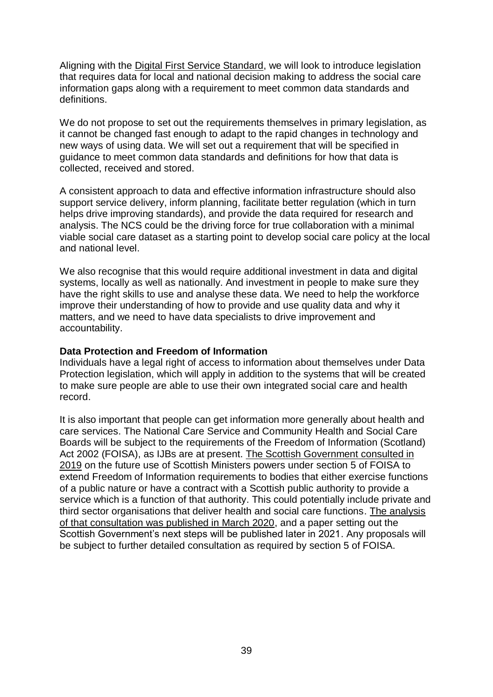Aligning with the [Digital First Service Standard,](https://resources.mygov.scot/standards/digital-first/) we will look to introduce legislation that requires data for local and national decision making to address the social care information gaps along with a requirement to meet common data standards and definitions.

We do not propose to set out the requirements themselves in primary legislation, as it cannot be changed fast enough to adapt to the rapid changes in technology and new ways of using data. We will set out a requirement that will be specified in guidance to meet common data standards and definitions for how that data is collected, received and stored.

A consistent approach to data and effective information infrastructure should also support service delivery, inform planning, facilitate better regulation (which in turn helps drive improving standards), and provide the data required for research and analysis. The NCS could be the driving force for true collaboration with a minimal viable social care dataset as a starting point to develop social care policy at the local and national level.

We also recognise that this would require additional investment in data and digital systems, locally as well as nationally. And investment in people to make sure they have the right skills to use and analyse these data. We need to help the workforce improve their understanding of how to provide and use quality data and why it matters, and we need to have data specialists to drive improvement and accountability.

#### **Data Protection and Freedom of Information**

Individuals have a legal right of access to information about themselves under Data Protection legislation, which will apply in addition to the systems that will be created to make sure people are able to use their own integrated social care and health record.

It is also important that people can get information more generally about health and care services. The National Care Service and Community Health and Social Care Boards will be subject to the requirements of the Freedom of Information (Scotland) Act 2002 (FOISA), as IJBs are at present. [The Scottish Government consulted in](https://www.gov.scot/publications/freedom-information-extension-coverage-consultation/)  [2019](https://www.gov.scot/publications/freedom-information-extension-coverage-consultation/) on the future use of Scottish Ministers powers under section 5 of FOISA to extend Freedom of Information requirements to bodies that either exercise functions of a public nature or have a contract with a Scottish public authority to provide a service which is a function of that authority. This could potentially include private and third sector organisations that deliver health and social care functions. [The analysis](https://www.gov.scot/publications/freedom-information-extension-coverage-consultation-analysis/)  [of that consultation was published in March 2020,](https://www.gov.scot/publications/freedom-information-extension-coverage-consultation-analysis/) and a paper setting out the Scottish Government's next steps will be published later in 2021. Any proposals will be subject to further detailed consultation as required by section 5 of FOISA.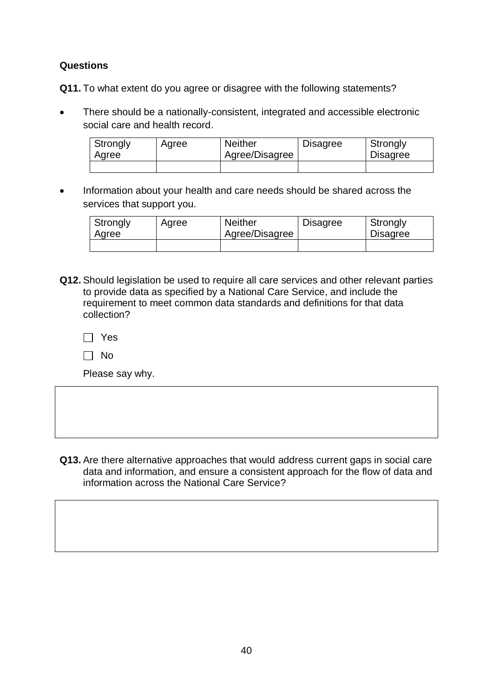### **Questions**

**Q11.** To what extent do you agree or disagree with the following statements?

• There should be a nationally-consistent, integrated and accessible electronic social care and health record.

| Strongly<br>Agree | Agree | <b>Neither</b><br>Agree/Disagree | <b>Disagree</b> | Strongly<br><b>Disagree</b> |
|-------------------|-------|----------------------------------|-----------------|-----------------------------|
|                   |       |                                  |                 |                             |

• Information about your health and care needs should be shared across the services that support you.

| Strongly<br>Agree | Agree | <b>Neither</b><br>Agree/Disagree | <b>Disagree</b> | Strongly<br><b>Disagree</b> |
|-------------------|-------|----------------------------------|-----------------|-----------------------------|
|                   |       |                                  |                 |                             |

**Q12.** Should legislation be used to require all care services and other relevant parties to provide data as specified by a National Care Service, and include the requirement to meet common data standards and definitions for that data collection?

 $\Box$  Yes

 $\Box$  No

Please say why.

**Q13.** Are there alternative approaches that would address current gaps in social care data and information, and ensure a consistent approach for the flow of data and information across the National Care Service?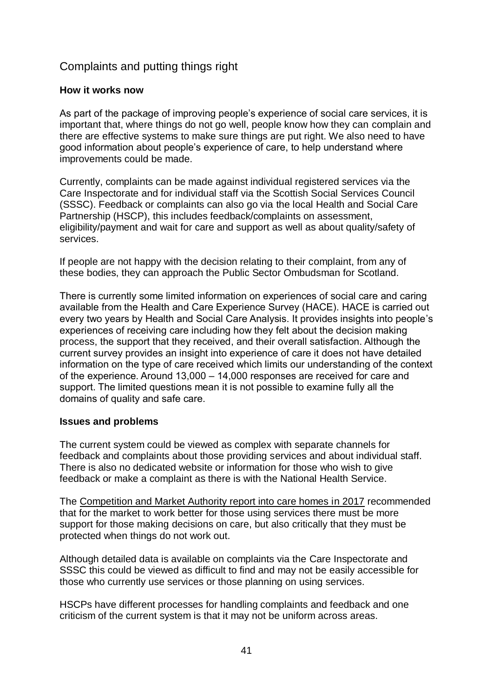## Complaints and putting things right

#### **How it works now**

As part of the package of improving people's experience of social care services, it is important that, where things do not go well, people know how they can complain and there are effective systems to make sure things are put right. We also need to have good information about people's experience of care, to help understand where improvements could be made.

Currently, complaints can be made against individual registered services via the Care Inspectorate and for individual staff via the Scottish Social Services Council (SSSC). Feedback or complaints can also go via the local Health and Social Care Partnership (HSCP), this includes feedback/complaints on assessment, eligibility/payment and wait for care and support as well as about quality/safety of services.

If people are not happy with the decision relating to their complaint, from any of these bodies, they can approach the Public Sector Ombudsman for Scotland.

There is currently some limited information on experiences of social care and caring available from the Health and Care Experience Survey (HACE). HACE is carried out every two years by Health and Social Care Analysis. It provides insights into people's experiences of receiving care including how they felt about the decision making process, the support that they received, and their overall satisfaction. Although the current survey provides an insight into experience of care it does not have detailed information on the type of care received which limits our understanding of the context of the experience. Around 13,000 – 14,000 responses are received for care and support. The limited questions mean it is not possible to examine fully all the domains of quality and safe care.

#### **Issues and problems**

The current system could be viewed as complex with separate channels for feedback and complaints about those providing services and about individual staff. There is also no dedicated website or information for those who wish to give feedback or make a complaint as there is with the National Health Service.

The [Competition and Market Authority report into care homes in 2017](https://assets.publishing.service.gov.uk/media/5a201ae7ed915d458b922ec6/scotland-short-summary-care-homes-market-study.pdf) recommended that for the market to work better for those using services there must be more support for those making decisions on care, but also critically that they must be protected when things do not work out.

Although detailed data is available on complaints via the Care Inspectorate and SSSC this could be viewed as difficult to find and may not be easily accessible for those who currently use services or those planning on using services.

HSCPs have different processes for handling complaints and feedback and one criticism of the current system is that it may not be uniform across areas.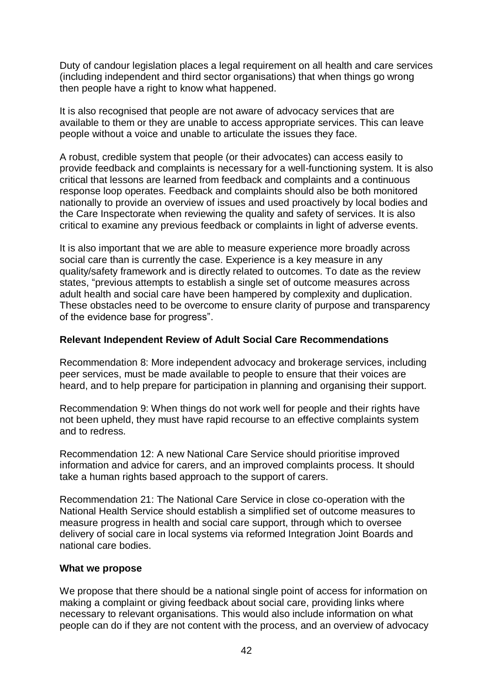Duty of candour legislation places a legal requirement on all health and care services (including independent and third sector organisations) that when things go wrong then people have a right to know what happened.

It is also recognised that people are not aware of advocacy services that are available to them or they are unable to access appropriate services. This can leave people without a voice and unable to articulate the issues they face.

A robust, credible system that people (or their advocates) can access easily to provide feedback and complaints is necessary for a well-functioning system. It is also critical that lessons are learned from feedback and complaints and a continuous response loop operates. Feedback and complaints should also be both monitored nationally to provide an overview of issues and used proactively by local bodies and the Care Inspectorate when reviewing the quality and safety of services. It is also critical to examine any previous feedback or complaints in light of adverse events.

It is also important that we are able to measure experience more broadly across social care than is currently the case. Experience is a key measure in any quality/safety framework and is directly related to outcomes. To date as the review states, "previous attempts to establish a single set of outcome measures across adult health and social care have been hampered by complexity and duplication. These obstacles need to be overcome to ensure clarity of purpose and transparency of the evidence base for progress".

#### **Relevant Independent Review of Adult Social Care Recommendations**

Recommendation 8: More independent advocacy and brokerage services, including peer services, must be made available to people to ensure that their voices are heard, and to help prepare for participation in planning and organising their support.

Recommendation 9: When things do not work well for people and their rights have not been upheld, they must have rapid recourse to an effective complaints system and to redress.

Recommendation 12: A new National Care Service should prioritise improved information and advice for carers, and an improved complaints process. It should take a human rights based approach to the support of carers.

Recommendation 21: The National Care Service in close co-operation with the National Health Service should establish a simplified set of outcome measures to measure progress in health and social care support, through which to oversee delivery of social care in local systems via reformed Integration Joint Boards and national care bodies.

#### **What we propose**

We propose that there should be a national single point of access for information on making a complaint or giving feedback about social care, providing links where necessary to relevant organisations. This would also include information on what people can do if they are not content with the process, and an overview of advocacy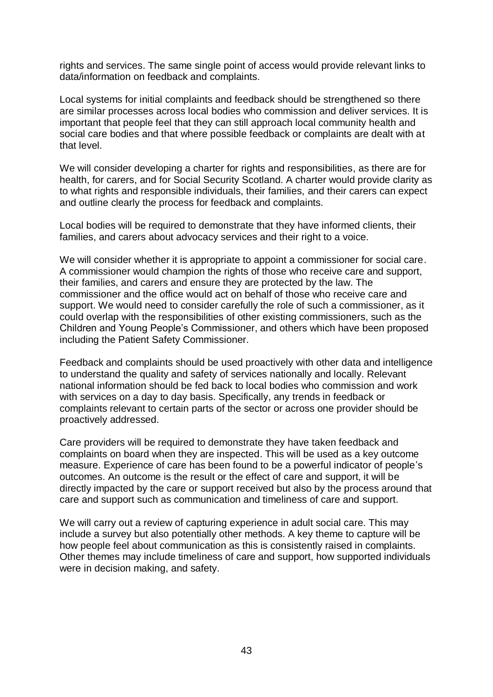rights and services. The same single point of access would provide relevant links to data/information on feedback and complaints.

Local systems for initial complaints and feedback should be strengthened so there are similar processes across local bodies who commission and deliver services. It is important that people feel that they can still approach local community health and social care bodies and that where possible feedback or complaints are dealt with at that level.

We will consider developing a charter for rights and responsibilities, as there are for health, for carers, and for Social Security Scotland. A charter would provide clarity as to what rights and responsible individuals, their families, and their carers can expect and outline clearly the process for feedback and complaints.

Local bodies will be required to demonstrate that they have informed clients, their families, and carers about advocacy services and their right to a voice.

We will consider whether it is appropriate to appoint a commissioner for social care. A commissioner would champion the rights of those who receive care and support, their families, and carers and ensure they are protected by the law. The commissioner and the office would act on behalf of those who receive care and support. We would need to consider carefully the role of such a commissioner, as it could overlap with the responsibilities of other existing commissioners, such as the Children and Young People's Commissioner, and others which have been proposed including the Patient Safety Commissioner.

Feedback and complaints should be used proactively with other data and intelligence to understand the quality and safety of services nationally and locally. Relevant national information should be fed back to local bodies who commission and work with services on a day to day basis. Specifically, any trends in feedback or complaints relevant to certain parts of the sector or across one provider should be proactively addressed.

Care providers will be required to demonstrate they have taken feedback and complaints on board when they are inspected. This will be used as a key outcome measure. Experience of care has been found to be a powerful indicator of people's outcomes. An outcome is the result or the effect of care and support, it will be directly impacted by the care or support received but also by the process around that care and support such as communication and timeliness of care and support.

We will carry out a review of capturing experience in adult social care. This may include a survey but also potentially other methods. A key theme to capture will be how people feel about communication as this is consistently raised in complaints. Other themes may include timeliness of care and support, how supported individuals were in decision making, and safety.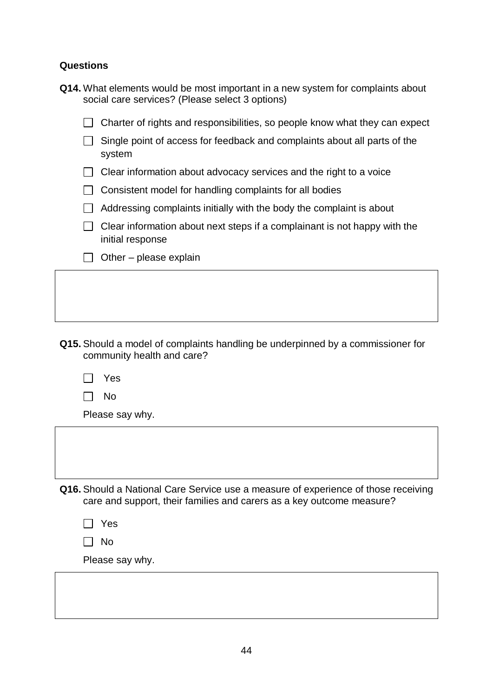#### **Questions**

| Q14. What elements would be most important in a new system for complaints about |  |  |  |
|---------------------------------------------------------------------------------|--|--|--|
| social care services? (Please select 3 options)                                 |  |  |  |

| $\Box$ Charter of rights and responsibilities, so people know what they can expect |  |  |
|------------------------------------------------------------------------------------|--|--|
|                                                                                    |  |  |

- $\Box$  Single point of access for feedback and complaints about all parts of the system
- $\Box$  Clear information about advocacy services and the right to a voice
- $\Box$  Consistent model for handling complaints for all bodies
- $\Box$  Addressing complaints initially with the body the complaint is about
- $\Box$  Clear information about next steps if a complainant is not happy with the initial response
- $\Box$  Other please explain

- **Q15.** Should a model of complaints handling be underpinned by a commissioner for community health and care?
	- Yes  $\mathbf{1}$

| ______ | ۰.<br>w |
|--------|---------|
|--------|---------|

Please say why.

**Q16.** Should a National Care Service use a measure of experience of those receiving care and support, their families and carers as a key outcome measure?

| ٠ |  |
|---|--|
|---|--|

| w<br>۰. |
|---------|
|---------|

Please say why.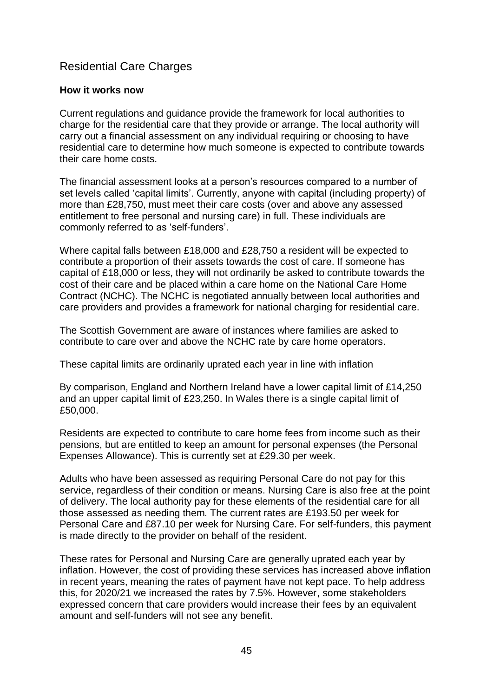## Residential Care Charges

#### **How it works now**

Current regulations and guidance provide the framework for local authorities to charge for the residential care that they provide or arrange. The local authority will carry out a financial assessment on any individual requiring or choosing to have residential care to determine how much someone is expected to contribute towards their care home costs.

The financial assessment looks at a person's resources compared to a number of set levels called 'capital limits'. Currently, anyone with capital (including property) of more than £28,750, must meet their care costs (over and above any assessed entitlement to free personal and nursing care) in full. These individuals are commonly referred to as 'self-funders'.

Where capital falls between £18,000 and £28,750 a resident will be expected to contribute a proportion of their assets towards the cost of care. If someone has capital of £18,000 or less, they will not ordinarily be asked to contribute towards the cost of their care and be placed within a care home on the National Care Home Contract (NCHC). The NCHC is negotiated annually between local authorities and care providers and provides a framework for national charging for residential care.

The Scottish Government are aware of instances where families are asked to contribute to care over and above the NCHC rate by care home operators.

These capital limits are ordinarily uprated each year in line with inflation

By comparison, England and Northern Ireland have a lower capital limit of £14,250 and an upper capital limit of £23,250. In Wales there is a single capital limit of £50,000.

Residents are expected to contribute to care home fees from income such as their pensions, but are entitled to keep an amount for personal expenses (the Personal Expenses Allowance). This is currently set at £29.30 per week.

Adults who have been assessed as requiring Personal Care do not pay for this service, regardless of their condition or means. Nursing Care is also free at the point of delivery. The local authority pay for these elements of the residential care for all those assessed as needing them. The current rates are £193.50 per week for Personal Care and £87.10 per week for Nursing Care. For self-funders, this payment is made directly to the provider on behalf of the resident.

These rates for Personal and Nursing Care are generally uprated each year by inflation. However, the cost of providing these services has increased above inflation in recent years, meaning the rates of payment have not kept pace. To help address this, for 2020/21 we increased the rates by 7.5%. However, some stakeholders expressed concern that care providers would increase their fees by an equivalent amount and self-funders will not see any benefit.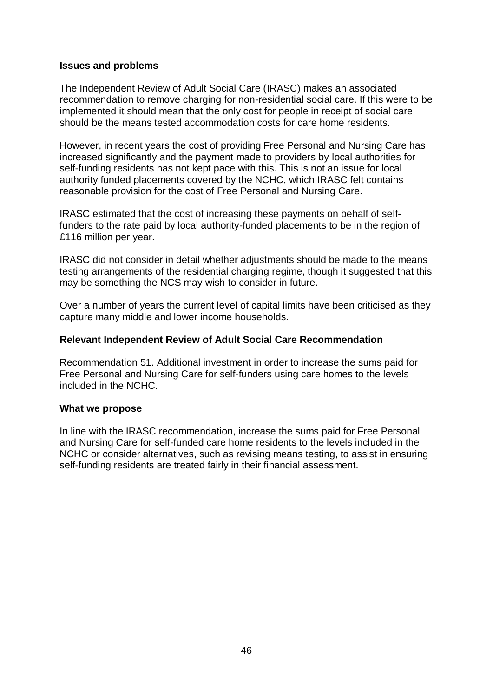#### **Issues and problems**

The Independent Review of Adult Social Care (IRASC) makes an associated recommendation to remove charging for non-residential social care. If this were to be implemented it should mean that the only cost for people in receipt of social care should be the means tested accommodation costs for care home residents.

However, in recent years the cost of providing Free Personal and Nursing Care has increased significantly and the payment made to providers by local authorities for self-funding residents has not kept pace with this. This is not an issue for local authority funded placements covered by the NCHC, which IRASC felt contains reasonable provision for the cost of Free Personal and Nursing Care.

IRASC estimated that the cost of increasing these payments on behalf of selffunders to the rate paid by local authority-funded placements to be in the region of £116 million per year.

IRASC did not consider in detail whether adjustments should be made to the means testing arrangements of the residential charging regime, though it suggested that this may be something the NCS may wish to consider in future.

Over a number of years the current level of capital limits have been criticised as they capture many middle and lower income households.

#### **Relevant Independent Review of Adult Social Care Recommendation**

Recommendation 51. Additional investment in order to increase the sums paid for Free Personal and Nursing Care for self-funders using care homes to the levels included in the NCHC.

#### **What we propose**

In line with the IRASC recommendation, increase the sums paid for Free Personal and Nursing Care for self-funded care home residents to the levels included in the NCHC or consider alternatives, such as revising means testing, to assist in ensuring self-funding residents are treated fairly in their financial assessment.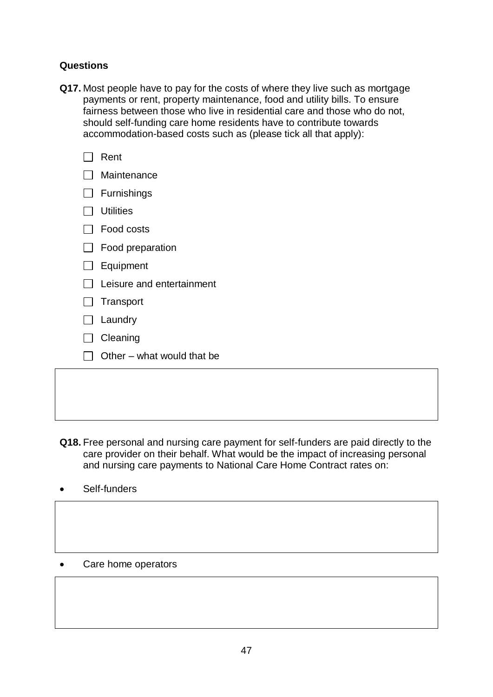#### **Questions**

**Q17.** Most people have to pay for the costs of where they live such as mortgage payments or rent, property maintenance, food and utility bills. To ensure fairness between those who live in residential care and those who do not, should self-funding care home residents have to contribute towards accommodation-based costs such as (please tick all that apply):

|        | Rent                       |
|--------|----------------------------|
|        | Maintenance                |
|        | Furnishings                |
|        | <b>Utilities</b>           |
|        | Food costs                 |
|        | Food preparation           |
|        | Equipment                  |
|        | Leisure and entertainment  |
|        | $\Box$ Transport           |
| $\Box$ | Laundry                    |
|        | Cleaning                   |
|        | Other – what would that be |
|        |                            |
|        |                            |

- **Q18.** Free personal and nursing care payment for self-funders are paid directly to the care provider on their behalf. What would be the impact of increasing personal and nursing care payments to National Care Home Contract rates on:
- Self-funders
- Care home operators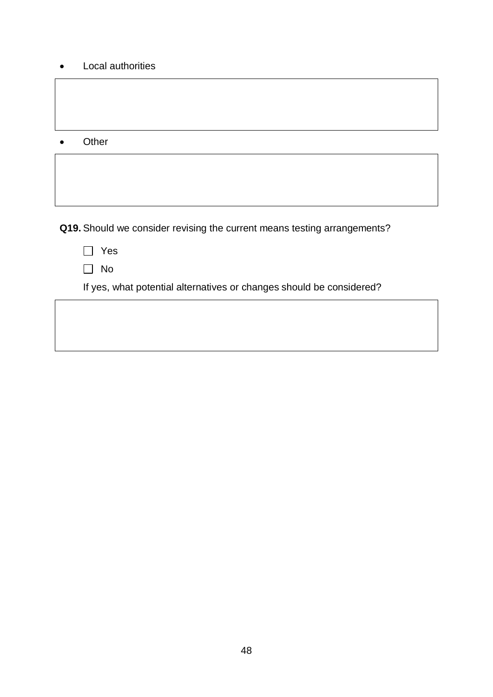• Local authorities

• Other

**Q19.** Should we consider revising the current means testing arrangements?

|--|

 $\Box$  No

If yes, what potential alternatives or changes should be considered?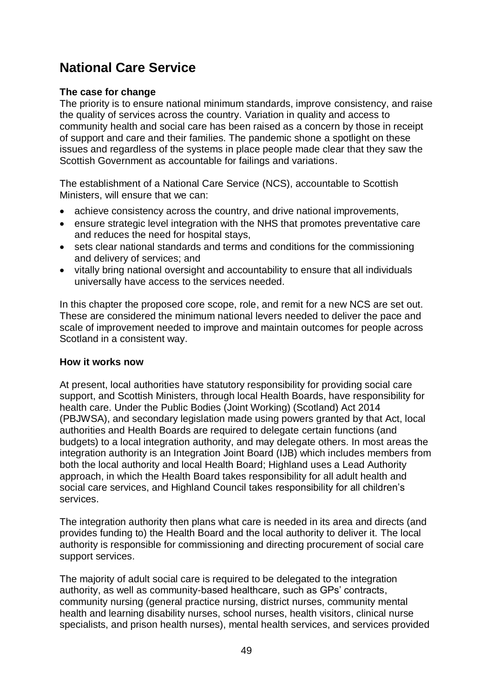# **National Care Service**

### **The case for change**

The priority is to ensure national minimum standards, improve consistency, and raise the quality of services across the country. Variation in quality and access to community health and social care has been raised as a concern by those in receipt of support and care and their families. The pandemic shone a spotlight on these issues and regardless of the systems in place people made clear that they saw the Scottish Government as accountable for failings and variations.

The establishment of a National Care Service (NCS), accountable to Scottish Ministers, will ensure that we can:

- achieve consistency across the country, and drive national improvements,
- ensure strategic level integration with the NHS that promotes preventative care and reduces the need for hospital stays,
- sets clear national standards and terms and conditions for the commissioning and delivery of services; and
- vitally bring national oversight and accountability to ensure that all individuals universally have access to the services needed.

In this chapter the proposed core scope, role, and remit for a new NCS are set out. These are considered the minimum national levers needed to deliver the pace and scale of improvement needed to improve and maintain outcomes for people across Scotland in a consistent way.

### **How it works now**

At present, local authorities have statutory responsibility for providing social care support, and Scottish Ministers, through local Health Boards, have responsibility for health care. Under the Public Bodies (Joint Working) (Scotland) Act 2014 (PBJWSA), and secondary legislation made using powers granted by that Act, local authorities and Health Boards are required to delegate certain functions (and budgets) to a local integration authority, and may delegate others. In most areas the integration authority is an Integration Joint Board (IJB) which includes members from both the local authority and local Health Board; Highland uses a Lead Authority approach, in which the Health Board takes responsibility for all adult health and social care services, and Highland Council takes responsibility for all children's services.

The integration authority then plans what care is needed in its area and directs (and provides funding to) the Health Board and the local authority to deliver it. The local authority is responsible for commissioning and directing procurement of social care support services.

The majority of adult social care is required to be delegated to the integration authority, as well as community-based healthcare, such as GPs' contracts, community nursing (general practice nursing, district nurses, community mental health and learning disability nurses, school nurses, health visitors, clinical nurse specialists, and prison health nurses), mental health services, and services provided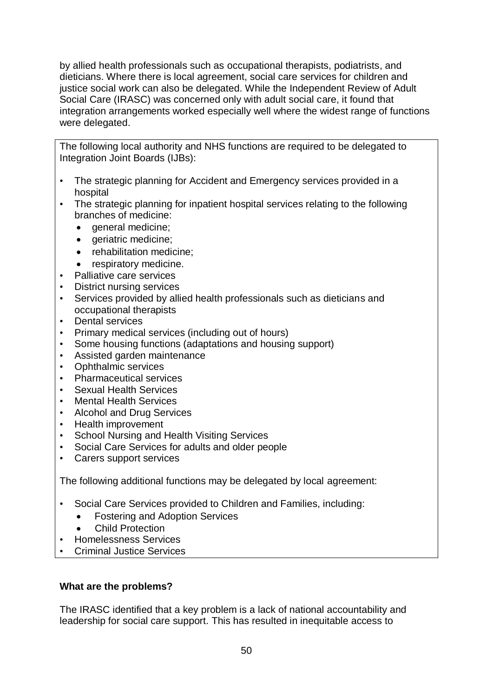by allied health professionals such as occupational therapists, podiatrists, and dieticians. Where there is local agreement, social care services for children and justice social work can also be delegated. While the Independent Review of Adult Social Care (IRASC) was concerned only with adult social care, it found that integration arrangements worked especially well where the widest range of functions were delegated.

The following local authority and NHS functions are required to be delegated to Integration Joint Boards (IJBs):

- The strategic planning for Accident and Emergency services provided in a hospital
- The strategic planning for inpatient hospital services relating to the following branches of medicine:
	- general medicine:
	- geriatric medicine;
	- rehabilitation medicine;
	- respiratory medicine.
- Palliative care services
- District nursing services
- Services provided by allied health professionals such as dieticians and occupational therapists
- Dental services
- Primary medical services (including out of hours)
- Some housing functions (adaptations and housing support)
- Assisted garden maintenance
- Ophthalmic services
- Pharmaceutical services
- Sexual Health Services
- Mental Health Services
- Alcohol and Drug Services
- Health improvement
- School Nursing and Health Visiting Services
- Social Care Services for adults and older people
- Carers support services

The following additional functions may be delegated by local agreement:

- Social Care Services provided to Children and Families, including:
	- Fostering and Adoption Services
	- **Child Protection**
- Homelessness Services
- Criminal Justice Services

#### **What are the problems?**

The IRASC identified that a key problem is a lack of national accountability and leadership for social care support. This has resulted in inequitable access to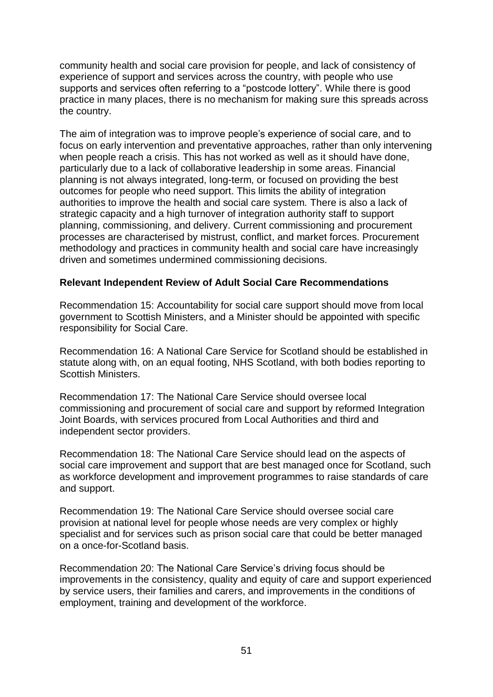community health and social care provision for people, and lack of consistency of experience of support and services across the country, with people who use supports and services often referring to a "postcode lottery". While there is good practice in many places, there is no mechanism for making sure this spreads across the country.

The aim of integration was to improve people's experience of social care, and to focus on early intervention and preventative approaches, rather than only intervening when people reach a crisis. This has not worked as well as it should have done, particularly due to a lack of collaborative leadership in some areas. Financial planning is not always integrated, long-term, or focused on providing the best outcomes for people who need support. This limits the ability of integration authorities to improve the health and social care system. There is also a lack of strategic capacity and a high turnover of integration authority staff to support planning, commissioning, and delivery. Current commissioning and procurement processes are characterised by mistrust, conflict, and market forces. Procurement methodology and practices in community health and social care have increasingly driven and sometimes undermined commissioning decisions.

#### **Relevant Independent Review of Adult Social Care Recommendations**

Recommendation 15: Accountability for social care support should move from local government to Scottish Ministers, and a Minister should be appointed with specific responsibility for Social Care.

Recommendation 16: A National Care Service for Scotland should be established in statute along with, on an equal footing, NHS Scotland, with both bodies reporting to Scottish Ministers.

Recommendation 17: The National Care Service should oversee local commissioning and procurement of social care and support by reformed Integration Joint Boards, with services procured from Local Authorities and third and independent sector providers.

Recommendation 18: The National Care Service should lead on the aspects of social care improvement and support that are best managed once for Scotland, such as workforce development and improvement programmes to raise standards of care and support.

Recommendation 19: The National Care Service should oversee social care provision at national level for people whose needs are very complex or highly specialist and for services such as prison social care that could be better managed on a once-for-Scotland basis.

Recommendation 20: The National Care Service's driving focus should be improvements in the consistency, quality and equity of care and support experienced by service users, their families and carers, and improvements in the conditions of employment, training and development of the workforce.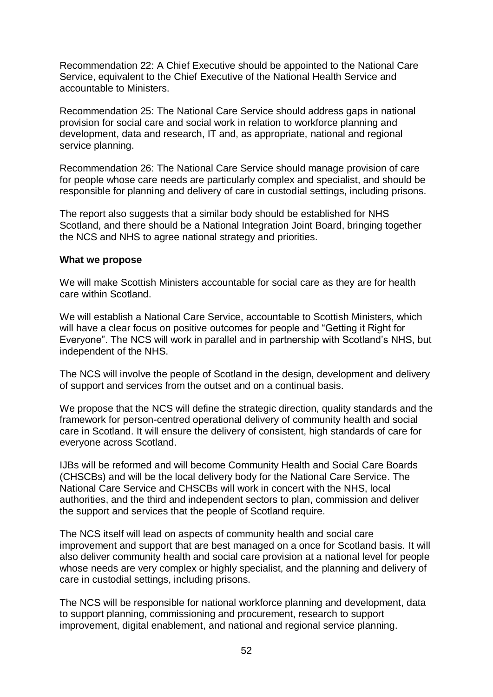Recommendation 22: A Chief Executive should be appointed to the National Care Service, equivalent to the Chief Executive of the National Health Service and accountable to Ministers.

Recommendation 25: The National Care Service should address gaps in national provision for social care and social work in relation to workforce planning and development, data and research, IT and, as appropriate, national and regional service planning.

Recommendation 26: The National Care Service should manage provision of care for people whose care needs are particularly complex and specialist, and should be responsible for planning and delivery of care in custodial settings, including prisons.

The report also suggests that a similar body should be established for NHS Scotland, and there should be a National Integration Joint Board, bringing together the NCS and NHS to agree national strategy and priorities.

#### **What we propose**

We will make Scottish Ministers accountable for social care as they are for health care within Scotland.

We will establish a National Care Service, accountable to Scottish Ministers, which will have a clear focus on positive outcomes for people and "Getting it Right for Everyone". The NCS will work in parallel and in partnership with Scotland's NHS, but independent of the NHS.

The NCS will involve the people of Scotland in the design, development and delivery of support and services from the outset and on a continual basis.

We propose that the NCS will define the strategic direction, quality standards and the framework for person-centred operational delivery of community health and social care in Scotland. It will ensure the delivery of consistent, high standards of care for everyone across Scotland.

IJBs will be reformed and will become Community Health and Social Care Boards (CHSCBs) and will be the local delivery body for the National Care Service. The National Care Service and CHSCBs will work in concert with the NHS, local authorities, and the third and independent sectors to plan, commission and deliver the support and services that the people of Scotland require.

The NCS itself will lead on aspects of community health and social care improvement and support that are best managed on a once for Scotland basis. It will also deliver community health and social care provision at a national level for people whose needs are very complex or highly specialist, and the planning and delivery of care in custodial settings, including prisons.

The NCS will be responsible for national workforce planning and development, data to support planning, commissioning and procurement, research to support improvement, digital enablement, and national and regional service planning.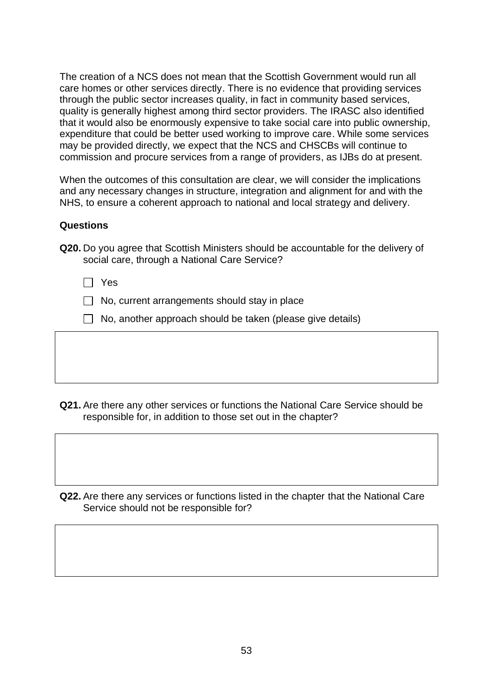The creation of a NCS does not mean that the Scottish Government would run all care homes or other services directly. There is no evidence that providing services through the public sector increases quality, in fact in community based services, quality is generally highest among third sector providers. The IRASC also identified that it would also be enormously expensive to take social care into public ownership, expenditure that could be better used working to improve care. While some services may be provided directly, we expect that the NCS and CHSCBs will continue to commission and procure services from a range of providers, as IJBs do at present.

When the outcomes of this consultation are clear, we will consider the implications and any necessary changes in structure, integration and alignment for and with the NHS, to ensure a coherent approach to national and local strategy and delivery.

#### **Questions**

|  | Q20. Do you agree that Scottish Ministers should be accountable for the delivery of |  |  |  |
|--|-------------------------------------------------------------------------------------|--|--|--|
|  | social care, through a National Care Service?                                       |  |  |  |

- Yes
- $\Box$  No, current arrangements should stay in place
- $\Box$  No, another approach should be taken (please give details)

**Q21.** Are there any other services or functions the National Care Service should be responsible for, in addition to those set out in the chapter?

**Q22.** Are there any services or functions listed in the chapter that the National Care Service should not be responsible for?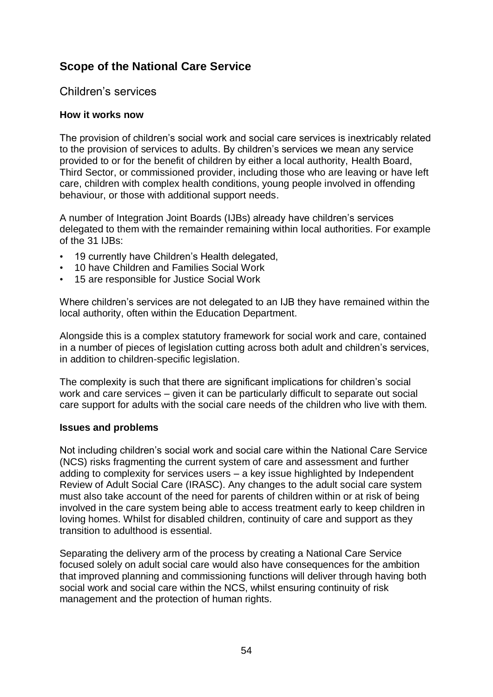## **Scope of the National Care Service**

## Children's services

#### **How it works now**

The provision of children's social work and social care services is inextricably related to the provision of services to adults. By children's services we mean any service provided to or for the benefit of children by either a local authority, Health Board, Third Sector, or commissioned provider, including those who are leaving or have left care, children with complex health conditions, young people involved in offending behaviour, or those with additional support needs.

A number of Integration Joint Boards (IJBs) already have children's services delegated to them with the remainder remaining within local authorities. For example of the 31 IJBs:

- 19 currently have Children's Health delegated,
- 10 have Children and Families Social Work
- 15 are responsible for Justice Social Work

Where children's services are not delegated to an IJB they have remained within the local authority, often within the Education Department.

Alongside this is a complex statutory framework for social work and care, contained in a number of pieces of legislation cutting across both adult and children's services, in addition to children-specific legislation.

The complexity is such that there are significant implications for children's social work and care services – given it can be particularly difficult to separate out social care support for adults with the social care needs of the children who live with them.

#### **Issues and problems**

Not including children's social work and social care within the National Care Service (NCS) risks fragmenting the current system of care and assessment and further adding to complexity for services users – a key issue highlighted by Independent Review of Adult Social Care (IRASC). Any changes to the adult social care system must also take account of the need for parents of children within or at risk of being involved in the care system being able to access treatment early to keep children in loving homes. Whilst for disabled children, continuity of care and support as they transition to adulthood is essential.

Separating the delivery arm of the process by creating a National Care Service focused solely on adult social care would also have consequences for the ambition that improved planning and commissioning functions will deliver through having both social work and social care within the NCS, whilst ensuring continuity of risk management and the protection of human rights.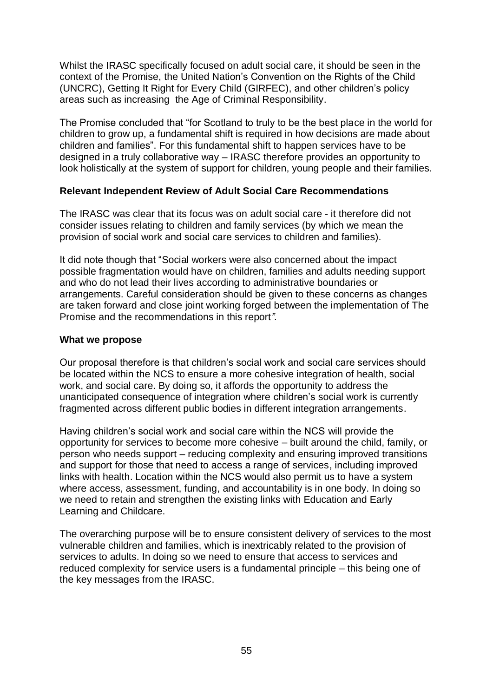Whilst the IRASC specifically focused on adult social care, it should be seen in the context of the Promise, the United Nation's Convention on the Rights of the Child (UNCRC), Getting It Right for Every Child (GIRFEC), and other children's policy areas such as increasing the Age of Criminal Responsibility.

The Promise concluded that "for Scotland to truly to be the best place in the world for children to grow up, a fundamental shift is required in how decisions are made about children and families". For this fundamental shift to happen services have to be designed in a truly collaborative way – IRASC therefore provides an opportunity to look holistically at the system of support for children, young people and their families.

#### **Relevant Independent Review of Adult Social Care Recommendations**

The IRASC was clear that its focus was on adult social care *-* it therefore did not consider issues relating to children and family services (by which we mean the provision of social work and social care services to children and families).

It did note though that "Social workers were also concerned about the impact possible fragmentation would have on children, families and adults needing support and who do not lead their lives according to administrative boundaries or arrangements. Careful consideration should be given to these concerns as changes are taken forward and close joint working forged between the implementation of The Promise and the recommendations in this report*".*

#### **What we propose**

Our proposal therefore is that children's social work and social care services should be located within the NCS to ensure a more cohesive integration of health, social work, and social care. By doing so, it affords the opportunity to address the unanticipated consequence of integration where children's social work is currently fragmented across different public bodies in different integration arrangements.

Having children's social work and social care within the NCS will provide the opportunity for services to become more cohesive – built around the child, family, or person who needs support – reducing complexity and ensuring improved transitions and support for those that need to access a range of services, including improved links with health. Location within the NCS would also permit us to have a system where access, assessment, funding, and accountability is in one body. In doing so we need to retain and strengthen the existing links with Education and Early Learning and Childcare.

The overarching purpose will be to ensure consistent delivery of services to the most vulnerable children and families, which is inextricably related to the provision of services to adults. In doing so we need to ensure that access to services and reduced complexity for service users is a fundamental principle – this being one of the key messages from the IRASC.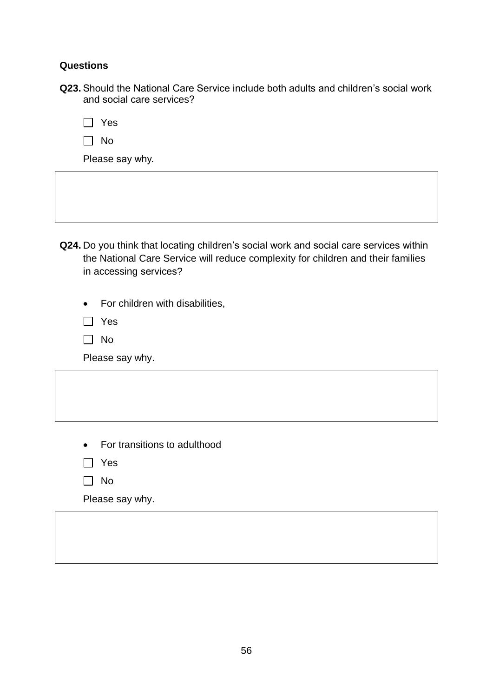#### **Questions**

**Q23.** Should the National Care Service include both adults and children's social work and social care services?

|--|

 $\Box$  No

Please say why.

**Q24.** Do you think that locating children's social work and social care services within the National Care Service will reduce complexity for children and their families in accessing services?

• For children with disabilities,

- □ Yes
- $\Box$  No

Please say why.

- For transitions to adulthood
- Yes
- $\Box$  No

Please say why.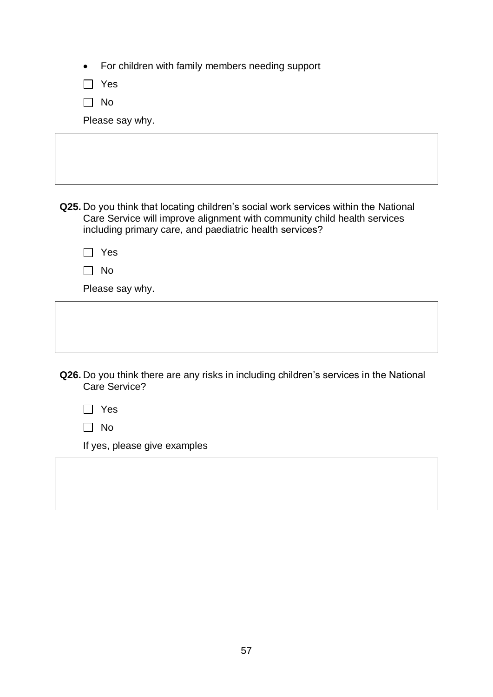|  | For children with family members needing support |  |  |  |  |
|--|--------------------------------------------------|--|--|--|--|
|--|--------------------------------------------------|--|--|--|--|

Yes

 $\Box$  No

Please say why.

| Q25. Do you think that locating children's social work services within the National |
|-------------------------------------------------------------------------------------|
| Care Service will improve alignment with community child health services            |
| including primary care, and paediatric health services?                             |

| ٠ |
|---|
|---|

| w |  |
|---|--|
|---|--|

Please say why.

| Q26. Do you think there are any risks in including children's services in the National |  |  |
|----------------------------------------------------------------------------------------|--|--|
| Care Service?                                                                          |  |  |

|--|--|

 $\Box$  No

If yes, please give examples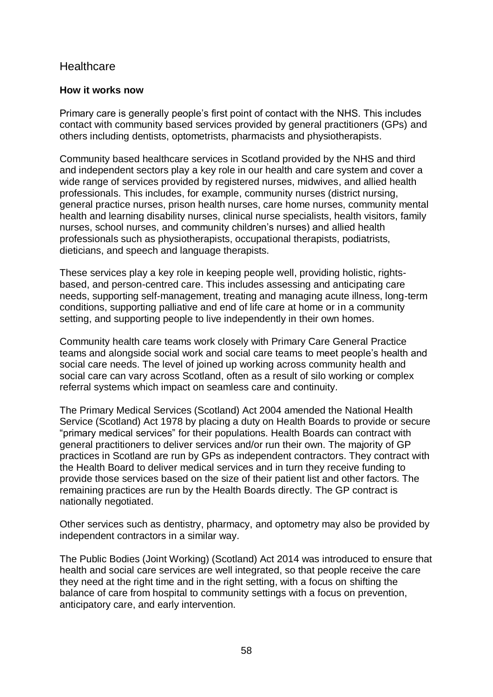## **Healthcare**

#### **How it works now**

Primary care is generally people's first point of contact with the NHS. This includes contact with community based services provided by general practitioners (GPs) and others including dentists, optometrists, pharmacists and physiotherapists.

Community based healthcare services in Scotland provided by the NHS and third and independent sectors play a key role in our health and care system and cover a wide range of services provided by registered nurses, midwives, and allied health professionals. This includes, for example, community nurses (district nursing, general practice nurses, prison health nurses, care home nurses, community mental health and learning disability nurses, clinical nurse specialists, health visitors, family nurses, school nurses, and community children's nurses) and allied health professionals such as physiotherapists, occupational therapists, podiatrists, dieticians, and speech and language therapists.

These services play a key role in keeping people well, providing holistic, rightsbased, and person-centred care. This includes assessing and anticipating care needs, supporting self-management, treating and managing acute illness, long-term conditions, supporting palliative and end of life care at home or in a community setting, and supporting people to live independently in their own homes.

Community health care teams work closely with Primary Care General Practice teams and alongside social work and social care teams to meet people's health and social care needs. The level of joined up working across community health and social care can vary across Scotland, often as a result of silo working or complex referral systems which impact on seamless care and continuity.

The Primary Medical Services (Scotland) Act 2004 amended the National Health Service (Scotland) Act 1978 by placing a duty on Health Boards to provide or secure "primary medical services" for their populations. Health Boards can contract with general practitioners to deliver services and/or run their own. The majority of GP practices in Scotland are run by GPs as independent contractors. They contract with the Health Board to deliver medical services and in turn they receive funding to provide those services based on the size of their patient list and other factors. The remaining practices are run by the Health Boards directly. The GP contract is nationally negotiated.

Other services such as dentistry, pharmacy, and optometry may also be provided by independent contractors in a similar way.

The Public Bodies (Joint Working) (Scotland) Act 2014 was introduced to ensure that health and social care services are well integrated, so that people receive the care they need at the right time and in the right setting, with a focus on shifting the balance of care from hospital to community settings with a focus on prevention, anticipatory care, and early intervention.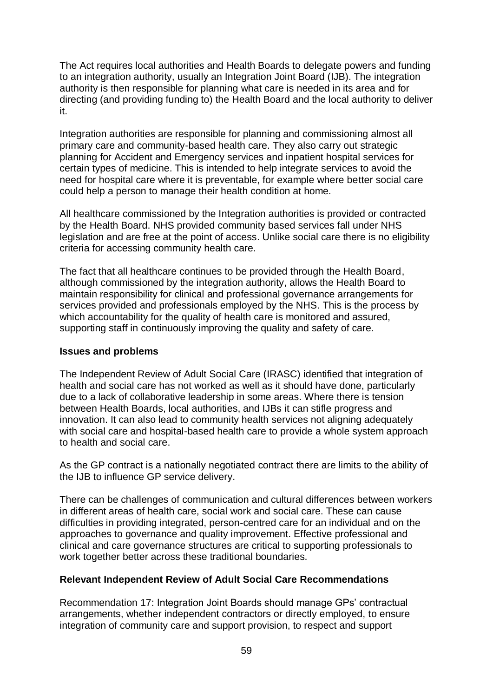The Act requires local authorities and Health Boards to delegate powers and funding to an integration authority, usually an Integration Joint Board (IJB). The integration authority is then responsible for planning what care is needed in its area and for directing (and providing funding to) the Health Board and the local authority to deliver it.

Integration authorities are responsible for planning and commissioning almost all primary care and community-based health care. They also carry out strategic planning for Accident and Emergency services and inpatient hospital services for certain types of medicine. This is intended to help integrate services to avoid the need for hospital care where it is preventable, for example where better social care could help a person to manage their health condition at home.

All healthcare commissioned by the Integration authorities is provided or contracted by the Health Board. NHS provided community based services fall under NHS legislation and are free at the point of access. Unlike social care there is no eligibility criteria for accessing community health care.

The fact that all healthcare continues to be provided through the Health Board, although commissioned by the integration authority, allows the Health Board to maintain responsibility for clinical and professional governance arrangements for services provided and professionals employed by the NHS. This is the process by which accountability for the quality of health care is monitored and assured, supporting staff in continuously improving the quality and safety of care.

#### **Issues and problems**

The Independent Review of Adult Social Care (IRASC) identified that integration of health and social care has not worked as well as it should have done, particularly due to a lack of collaborative leadership in some areas. Where there is tension between Health Boards, local authorities, and IJBs it can stifle progress and innovation. It can also lead to community health services not aligning adequately with social care and hospital-based health care to provide a whole system approach to health and social care.

As the GP contract is a nationally negotiated contract there are limits to the ability of the IJB to influence GP service delivery.

There can be challenges of communication and cultural differences between workers in different areas of health care, social work and social care. These can cause difficulties in providing integrated, person-centred care for an individual and on the approaches to governance and quality improvement. Effective professional and clinical and care governance structures are critical to supporting professionals to work together better across these traditional boundaries.

### **Relevant Independent Review of Adult Social Care Recommendations**

Recommendation 17: Integration Joint Boards should manage GPs' contractual arrangements, whether independent contractors or directly employed, to ensure integration of community care and support provision, to respect and support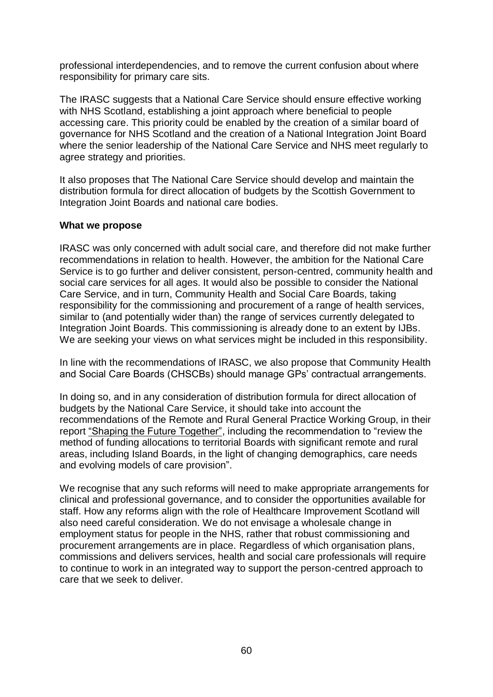professional interdependencies, and to remove the current confusion about where responsibility for primary care sits.

The IRASC suggests that a National Care Service should ensure effective working with NHS Scotland, establishing a joint approach where beneficial to people accessing care. This priority could be enabled by the creation of a similar board of governance for NHS Scotland and the creation of a National Integration Joint Board where the senior leadership of the National Care Service and NHS meet regularly to agree strategy and priorities.

It also proposes that The National Care Service should develop and maintain the distribution formula for direct allocation of budgets by the Scottish Government to Integration Joint Boards and national care bodies.

#### **What we propose**

IRASC was only concerned with adult social care, and therefore did not make further recommendations in relation to health. However, the ambition for the National Care Service is to go further and deliver consistent, person-centred, community health and social care services for all ages. It would also be possible to consider the National Care Service, and in turn, Community Health and Social Care Boards, taking responsibility for the commissioning and procurement of a range of health services, similar to (and potentially wider than) the range of services currently delegated to Integration Joint Boards. This commissioning is already done to an extent by IJBs. We are seeking your views on what services might be included in this responsibility.

In line with the recommendations of IRASC, we also propose that Community Health and Social Care Boards (CHSCBs) should manage GPs' contractual arrangements.

In doing so, and in any consideration of distribution formula for direct allocation of budgets by the National Care Service, it should take into account the recommendations of the Remote and Rural General Practice Working Group, in their report ["Shaping the Future Together",](https://www.gov.scot/publications/shaping-future-together-report-remote-rural-general-practice-working-group/) including the recommendation to "review the method of funding allocations to territorial Boards with significant remote and rural areas, including Island Boards, in the light of changing demographics, care needs and evolving models of care provision".

We recognise that any such reforms will need to make appropriate arrangements for clinical and professional governance, and to consider the opportunities available for staff. How any reforms align with the role of Healthcare Improvement Scotland will also need careful consideration. We do not envisage a wholesale change in employment status for people in the NHS, rather that robust commissioning and procurement arrangements are in place. Regardless of which organisation plans, commissions and delivers services, health and social care professionals will require to continue to work in an integrated way to support the person-centred approach to care that we seek to deliver.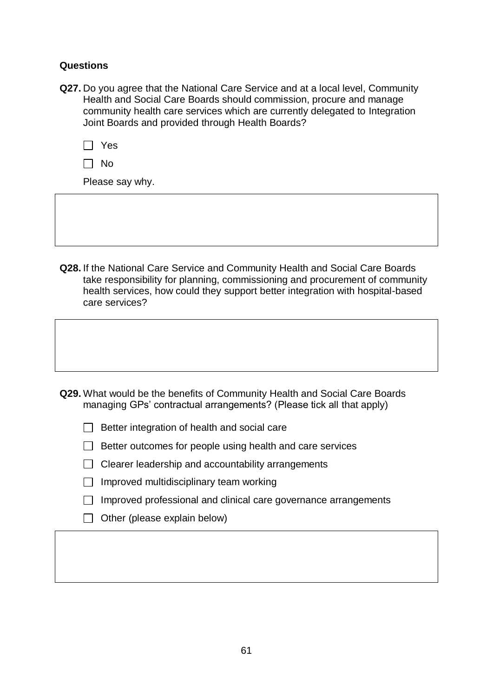#### **Questions**

**Q27.** Do you agree that the National Care Service and at a local level, Community Health and Social Care Boards should commission, procure and manage community health care services which are currently delegated to Integration Joint Boards and provided through Health Boards?

|--|--|

Please say why.

**Q28.** If the National Care Service and Community Health and Social Care Boards take responsibility for planning, commissioning and procurement of community health services, how could they support better integration with hospital-based care services?

- **Q29.** What would be the benefits of Community Health and Social Care Boards managing GPs' contractual arrangements? (Please tick all that apply)
	- $\Box$  Better integration of health and social care
	- $\Box$  Better outcomes for people using health and care services
	- $\Box$  Clearer leadership and accountability arrangements
	- $\Box$  Improved multidisciplinary team working
	- $\Box$  Improved professional and clinical care governance arrangements
	- $\Box$  Other (please explain below)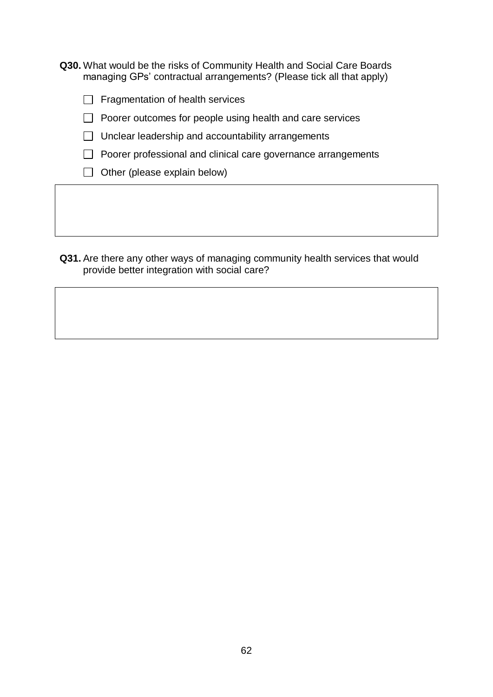**Q30.** What would be the risks of Community Health and Social Care Boards managing GPs' contractual arrangements? (Please tick all that apply)

 $\Box$  Fragmentation of health services

 $\Box$  Poorer outcomes for people using health and care services

 $\Box$  Unclear leadership and accountability arrangements

 $\Box$  Poorer professional and clinical care governance arrangements

 $\Box$  Other (please explain below)

**Q31.** Are there any other ways of managing community health services that would provide better integration with social care?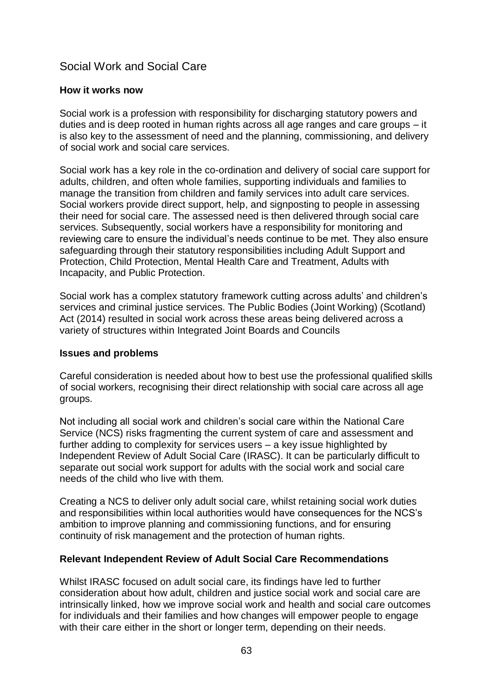## Social Work and Social Care

#### **How it works now**

Social work is a profession with responsibility for discharging statutory powers and duties and is deep rooted in human rights across all age ranges and care groups – it is also key to the assessment of need and the planning, commissioning, and delivery of social work and social care services.

Social work has a key role in the co-ordination and delivery of social care support for adults, children, and often whole families, supporting individuals and families to manage the transition from children and family services into adult care services. Social workers provide direct support, help, and signposting to people in assessing their need for social care. The assessed need is then delivered through social care services. Subsequently, social workers have a responsibility for monitoring and reviewing care to ensure the individual's needs continue to be met. They also ensure safeguarding through their statutory responsibilities including Adult Support and Protection, Child Protection, Mental Health Care and Treatment, Adults with Incapacity, and Public Protection.

Social work has a complex statutory framework cutting across adults' and children's services and criminal justice services. The Public Bodies (Joint Working) (Scotland) Act (2014) resulted in social work across these areas being delivered across a variety of structures within Integrated Joint Boards and Councils

#### **Issues and problems**

Careful consideration is needed about how to best use the professional qualified skills of social workers, recognising their direct relationship with social care across all age groups.

Not including all social work and children's social care within the National Care Service (NCS) risks fragmenting the current system of care and assessment and further adding to complexity for services users – a key issue highlighted by Independent Review of Adult Social Care (IRASC). It can be particularly difficult to separate out social work support for adults with the social work and social care needs of the child who live with them.

Creating a NCS to deliver only adult social care, whilst retaining social work duties and responsibilities within local authorities would have consequences for the NCS's ambition to improve planning and commissioning functions, and for ensuring continuity of risk management and the protection of human rights.

#### **Relevant Independent Review of Adult Social Care Recommendations**

Whilst IRASC focused on adult social care, its findings have led to further consideration about how adult, children and justice social work and social care are intrinsically linked, how we improve social work and health and social care outcomes for individuals and their families and how changes will empower people to engage with their care either in the short or longer term, depending on their needs.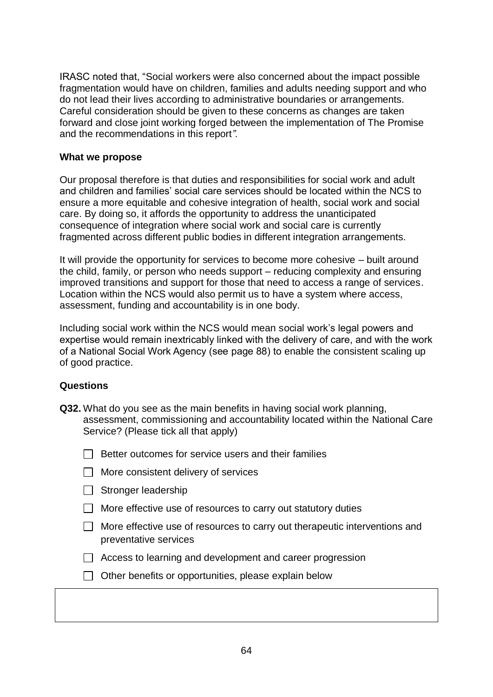IRASC noted that, "Social workers were also concerned about the impact possible fragmentation would have on children, families and adults needing support and who do not lead their lives according to administrative boundaries or arrangements. Careful consideration should be given to these concerns as changes are taken forward and close joint working forged between the implementation of The Promise and the recommendations in this report*".*

#### **What we propose**

Our proposal therefore is that duties and responsibilities for social work and adult and children and families' social care services should be located within the NCS to ensure a more equitable and cohesive integration of health, social work and social care. By doing so, it affords the opportunity to address the unanticipated consequence of integration where social work and social care is currently fragmented across different public bodies in different integration arrangements.

It will provide the opportunity for services to become more cohesive – built around the child, family, or person who needs support – reducing complexity and ensuring improved transitions and support for those that need to access a range of services. Location within the NCS would also permit us to have a system where access, assessment, funding and accountability is in one body.

Including social work within the NCS would mean social work's legal powers and expertise would remain inextricably linked with the delivery of care, and with the work of a National Social Work Agency (see page 88) to enable the consistent scaling up of good practice.

#### **Questions**

**Q32.** What do you see as the main benefits in having social work planning, assessment, commissioning and accountability located within the National Care Service? (Please tick all that apply)



|  |  |  |  | More consistent delivery of services |
|--|--|--|--|--------------------------------------|
|--|--|--|--|--------------------------------------|

- $\Box$  Stronger leadership
- $\Box$  More effective use of resources to carry out statutory duties
- $\Box$  More effective use of resources to carry out therapeutic interventions and preventative services
- $\Box$  Access to learning and development and career progression
- $\Box$  Other benefits or opportunities, please explain below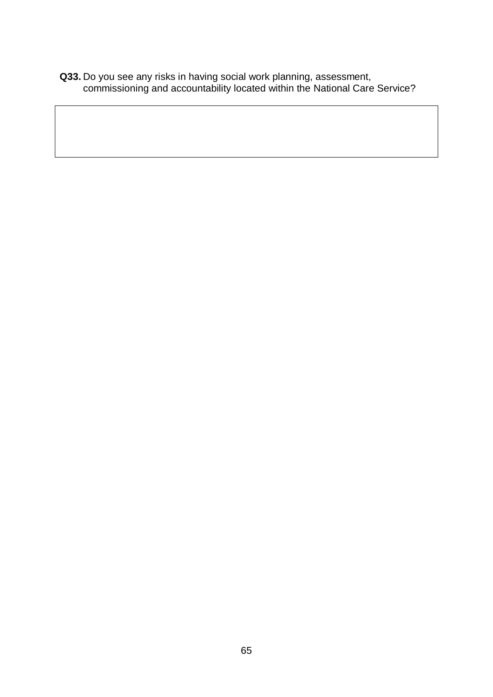**Q33.** Do you see any risks in having social work planning, assessment, commissioning and accountability located within the National Care Service?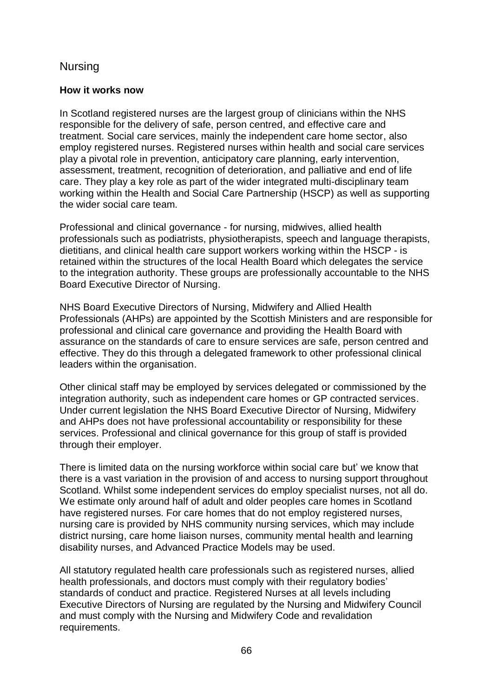## Nursing

#### **How it works now**

In Scotland registered nurses are the largest group of clinicians within the NHS responsible for the delivery of safe, person centred, and effective care and treatment. Social care services, mainly the independent care home sector, also employ registered nurses. Registered nurses within health and social care services play a pivotal role in prevention, anticipatory care planning, early intervention, assessment, treatment, recognition of deterioration, and palliative and end of life care. They play a key role as part of the wider integrated multi-disciplinary team working within the Health and Social Care Partnership (HSCP) as well as supporting the wider social care team.

Professional and clinical governance - for nursing, midwives, allied health professionals such as podiatrists, physiotherapists, speech and language therapists, dietitians, and clinical health care support workers working within the HSCP - is retained within the structures of the local Health Board which delegates the service to the integration authority. These groups are professionally accountable to the NHS Board Executive Director of Nursing.

NHS Board Executive Directors of Nursing, Midwifery and Allied Health Professionals (AHPs) are appointed by the Scottish Ministers and are responsible for professional and clinical care governance and providing the Health Board with assurance on the standards of care to ensure services are safe, person centred and effective. They do this through a delegated framework to other professional clinical leaders within the organisation.

Other clinical staff may be employed by services delegated or commissioned by the integration authority, such as independent care homes or GP contracted services. Under current legislation the NHS Board Executive Director of Nursing, Midwifery and AHPs does not have professional accountability or responsibility for these services. Professional and clinical governance for this group of staff is provided through their employer.

There is limited data on the nursing workforce within social care but' we know that there is a vast variation in the provision of and access to nursing support throughout Scotland. Whilst some independent services do employ specialist nurses, not all do. We estimate only around half of adult and older peoples care homes in Scotland have registered nurses. For care homes that do not employ registered nurses, nursing care is provided by NHS community nursing services, which may include district nursing, care home liaison nurses, community mental health and learning disability nurses, and Advanced Practice Models may be used.

All statutory regulated health care professionals such as registered nurses, allied health professionals, and doctors must comply with their regulatory bodies' standards of conduct and practice. Registered Nurses at all levels including Executive Directors of Nursing are regulated by the Nursing and Midwifery Council and must comply with the Nursing and Midwifery Code and revalidation requirements.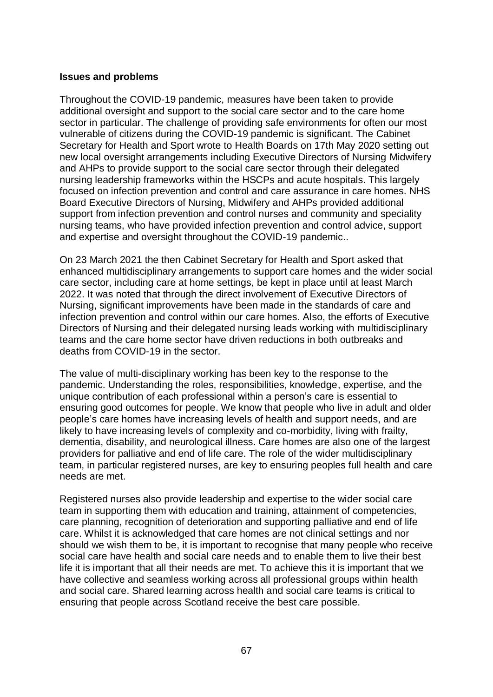#### **Issues and problems**

Throughout the COVID-19 pandemic, measures have been taken to provide additional oversight and support to the social care sector and to the care home sector in particular. The challenge of providing safe environments for often our most vulnerable of citizens during the COVID-19 pandemic is significant. The Cabinet Secretary for Health and Sport wrote to Health Boards on 17th May 2020 setting out new local oversight arrangements including Executive Directors of Nursing Midwifery and AHPs to provide support to the social care sector through their delegated nursing leadership frameworks within the HSCPs and acute hospitals. This largely focused on infection prevention and control and care assurance in care homes. NHS Board Executive Directors of Nursing, Midwifery and AHPs provided additional support from infection prevention and control nurses and community and speciality nursing teams, who have provided infection prevention and control advice, support and expertise and oversight throughout the COVID-19 pandemic..

On 23 March 2021 the then Cabinet Secretary for Health and Sport asked that enhanced multidisciplinary arrangements to support care homes and the wider social care sector, including care at home settings, be kept in place until at least March 2022. It was noted that through the direct involvement of Executive Directors of Nursing, significant improvements have been made in the standards of care and infection prevention and control within our care homes. Also, the efforts of Executive Directors of Nursing and their delegated nursing leads working with multidisciplinary teams and the care home sector have driven reductions in both outbreaks and deaths from COVID-19 in the sector.

The value of multi-disciplinary working has been key to the response to the pandemic. Understanding the roles, responsibilities, knowledge, expertise, and the unique contribution of each professional within a person's care is essential to ensuring good outcomes for people. We know that people who live in adult and older people's care homes have increasing levels of health and support needs, and are likely to have increasing levels of complexity and co-morbidity, living with frailty, dementia, disability, and neurological illness. Care homes are also one of the largest providers for palliative and end of life care. The role of the wider multidisciplinary team, in particular registered nurses, are key to ensuring peoples full health and care needs are met.

Registered nurses also provide leadership and expertise to the wider social care team in supporting them with education and training, attainment of competencies, care planning, recognition of deterioration and supporting palliative and end of life care. Whilst it is acknowledged that care homes are not clinical settings and nor should we wish them to be, it is important to recognise that many people who receive social care have health and social care needs and to enable them to live their best life it is important that all their needs are met. To achieve this it is important that we have collective and seamless working across all professional groups within health and social care. Shared learning across health and social care teams is critical to ensuring that people across Scotland receive the best care possible.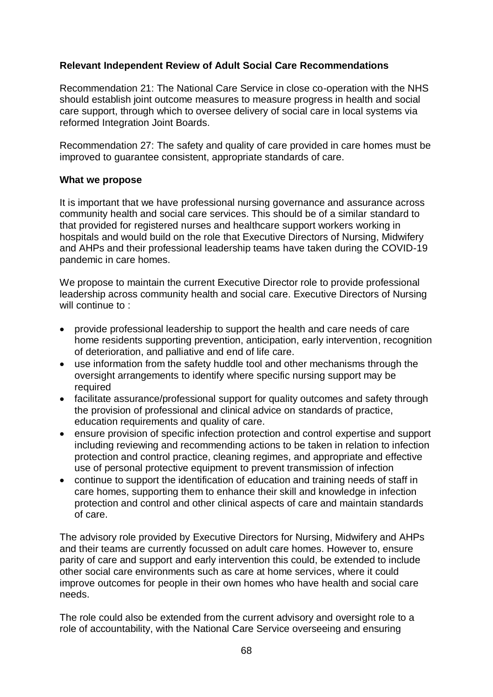## **Relevant Independent Review of Adult Social Care Recommendations**

Recommendation 21: The National Care Service in close co-operation with the NHS should establish joint outcome measures to measure progress in health and social care support, through which to oversee delivery of social care in local systems via reformed Integration Joint Boards.

Recommendation 27: The safety and quality of care provided in care homes must be improved to guarantee consistent, appropriate standards of care.

#### **What we propose**

It is important that we have professional nursing governance and assurance across community health and social care services. This should be of a similar standard to that provided for registered nurses and healthcare support workers working in hospitals and would build on the role that Executive Directors of Nursing, Midwifery and AHPs and their professional leadership teams have taken during the COVID-19 pandemic in care homes.

We propose to maintain the current Executive Director role to provide professional leadership across community health and social care. Executive Directors of Nursing will continue to:

- provide professional leadership to support the health and care needs of care home residents supporting prevention, anticipation, early intervention, recognition of deterioration, and palliative and end of life care.
- use information from the safety huddle tool and other mechanisms through the oversight arrangements to identify where specific nursing support may be required
- facilitate assurance/professional support for quality outcomes and safety through the provision of professional and clinical advice on standards of practice, education requirements and quality of care.
- ensure provision of specific infection protection and control expertise and support including reviewing and recommending actions to be taken in relation to infection protection and control practice, cleaning regimes, and appropriate and effective use of personal protective equipment to prevent transmission of infection
- continue to support the identification of education and training needs of staff in care homes, supporting them to enhance their skill and knowledge in infection protection and control and other clinical aspects of care and maintain standards of care.

The advisory role provided by Executive Directors for Nursing, Midwifery and AHPs and their teams are currently focussed on adult care homes. However to, ensure parity of care and support and early intervention this could, be extended to include other social care environments such as care at home services, where it could improve outcomes for people in their own homes who have health and social care needs.

The role could also be extended from the current advisory and oversight role to a role of accountability, with the National Care Service overseeing and ensuring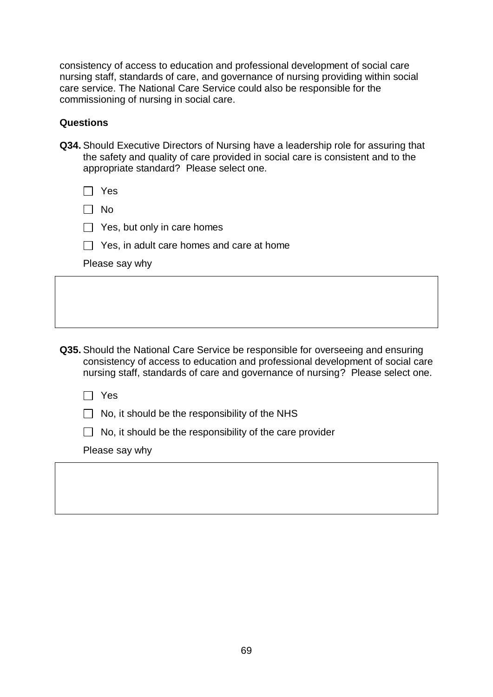consistency of access to education and professional development of social care nursing staff, standards of care, and governance of nursing providing within social care service. The National Care Service could also be responsible for the commissioning of nursing in social care.

#### **Questions**

**Q34.** Should Executive Directors of Nursing have a leadership role for assuring that the safety and quality of care provided in social care is consistent and to the appropriate standard? Please select one.

| Yes                                                                                                                                                                                                                                                         |
|-------------------------------------------------------------------------------------------------------------------------------------------------------------------------------------------------------------------------------------------------------------|
| No.                                                                                                                                                                                                                                                         |
| Yes, but only in care homes                                                                                                                                                                                                                                 |
| Yes, in adult care homes and care at home                                                                                                                                                                                                                   |
| Please say why                                                                                                                                                                                                                                              |
|                                                                                                                                                                                                                                                             |
|                                                                                                                                                                                                                                                             |
|                                                                                                                                                                                                                                                             |
| <b>Q35.</b> Should the National Care Service be responsible for overseeing and ensuring<br>consistency of access to education and professional development of social care<br>nursing staff, standards of care and governance of nursing? Please select one. |
| Yes                                                                                                                                                                                                                                                         |
| No, it should be the responsibility of the NHS                                                                                                                                                                                                              |
| No, it should be the responsibility of the care provider                                                                                                                                                                                                    |
|                                                                                                                                                                                                                                                             |

Please say why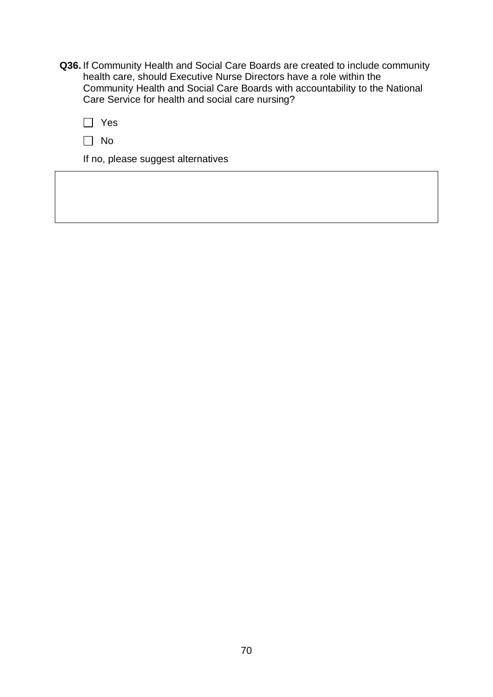**Q36.** If Community Health and Social Care Boards are created to include community health care, should Executive Nurse Directors have a role within the Community Health and Social Care Boards with accountability to the National Care Service for health and social care nursing?

| ×<br>٧ |
|--------|
|--------|

 $\Box$  No

If no, please suggest alternatives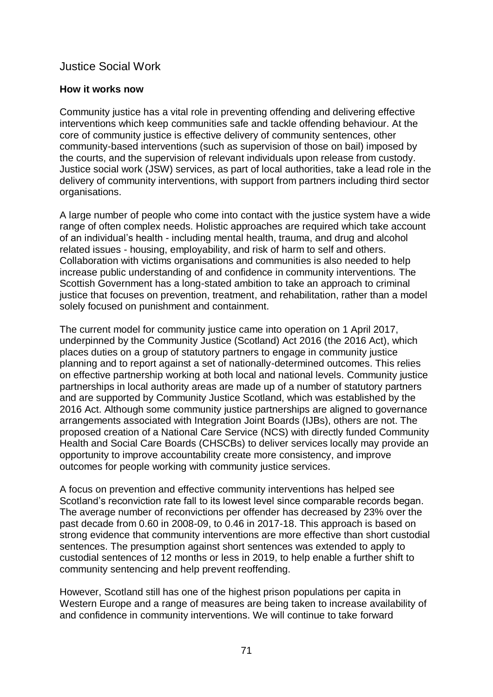## Justice Social Work

#### **How it works now**

Community justice has a vital role in preventing offending and delivering effective interventions which keep communities safe and tackle offending behaviour. At the core of community justice is effective delivery of community sentences, other community-based interventions (such as supervision of those on bail) imposed by the courts, and the supervision of relevant individuals upon release from custody. Justice social work (JSW) services, as part of local authorities, take a lead role in the delivery of community interventions, with support from partners including third sector organisations.

A large number of people who come into contact with the justice system have a wide range of often complex needs. Holistic approaches are required which take account of an individual's health - including mental health, trauma, and drug and alcohol related issues - housing, employability, and risk of harm to self and others. Collaboration with victims organisations and communities is also needed to help increase public understanding of and confidence in community interventions. The Scottish Government has a long-stated ambition to take an approach to criminal justice that focuses on prevention, treatment, and rehabilitation, rather than a model solely focused on punishment and containment.

The current model for community justice came into operation on 1 April 2017, underpinned by the Community Justice (Scotland) Act 2016 (the 2016 Act), which places duties on a group of statutory partners to engage in community justice planning and to report against a set of nationally-determined outcomes. This relies on effective partnership working at both local and national levels. Community justice partnerships in local authority areas are made up of a number of statutory partners and are supported by Community Justice Scotland, which was established by the 2016 Act. Although some community justice partnerships are aligned to governance arrangements associated with Integration Joint Boards (IJBs), others are not. The proposed creation of a National Care Service (NCS) with directly funded Community Health and Social Care Boards (CHSCBs) to deliver services locally may provide an opportunity to improve accountability create more consistency, and improve outcomes for people working with community justice services.

A focus on prevention and effective community interventions has helped see Scotland's reconviction rate fall to its lowest level since comparable records began. The average number of reconvictions per offender has decreased by 23% over the past decade from 0.60 in 2008-09, to 0.46 in 2017-18. This approach is based on strong evidence that community interventions are more effective than short custodial sentences. The presumption against short sentences was extended to apply to custodial sentences of 12 months or less in 2019, to help enable a further shift to community sentencing and help prevent reoffending.

However, Scotland still has one of the highest prison populations per capita in Western Europe and a range of measures are being taken to increase availability of and confidence in community interventions. We will continue to take forward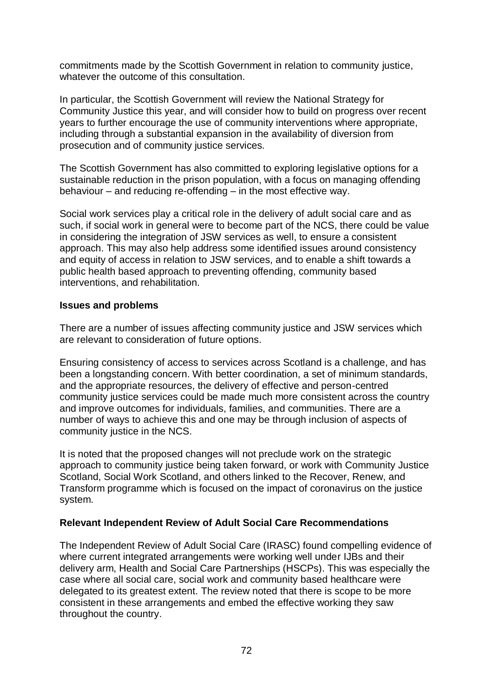commitments made by the Scottish Government in relation to community justice, whatever the outcome of this consultation.

In particular, the Scottish Government will review the National Strategy for Community Justice this year, and will consider how to build on progress over recent years to further encourage the use of community interventions where appropriate, including through a substantial expansion in the availability of diversion from prosecution and of community justice services.

The Scottish Government has also committed to exploring legislative options for a sustainable reduction in the prison population, with a focus on managing offending behaviour – and reducing re-offending – in the most effective way.

Social work services play a critical role in the delivery of adult social care and as such, if social work in general were to become part of the NCS, there could be value in considering the integration of JSW services as well, to ensure a consistent approach. This may also help address some identified issues around consistency and equity of access in relation to JSW services, and to enable a shift towards a public health based approach to preventing offending, community based interventions, and rehabilitation.

### **Issues and problems**

There are a number of issues affecting community justice and JSW services which are relevant to consideration of future options.

Ensuring consistency of access to services across Scotland is a challenge, and has been a longstanding concern. With better coordination, a set of minimum standards, and the appropriate resources, the delivery of effective and person-centred community justice services could be made much more consistent across the country and improve outcomes for individuals, families, and communities. There are a number of ways to achieve this and one may be through inclusion of aspects of community justice in the NCS.

It is noted that the proposed changes will not preclude work on the strategic approach to community justice being taken forward, or work with Community Justice Scotland, Social Work Scotland, and others linked to the Recover, Renew, and Transform programme which is focused on the impact of coronavirus on the justice system.

### **Relevant Independent Review of Adult Social Care Recommendations**

The Independent Review of Adult Social Care (IRASC) found compelling evidence of where current integrated arrangements were working well under IJBs and their delivery arm, Health and Social Care Partnerships (HSCPs). This was especially the case where all social care, social work and community based healthcare were delegated to its greatest extent. The review noted that there is scope to be more consistent in these arrangements and embed the effective working they saw throughout the country.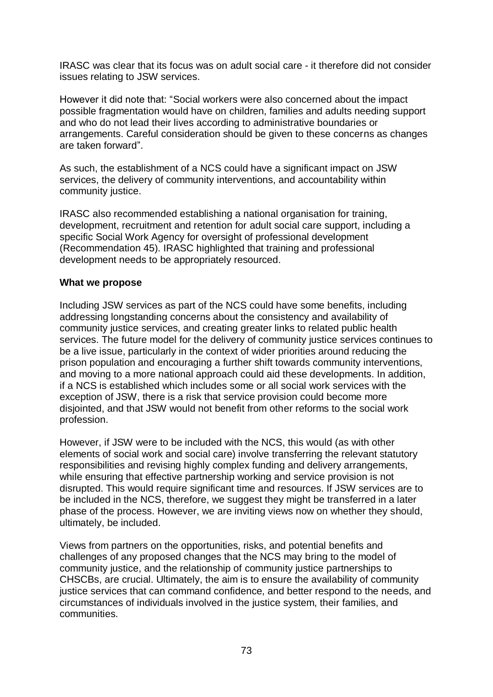IRASC was clear that its focus was on adult social care *-* it therefore did not consider issues relating to JSW services.

However it did note that: "Social workers were also concerned about the impact possible fragmentation would have on children, families and adults needing support and who do not lead their lives according to administrative boundaries or arrangements. Careful consideration should be given to these concerns as changes are taken forward".

As such, the establishment of a NCS could have a significant impact on JSW services, the delivery of community interventions, and accountability within community justice.

IRASC also recommended establishing a national organisation for training, development, recruitment and retention for adult social care support, including a specific Social Work Agency for oversight of professional development (Recommendation 45). IRASC highlighted that training and professional development needs to be appropriately resourced.

### **What we propose**

Including JSW services as part of the NCS could have some benefits, including addressing longstanding concerns about the consistency and availability of community justice services, and creating greater links to related public health services. The future model for the delivery of community justice services continues to be a live issue, particularly in the context of wider priorities around reducing the prison population and encouraging a further shift towards community interventions, and moving to a more national approach could aid these developments. In addition, if a NCS is established which includes some or all social work services with the exception of JSW, there is a risk that service provision could become more disjointed, and that JSW would not benefit from other reforms to the social work profession.

However, if JSW were to be included with the NCS, this would (as with other elements of social work and social care) involve transferring the relevant statutory responsibilities and revising highly complex funding and delivery arrangements, while ensuring that effective partnership working and service provision is not disrupted. This would require significant time and resources. If JSW services are to be included in the NCS, therefore, we suggest they might be transferred in a later phase of the process. However, we are inviting views now on whether they should, ultimately, be included.

Views from partners on the opportunities, risks, and potential benefits and challenges of any proposed changes that the NCS may bring to the model of community justice, and the relationship of community justice partnerships to CHSCBs, are crucial. Ultimately, the aim is to ensure the availability of community justice services that can command confidence, and better respond to the needs, and circumstances of individuals involved in the justice system, their families, and communities.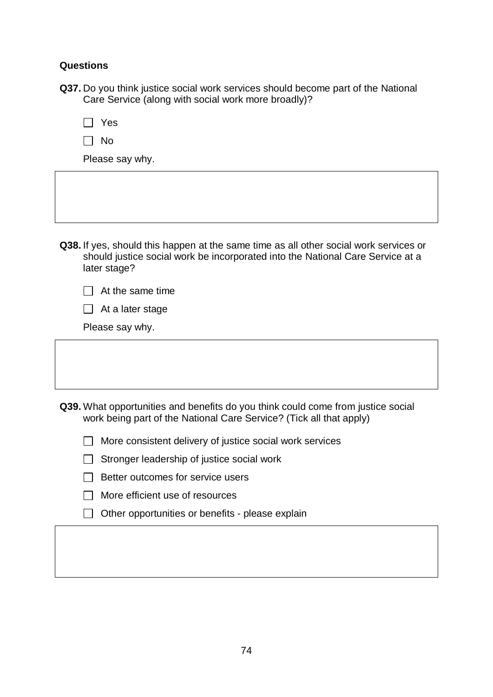### **Questions**

**Q37.** Do you think justice social work services should become part of the National Care Service (along with social work more broadly)?

 $\Box$  No

Please say why.

**Q38.** If yes, should this happen at the same time as all other social work services or should justice social work be incorporated into the National Care Service at a later stage?

 $\Box$  At the same time

|  |  |  | $\Box$ At a later stage |
|--|--|--|-------------------------|
|--|--|--|-------------------------|

Please say why.

**Q39.** What opportunities and benefits do you think could come from justice social work being part of the National Care Service? (Tick all that apply)

| $\Box$ More consistent delivery of justice social work services |  |
|-----------------------------------------------------------------|--|
|-----------------------------------------------------------------|--|

|  | $\Box$ Stronger leadership of justice social work |  |  |
|--|---------------------------------------------------|--|--|
|  |                                                   |  |  |

| $\Box$ Better outcomes for service users |
|------------------------------------------|
|                                          |

- $\Box$  More efficient use of resources
- $\Box$  Other opportunities or benefits please explain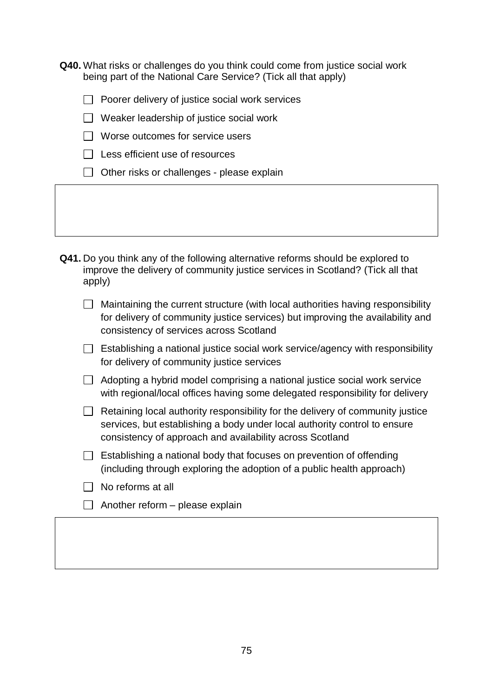**Q40.** What risks or challenges do you think could come from justice social work being part of the National Care Service? (Tick all that apply)

 $\Box$  Poorer delivery of justice social work services

- $\Box$  Weaker leadership of justice social work
- $\Box$  Worse outcomes for service users
- $\Box$  Less efficient use of resources
- $\Box$  Other risks or challenges please explain

**Q41.** Do you think any of the following alternative reforms should be explored to improve the delivery of community justice services in Scotland? (Tick all that apply)

| $\Box$ Maintaining the current structure (with local authorities having responsibility |
|----------------------------------------------------------------------------------------|
| for delivery of community justice services) but improving the availability and         |
| consistency of services across Scotland                                                |

- $\Box$  Establishing a national justice social work service/agency with responsibility for delivery of community justice services
- $\Box$  Adopting a hybrid model comprising a national justice social work service with regional/local offices having some delegated responsibility for delivery
- $\Box$  Retaining local authority responsibility for the delivery of community justice services, but establishing a body under local authority control to ensure consistency of approach and availability across Scotland
- $\Box$  Establishing a national body that focuses on prevention of offending (including through exploring the adoption of a public health approach)
- $\Box$  No reforms at all
- $\Box$  Another reform please explain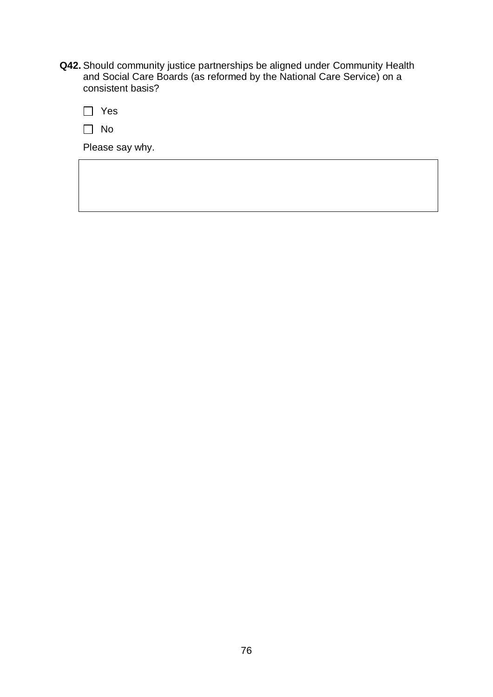**Q42.** Should community justice partnerships be aligned under Community Health and Social Care Boards (as reformed by the National Care Service) on a consistent basis?

Yes

| ۰.<br>w |
|---------|
|---------|

Please say why.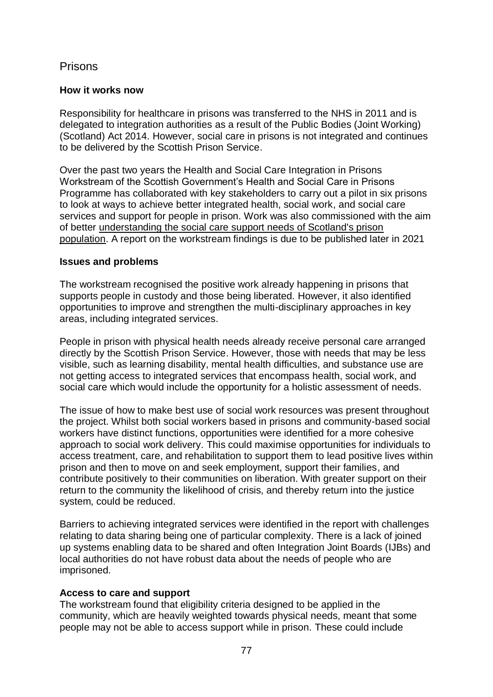## Prisons

## **How it works now**

Responsibility for healthcare in prisons was transferred to the NHS in 2011 and is delegated to integration authorities as a result of the Public Bodies (Joint Working) (Scotland) Act 2014. However, social care in prisons is not integrated and continues to be delivered by the Scottish Prison Service.

Over the past two years the Health and Social Care Integration in Prisons Workstream of the Scottish Government's Health and Social Care in Prisons Programme has collaborated with key stakeholders to carry out a pilot in six prisons to look at ways to achieve better integrated health, social work, and social care services and support for people in prison. Work was also commissioned with the aim of better [understanding the social care support needs of Scotland's prison](https://www.gov.scot/publications/understanding-social-care-support-needs-scotlands-prison-population/#:~:text=The%20Scottish%20Government%20has%20recognised%20the%20increasing%20need,rights%20as%20a%20citizen%22%20%28Levy%20et%20al.%2C%202018%29.)  [population.](https://www.gov.scot/publications/understanding-social-care-support-needs-scotlands-prison-population/#:~:text=The%20Scottish%20Government%20has%20recognised%20the%20increasing%20need,rights%20as%20a%20citizen%22%20%28Levy%20et%20al.%2C%202018%29.) A report on the workstream findings is due to be published later in 2021

### **Issues and problems**

The workstream recognised the positive work already happening in prisons that supports people in custody and those being liberated. However, it also identified opportunities to improve and strengthen the multi-disciplinary approaches in key areas, including integrated services.

People in prison with physical health needs already receive personal care arranged directly by the Scottish Prison Service. However, those with needs that may be less visible, such as learning disability, mental health difficulties, and substance use are not getting access to integrated services that encompass health, social work, and social care which would include the opportunity for a holistic assessment of needs.

The issue of how to make best use of social work resources was present throughout the project. Whilst both social workers based in prisons and community-based social workers have distinct functions, opportunities were identified for a more cohesive approach to social work delivery. This could maximise opportunities for individuals to access treatment, care, and rehabilitation to support them to lead positive lives within prison and then to move on and seek employment, support their families, and contribute positively to their communities on liberation. With greater support on their return to the community the likelihood of crisis, and thereby return into the justice system, could be reduced.

Barriers to achieving integrated services were identified in the report with challenges relating to data sharing being one of particular complexity. There is a lack of joined up systems enabling data to be shared and often Integration Joint Boards (IJBs) and local authorities do not have robust data about the needs of people who are imprisoned.

## **Access to care and support**

The workstream found that eligibility criteria designed to be applied in the community, which are heavily weighted towards physical needs, meant that some people may not be able to access support while in prison. These could include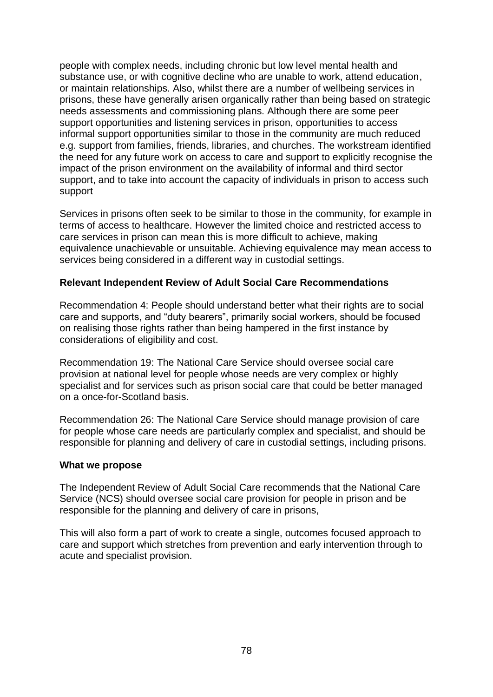people with complex needs, including chronic but low level mental health and substance use, or with cognitive decline who are unable to work, attend education, or maintain relationships. Also, whilst there are a number of wellbeing services in prisons, these have generally arisen organically rather than being based on strategic needs assessments and commissioning plans. Although there are some peer support opportunities and listening services in prison, opportunities to access informal support opportunities similar to those in the community are much reduced e.g. support from families, friends, libraries, and churches. The workstream identified the need for any future work on access to care and support to explicitly recognise the impact of the prison environment on the availability of informal and third sector support, and to take into account the capacity of individuals in prison to access such support

Services in prisons often seek to be similar to those in the community, for example in terms of access to healthcare. However the limited choice and restricted access to care services in prison can mean this is more difficult to achieve, making equivalence unachievable or unsuitable. Achieving equivalence may mean access to services being considered in a different way in custodial settings.

### **Relevant Independent Review of Adult Social Care Recommendations**

Recommendation 4: People should understand better what their rights are to social care and supports, and "duty bearers", primarily social workers, should be focused on realising those rights rather than being hampered in the first instance by considerations of eligibility and cost.

Recommendation 19: The National Care Service should oversee social care provision at national level for people whose needs are very complex or highly specialist and for services such as prison social care that could be better managed on a once-for-Scotland basis.

Recommendation 26: The National Care Service should manage provision of care for people whose care needs are particularly complex and specialist, and should be responsible for planning and delivery of care in custodial settings, including prisons.

### **What we propose**

The Independent Review of Adult Social Care recommends that the National Care Service (NCS) should oversee social care provision for people in prison and be responsible for the planning and delivery of care in prisons,

This will also form a part of work to create a single, outcomes focused approach to care and support which stretches from prevention and early intervention through to acute and specialist provision.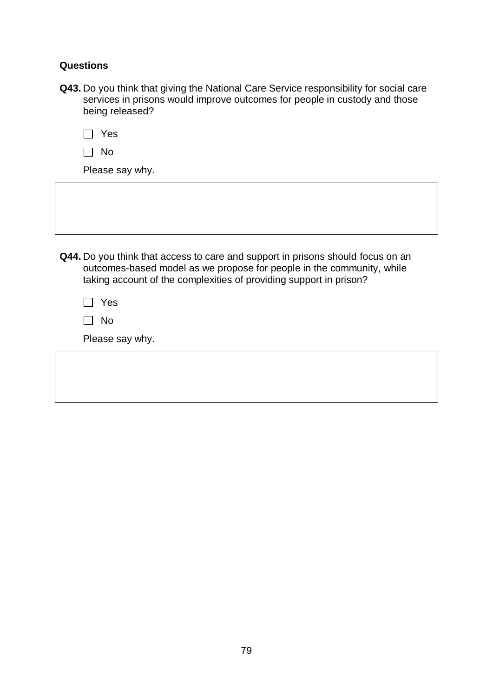### **Questions**

**Q43.** Do you think that giving the National Care Service responsibility for social care services in prisons would improve outcomes for people in custody and those being released?

|--|--|

 $\Box$  No

Please say why.

**Q44.** Do you think that access to care and support in prisons should focus on an outcomes-based model as we propose for people in the community, while taking account of the complexities of providing support in prison?

| ٠<br>×<br>_____ |
|-----------------|
|-----------------|

 $\Box$  No

Please say why.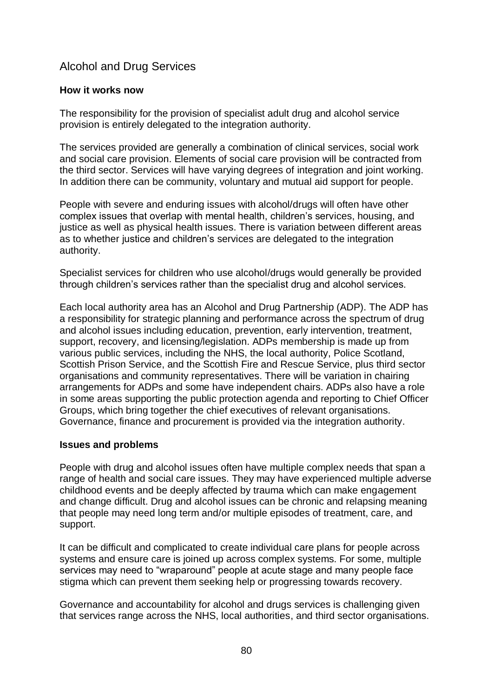# Alcohol and Drug Services

### **How it works now**

The responsibility for the provision of specialist adult drug and alcohol service provision is entirely delegated to the integration authority.

The services provided are generally a combination of clinical services, social work and social care provision. Elements of social care provision will be contracted from the third sector. Services will have varying degrees of integration and joint working. In addition there can be community, voluntary and mutual aid support for people.

People with severe and enduring issues with alcohol/drugs will often have other complex issues that overlap with mental health, children's services, housing, and justice as well as physical health issues. There is variation between different areas as to whether justice and children's services are delegated to the integration authority.

Specialist services for children who use alcohol/drugs would generally be provided through children's services rather than the specialist drug and alcohol services.

Each local authority area has an Alcohol and Drug Partnership (ADP). The ADP has a responsibility for strategic planning and performance across the spectrum of drug and alcohol issues including education, prevention, early intervention, treatment, support, recovery, and licensing/legislation. ADPs membership is made up from various public services, including the NHS, the local authority, Police Scotland, Scottish Prison Service, and the Scottish Fire and Rescue Service, plus third sector organisations and community representatives. There will be variation in chairing arrangements for ADPs and some have independent chairs. ADPs also have a role in some areas supporting the public protection agenda and reporting to Chief Officer Groups, which bring together the chief executives of relevant organisations. Governance, finance and procurement is provided via the integration authority.

### **Issues and problems**

People with drug and alcohol issues often have multiple complex needs that span a range of health and social care issues. They may have experienced multiple adverse childhood events and be deeply affected by trauma which can make engagement and change difficult. Drug and alcohol issues can be chronic and relapsing meaning that people may need long term and/or multiple episodes of treatment, care, and support.

It can be difficult and complicated to create individual care plans for people across systems and ensure care is joined up across complex systems. For some, multiple services may need to "wraparound" people at acute stage and many people face stigma which can prevent them seeking help or progressing towards recovery.

Governance and accountability for alcohol and drugs services is challenging given that services range across the NHS, local authorities, and third sector organisations.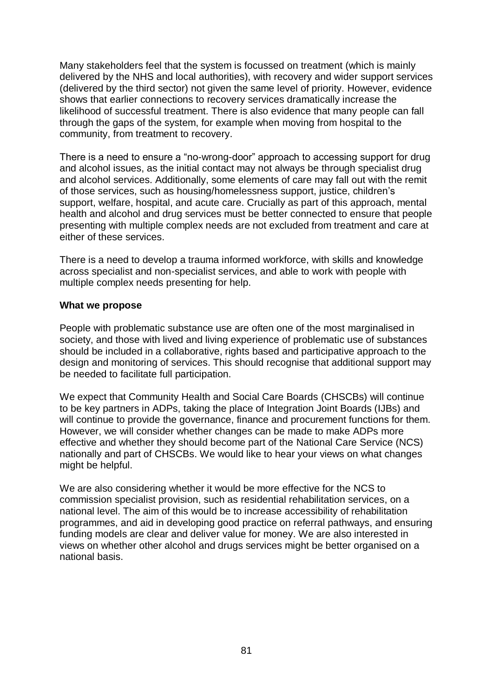Many stakeholders feel that the system is focussed on treatment (which is mainly delivered by the NHS and local authorities), with recovery and wider support services (delivered by the third sector) not given the same level of priority. However, evidence shows that earlier connections to recovery services dramatically increase the likelihood of successful treatment. There is also evidence that many people can fall through the gaps of the system, for example when moving from hospital to the community, from treatment to recovery.

There is a need to ensure a "no-wrong-door" approach to accessing support for drug and alcohol issues, as the initial contact may not always be through specialist drug and alcohol services. Additionally, some elements of care may fall out with the remit of those services, such as housing/homelessness support, justice, children's support, welfare, hospital, and acute care. Crucially as part of this approach, mental health and alcohol and drug services must be better connected to ensure that people presenting with multiple complex needs are not excluded from treatment and care at either of these services.

There is a need to develop a trauma informed workforce, with skills and knowledge across specialist and non-specialist services, and able to work with people with multiple complex needs presenting for help.

### **What we propose**

People with problematic substance use are often one of the most marginalised in society, and those with lived and living experience of problematic use of substances should be included in a collaborative, rights based and participative approach to the design and monitoring of services. This should recognise that additional support may be needed to facilitate full participation.

We expect that Community Health and Social Care Boards (CHSCBs) will continue to be key partners in ADPs, taking the place of Integration Joint Boards (IJBs) and will continue to provide the governance, finance and procurement functions for them. However, we will consider whether changes can be made to make ADPs more effective and whether they should become part of the National Care Service (NCS) nationally and part of CHSCBs. We would like to hear your views on what changes might be helpful.

We are also considering whether it would be more effective for the NCS to commission specialist provision, such as residential rehabilitation services, on a national level. The aim of this would be to increase accessibility of rehabilitation programmes, and aid in developing good practice on referral pathways, and ensuring funding models are clear and deliver value for money. We are also interested in views on whether other alcohol and drugs services might be better organised on a national basis.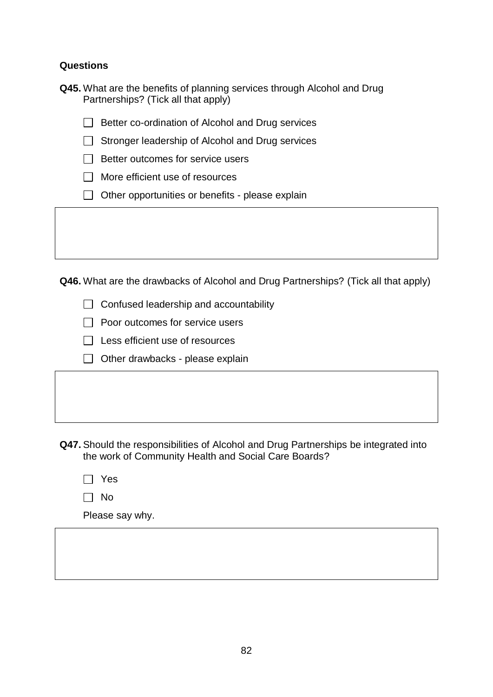## **Questions**

| Q45. What are the benefits of planning services through Alcohol and Drug |  |  |
|--------------------------------------------------------------------------|--|--|
| Partnerships? (Tick all that apply)                                      |  |  |

 $\Box$  Better co-ordination of Alcohol and Drug services

 $\Box$  Stronger leadership of Alcohol and Drug services

- $\Box$  Better outcomes for service users
- $\Box$  More efficient use of resources
- $\Box$  Other opportunities or benefits please explain

**Q46.** What are the drawbacks of Alcohol and Drug Partnerships? (Tick all that apply)

 $\Box$  Confused leadership and accountability

 $\Box$  Poor outcomes for service users

- $\Box$  Less efficient use of resources
- $\Box$  Other drawbacks please explain

**Q47.** Should the responsibilities of Alcohol and Drug Partnerships be integrated into the work of Community Health and Social Care Boards?

| ٠<br>۰,<br>___ |
|----------------|
|----------------|

 $\Box$  No

Please say why.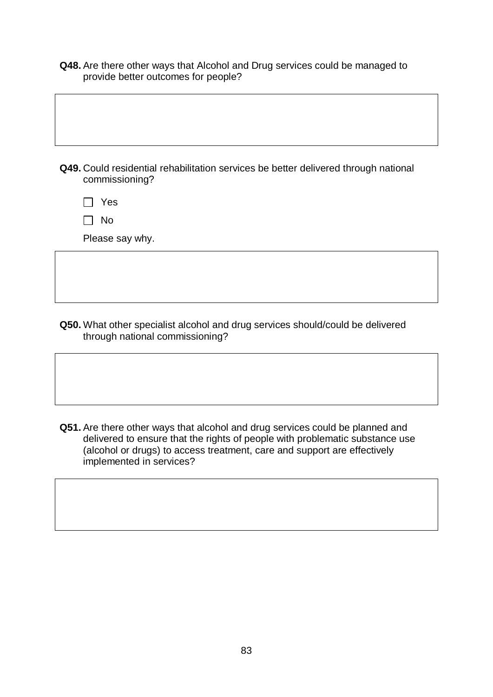**Q48.** Are there other ways that Alcohol and Drug services could be managed to provide better outcomes for people?

**Q49.** Could residential rehabilitation services be better delivered through national commissioning?

Yes

No

Please say why.

**Q50.** What other specialist alcohol and drug services should/could be delivered through national commissioning?

**Q51.** Are there other ways that alcohol and drug services could be planned and delivered to ensure that the rights of people with problematic substance use (alcohol or drugs) to access treatment, care and support are effectively implemented in services?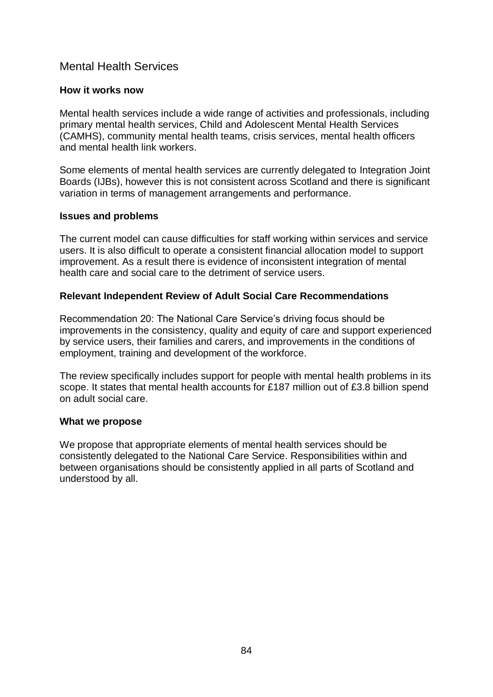## Mental Health Services

### **How it works now**

Mental health services include a wide range of activities and professionals, including primary mental health services, Child and Adolescent Mental Health Services (CAMHS), community mental health teams, crisis services, mental health officers and mental health link workers.

Some elements of mental health services are currently delegated to Integration Joint Boards (IJBs), however this is not consistent across Scotland and there is significant variation in terms of management arrangements and performance.

### **Issues and problems**

The current model can cause difficulties for staff working within services and service users. It is also difficult to operate a consistent financial allocation model to support improvement. As a result there is evidence of inconsistent integration of mental health care and social care to the detriment of service users.

### **Relevant Independent Review of Adult Social Care Recommendations**

Recommendation 20: The National Care Service's driving focus should be improvements in the consistency, quality and equity of care and support experienced by service users, their families and carers, and improvements in the conditions of employment, training and development of the workforce.

The review specifically includes support for people with mental health problems in its scope. It states that mental health accounts for £187 million out of £3.8 billion spend on adult social care.

#### **What we propose**

We propose that appropriate elements of mental health services should be consistently delegated to the National Care Service. Responsibilities within and between organisations should be consistently applied in all parts of Scotland and understood by all.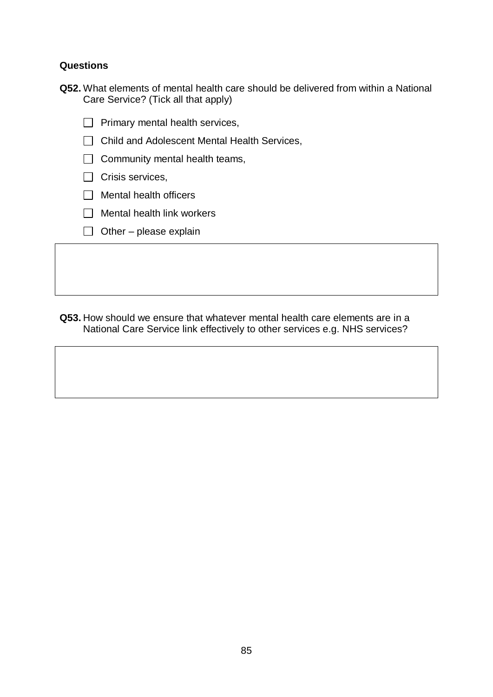## **Questions**

|  | Q52. What elements of mental health care should be delivered from within a National |  |  |
|--|-------------------------------------------------------------------------------------|--|--|
|  | Care Service? (Tick all that apply)                                                 |  |  |

- $\Box$  Primary mental health services,
- □ Child and Adolescent Mental Health Services,
- $\Box$  Community mental health teams,
- $\Box$  Crisis services,
- $\Box$  Mental health officers
- $\Box$  Mental health link workers
- $\Box$  Other please explain

**Q53.** How should we ensure that whatever mental health care elements are in a National Care Service link effectively to other services e.g. NHS services?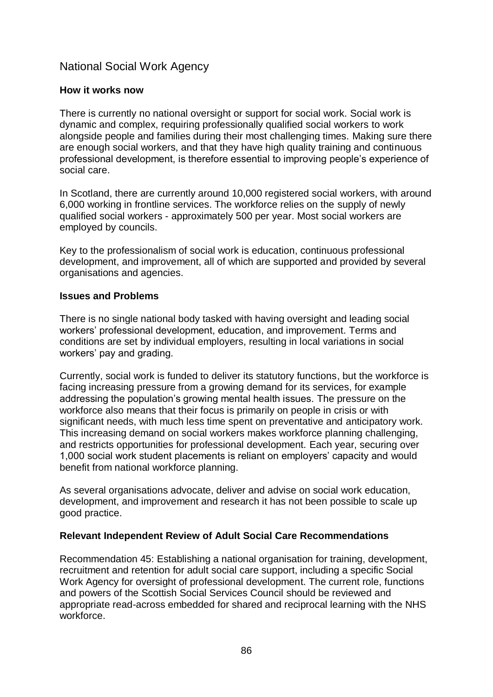## National Social Work Agency

## **How it works now**

There is currently no national oversight or support for social work. Social work is dynamic and complex, requiring professionally qualified social workers to work alongside people and families during their most challenging times. Making sure there are enough social workers, and that they have high quality training and continuous professional development, is therefore essential to improving people's experience of social care.

In Scotland, there are currently around 10,000 registered social workers, with around 6,000 working in frontline services. The workforce relies on the supply of newly qualified social workers - approximately 500 per year. Most social workers are employed by councils.

Key to the professionalism of social work is education, continuous professional development, and improvement, all of which are supported and provided by several organisations and agencies.

### **Issues and Problems**

There is no single national body tasked with having oversight and leading social workers' professional development, education, and improvement. Terms and conditions are set by individual employers, resulting in local variations in social workers' pay and grading.

Currently, social work is funded to deliver its statutory functions, but the workforce is facing increasing pressure from a growing demand for its services, for example addressing the population's growing mental health issues. The pressure on the workforce also means that their focus is primarily on people in crisis or with significant needs, with much less time spent on preventative and anticipatory work. This increasing demand on social workers makes workforce planning challenging, and restricts opportunities for professional development. Each year, securing over 1,000 social work student placements is reliant on employers' capacity and would benefit from national workforce planning.

As several organisations advocate, deliver and advise on social work education, development, and improvement and research it has not been possible to scale up good practice.

## **Relevant Independent Review of Adult Social Care Recommendations**

Recommendation 45: Establishing a national organisation for training, development, recruitment and retention for adult social care support, including a specific Social Work Agency for oversight of professional development. The current role, functions and powers of the Scottish Social Services Council should be reviewed and appropriate read-across embedded for shared and reciprocal learning with the NHS workforce.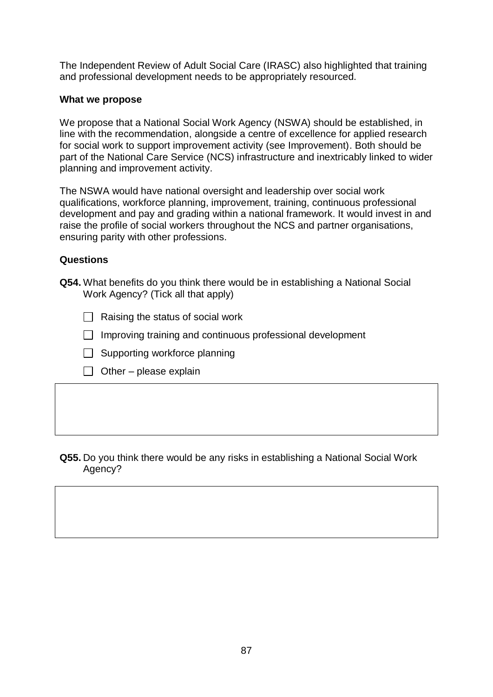The Independent Review of Adult Social Care (IRASC) also highlighted that training and professional development needs to be appropriately resourced.

### **What we propose**

We propose that a National Social Work Agency (NSWA) should be established, in line with the recommendation, alongside a centre of excellence for applied research for social work to support improvement activity (see Improvement). Both should be part of the National Care Service (NCS) infrastructure and inextricably linked to wider planning and improvement activity.

The NSWA would have national oversight and leadership over social work qualifications, workforce planning, improvement, training, continuous professional development and pay and grading within a national framework. It would invest in and raise the profile of social workers throughout the NCS and partner organisations, ensuring parity with other professions.

### **Questions**

- **Q54.** What benefits do you think there would be in establishing a National Social Work Agency? (Tick all that apply)
	- $\Box$  Raising the status of social work
	- $\Box$  Improving training and continuous professional development
	- $\Box$  Supporting workforce planning
	- $\Box$  Other please explain

### **Q55.** Do you think there would be any risks in establishing a National Social Work Agency?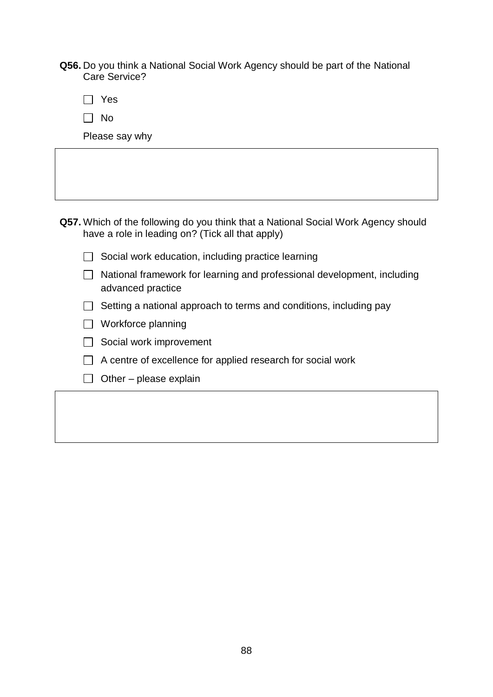**Q56.** Do you think a National Social Work Agency should be part of the National Care Service?

Yes

No

Please say why

- **Q57.** Which of the following do you think that a National Social Work Agency should have a role in leading on? (Tick all that apply)
	- $\Box$  Social work education, including practice learning
	- $\Box$  National framework for learning and professional development, including advanced practice
	- $\Box$  Setting a national approach to terms and conditions, including pay
	- □ Workforce planning
	- $\Box$  Social work improvement
	- $\Box$  A centre of excellence for applied research for social work
	- $\Box$  Other please explain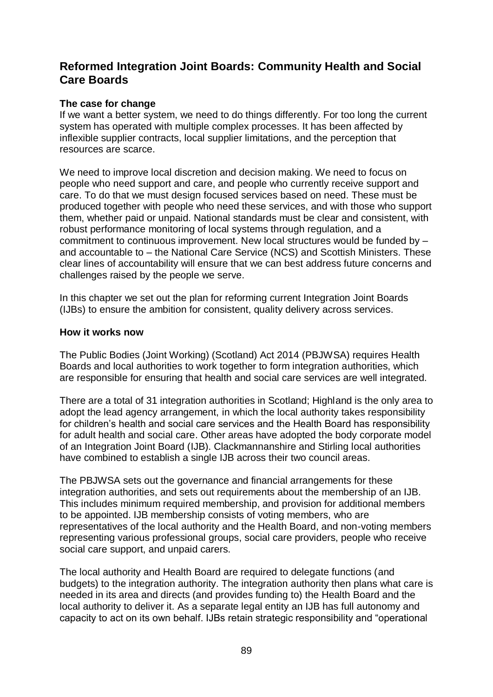## **Reformed Integration Joint Boards: Community Health and Social Care Boards**

### **The case for change**

If we want a better system, we need to do things differently. For too long the current system has operated with multiple complex processes. It has been affected by inflexible supplier contracts, local supplier limitations, and the perception that resources are scarce.

We need to improve local discretion and decision making. We need to focus on people who need support and care, and people who currently receive support and care. To do that we must design focused services based on need. These must be produced together with people who need these services, and with those who support them, whether paid or unpaid. National standards must be clear and consistent, with robust performance monitoring of local systems through regulation, and a commitment to continuous improvement. New local structures would be funded by – and accountable to – the National Care Service (NCS) and Scottish Ministers. These clear lines of accountability will ensure that we can best address future concerns and challenges raised by the people we serve.

In this chapter we set out the plan for reforming current Integration Joint Boards (IJBs) to ensure the ambition for consistent, quality delivery across services.

### **How it works now**

The Public Bodies (Joint Working) (Scotland) Act 2014 (PBJWSA) requires Health Boards and local authorities to work together to form integration authorities, which are responsible for ensuring that health and social care services are well integrated.

There are a total of 31 integration authorities in Scotland; Highland is the only area to adopt the lead agency arrangement, in which the local authority takes responsibility for children's health and social care services and the Health Board has responsibility for adult health and social care. Other areas have adopted the body corporate model of an Integration Joint Board (IJB). Clackmannanshire and Stirling local authorities have combined to establish a single IJB across their two council areas.

The PBJWSA sets out the governance and financial arrangements for these integration authorities, and sets out requirements about the membership of an IJB. This includes minimum required membership, and provision for additional members to be appointed. IJB membership consists of voting members, who are representatives of the local authority and the Health Board, and non-voting members representing various professional groups, social care providers, people who receive social care support, and unpaid carers.

The local authority and Health Board are required to delegate functions (and budgets) to the integration authority. The integration authority then plans what care is needed in its area and directs (and provides funding to) the Health Board and the local authority to deliver it. As a separate legal entity an IJB has full autonomy and capacity to act on its own behalf. IJBs retain strategic responsibility and "operational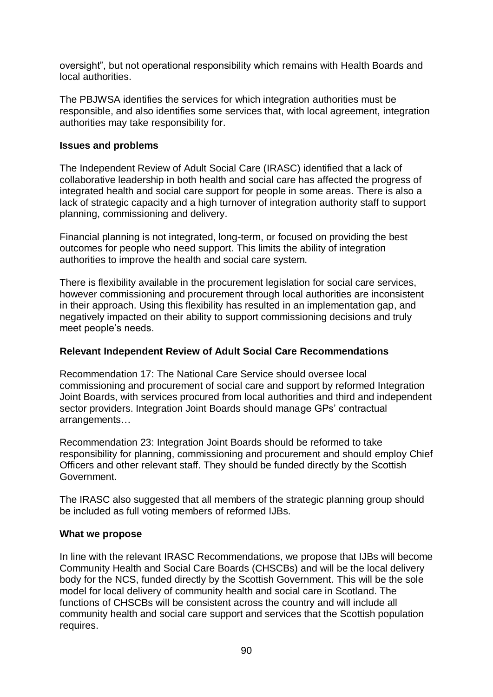oversight", but not operational responsibility which remains with Health Boards and local authorities.

The PBJWSA identifies the services for which integration authorities must be responsible, and also identifies some services that, with local agreement, integration authorities may take responsibility for.

### **Issues and problems**

The Independent Review of Adult Social Care (IRASC) identified that a lack of collaborative leadership in both health and social care has affected the progress of integrated health and social care support for people in some areas. There is also a lack of strategic capacity and a high turnover of integration authority staff to support planning, commissioning and delivery.

Financial planning is not integrated, long-term, or focused on providing the best outcomes for people who need support. This limits the ability of integration authorities to improve the health and social care system.

There is flexibility available in the procurement legislation for social care services, however commissioning and procurement through local authorities are inconsistent in their approach. Using this flexibility has resulted in an implementation gap, and negatively impacted on their ability to support commissioning decisions and truly meet people's needs.

## **Relevant Independent Review of Adult Social Care Recommendations**

Recommendation 17: The National Care Service should oversee local commissioning and procurement of social care and support by reformed Integration Joint Boards, with services procured from local authorities and third and independent sector providers. Integration Joint Boards should manage GPs' contractual arrangements…

Recommendation 23: Integration Joint Boards should be reformed to take responsibility for planning, commissioning and procurement and should employ Chief Officers and other relevant staff. They should be funded directly by the Scottish Government.

The IRASC also suggested that all members of the strategic planning group should be included as full voting members of reformed IJBs.

### **What we propose**

In line with the relevant IRASC Recommendations, we propose that IJBs will become Community Health and Social Care Boards (CHSCBs) and will be the local delivery body for the NCS, funded directly by the Scottish Government. This will be the sole model for local delivery of community health and social care in Scotland. The functions of CHSCBs will be consistent across the country and will include all community health and social care support and services that the Scottish population requires.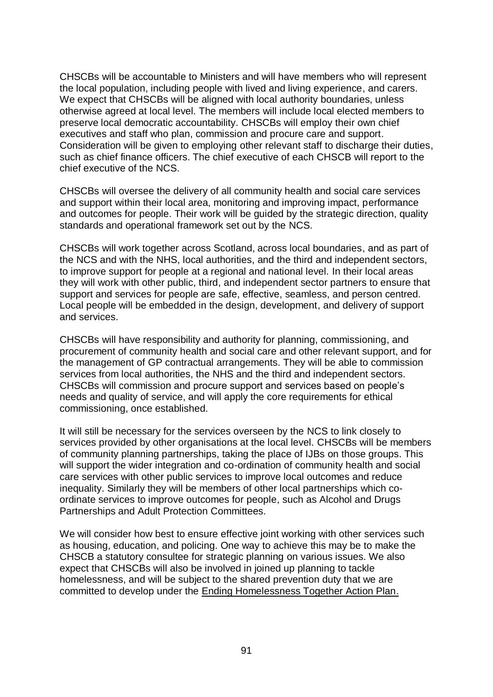CHSCBs will be accountable to Ministers and will have members who will represent the local population, including people with lived and living experience, and carers. We expect that CHSCBs will be aligned with local authority boundaries, unless otherwise agreed at local level. The members will include local elected members to preserve local democratic accountability. CHSCBs will employ their own chief executives and staff who plan, commission and procure care and support. Consideration will be given to employing other relevant staff to discharge their duties, such as chief finance officers. The chief executive of each CHSCB will report to the chief executive of the NCS.

CHSCBs will oversee the delivery of all community health and social care services and support within their local area, monitoring and improving impact, performance and outcomes for people. Their work will be guided by the strategic direction, quality standards and operational framework set out by the NCS.

CHSCBs will work together across Scotland, across local boundaries, and as part of the NCS and with the NHS, local authorities, and the third and independent sectors, to improve support for people at a regional and national level. In their local areas they will work with other public, third, and independent sector partners to ensure that support and services for people are safe, effective, seamless, and person centred. Local people will be embedded in the design, development, and delivery of support and services.

CHSCBs will have responsibility and authority for planning, commissioning, and procurement of community health and social care and other relevant support, and for the management of GP contractual arrangements. They will be able to commission services from local authorities, the NHS and the third and independent sectors. CHSCBs will commission and procure support and services based on people's needs and quality of service, and will apply the core requirements for ethical commissioning, once established.

It will still be necessary for the services overseen by the NCS to link closely to services provided by other organisations at the local level. CHSCBs will be members of community planning partnerships, taking the place of IJBs on those groups. This will support the wider integration and co-ordination of community health and social care services with other public services to improve local outcomes and reduce inequality. Similarly they will be members of other local partnerships which coordinate services to improve outcomes for people, such as Alcohol and Drugs Partnerships and Adult Protection Committees.

We will consider how best to ensure effective joint working with other services such as housing, education, and policing. One way to achieve this may be to make the CHSCB a statutory consultee for strategic planning on various issues. We also expect that CHSCBs will also be involved in joined up planning to tackle homelessness, and will be subject to the shared prevention duty that we are committed to develop under the [Ending Homelessness Together Action Plan.](file:///C:/Users/u208441/Downloads/ending-homelessness-together-updated-action-plan-october-2020%20(9).pdf)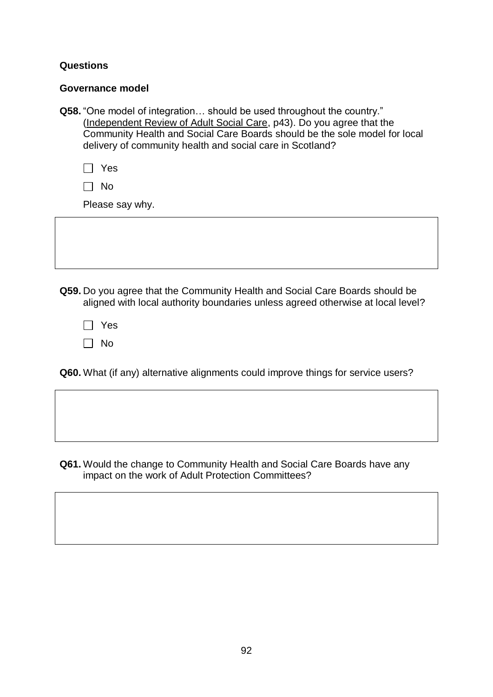### **Questions**

### **Governance model**

**Q58.** "One model of integration… should be used throughout the country." [\(Independent Review of Adult Social Care,](https://www.gov.scot/publications/independent-review-adult-social-care-scotland/) p43). Do you agree that the Community Health and Social Care Boards should be the sole model for local delivery of community health and social care in Scotland?

Yes

 $\Box$  No

Please say why.

**Q59.** Do you agree that the Community Health and Social Care Boards should be aligned with local authority boundaries unless agreed otherwise at local level?

Yes  $\Box$  No

**Q60.** What (if any) alternative alignments could improve things for service users?

**Q61.** Would the change to Community Health and Social Care Boards have any impact on the work of Adult Protection Committees?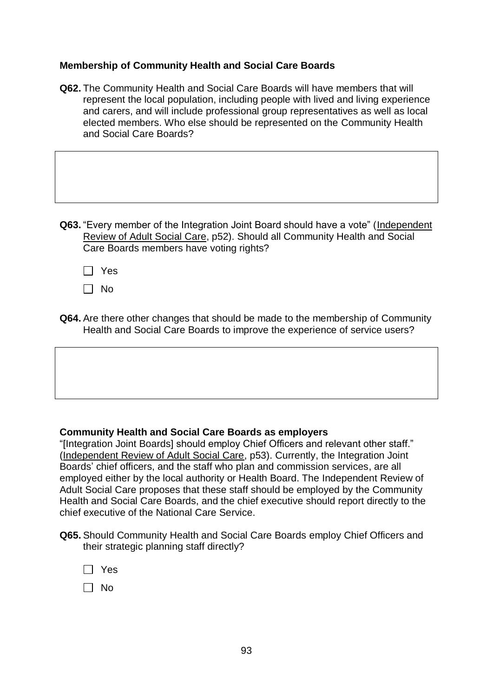## **Membership of Community Health and Social Care Boards**

**Q62.** The Community Health and Social Care Boards will have members that will represent the local population, including people with lived and living experience and carers, and will include professional group representatives as well as local elected members. Who else should be represented on the Community Health and Social Care Boards?

| Q63. "Every member of the Integration Joint Board should have a vote" (Independent |
|------------------------------------------------------------------------------------|
| Review of Adult Social Care, p52). Should all Community Health and Social          |
| Care Boards members have voting rights?                                            |

Yes

 $\Box$  No

**Q64.** Are there other changes that should be made to the membership of Community Health and Social Care Boards to improve the experience of service users?

### **Community Health and Social Care Boards as employers**

"[Integration Joint Boards] should employ Chief Officers and relevant other staff." [\(Independent Review of Adult Social Care,](https://www.gov.scot/publications/independent-review-adult-social-care-scotland/) p53). Currently, the Integration Joint Boards' chief officers, and the staff who plan and commission services, are all employed either by the local authority or Health Board. The Independent Review of Adult Social Care proposes that these staff should be employed by the Community Health and Social Care Boards, and the chief executive should report directly to the chief executive of the National Care Service.

**Q65.** Should Community Health and Social Care Boards employ Chief Officers and their strategic planning staff directly?

| $\mathsf{L}$ | Yes |
|--------------|-----|
| $\mathsf{L}$ | No  |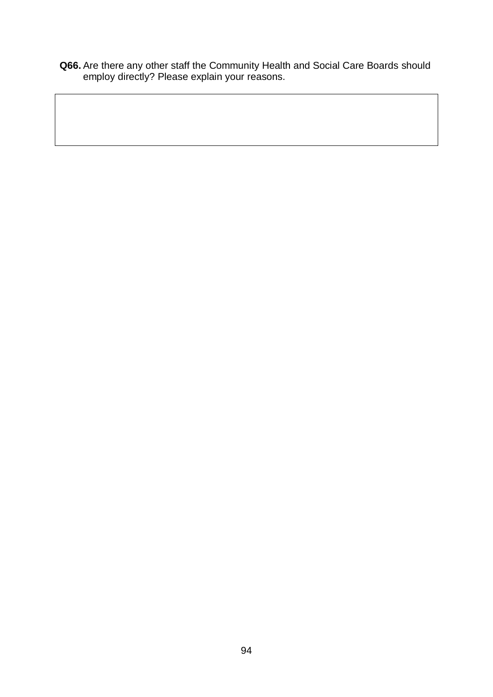**Q66.** Are there any other staff the Community Health and Social Care Boards should employ directly? Please explain your reasons.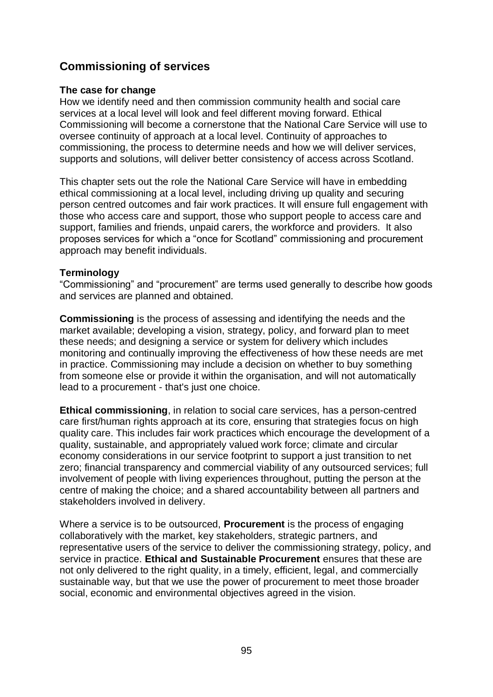# **Commissioning of services**

### **The case for change**

How we identify need and then commission community health and social care services at a local level will look and feel different moving forward. Ethical Commissioning will become a cornerstone that the National Care Service will use to oversee continuity of approach at a local level. Continuity of approaches to commissioning, the process to determine needs and how we will deliver services, supports and solutions, will deliver better consistency of access across Scotland.

This chapter sets out the role the National Care Service will have in embedding ethical commissioning at a local level, including driving up quality and securing person centred outcomes and fair work practices. It will ensure full engagement with those who access care and support, those who support people to access care and support, families and friends, unpaid carers, the workforce and providers. It also proposes services for which a "once for Scotland" commissioning and procurement approach may benefit individuals.

## **Terminology**

"Commissioning" and "procurement" are terms used generally to describe how goods and services are planned and obtained.

**Commissioning** is the process of assessing and identifying the needs and the market available; developing a vision, strategy, policy, and forward plan to meet these needs; and designing a service or system for delivery which includes monitoring and continually improving the effectiveness of how these needs are met in practice. Commissioning may include a decision on whether to buy something from someone else or provide it within the organisation, and will not automatically lead to a procurement - that's just one choice.

**Ethical commissioning**, in relation to social care services, has a person-centred care first/human rights approach at its core, ensuring that strategies focus on high quality care. This includes fair work practices which encourage the development of a quality, sustainable, and appropriately valued work force; climate and circular economy considerations in our service footprint to support a just transition to net zero; financial transparency and commercial viability of any outsourced services; full involvement of people with living experiences throughout, putting the person at the centre of making the choice; and a shared accountability between all partners and stakeholders involved in delivery.

Where a service is to be outsourced, **Procurement** is the process of engaging collaboratively with the market, key stakeholders, strategic partners, and representative users of the service to deliver the commissioning strategy, policy, and service in practice. **Ethical and Sustainable Procurement** ensures that these are not only delivered to the right quality, in a timely, efficient, legal, and commercially sustainable way, but that we use the power of procurement to meet those broader social, economic and environmental objectives agreed in the vision.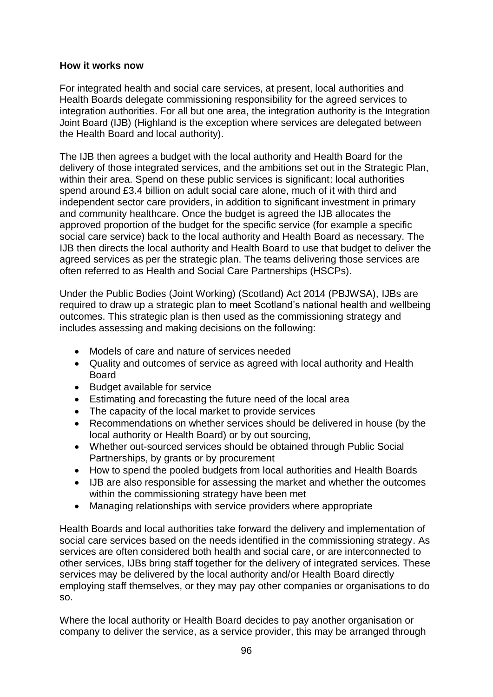### **How it works now**

For integrated health and social care services, at present, local authorities and Health Boards delegate commissioning responsibility for the agreed services to integration authorities. For all but one area, the integration authority is the Integration Joint Board (IJB) (Highland is the exception where services are delegated between the Health Board and local authority).

The IJB then agrees a budget with the local authority and Health Board for the delivery of those integrated services, and the ambitions set out in the Strategic Plan, within their area. Spend on these public services is significant: local authorities spend around £3.4 billion on adult social care alone, much of it with third and independent sector care providers, in addition to significant investment in primary and community healthcare. Once the budget is agreed the IJB allocates the approved proportion of the budget for the specific service (for example a specific social care service) back to the local authority and Health Board as necessary. The IJB then directs the local authority and Health Board to use that budget to deliver the agreed services as per the strategic plan. The teams delivering those services are often referred to as Health and Social Care Partnerships (HSCPs).

Under the Public Bodies (Joint Working) (Scotland) Act 2014 (PBJWSA), IJBs are required to draw up a strategic plan to meet Scotland's national health and wellbeing outcomes. This strategic plan is then used as the commissioning strategy and includes assessing and making decisions on the following:

- Models of care and nature of services needed
- Quality and outcomes of service as agreed with local authority and Health Board
- Budget available for service
- Estimating and forecasting the future need of the local area
- The capacity of the local market to provide services
- Recommendations on whether services should be delivered in house (by the local authority or Health Board) or by out sourcing,
- Whether out-sourced services should be obtained through Public Social Partnerships, by grants or by procurement
- How to spend the pooled budgets from local authorities and Health Boards
- IJB are also responsible for assessing the market and whether the outcomes within the commissioning strategy have been met
- Managing relationships with service providers where appropriate

Health Boards and local authorities take forward the delivery and implementation of social care services based on the needs identified in the commissioning strategy. As services are often considered both health and social care, or are interconnected to other services, IJBs bring staff together for the delivery of integrated services. These services may be delivered by the local authority and/or Health Board directly employing staff themselves, or they may pay other companies or organisations to do so.

Where the local authority or Health Board decides to pay another organisation or company to deliver the service, as a service provider, this may be arranged through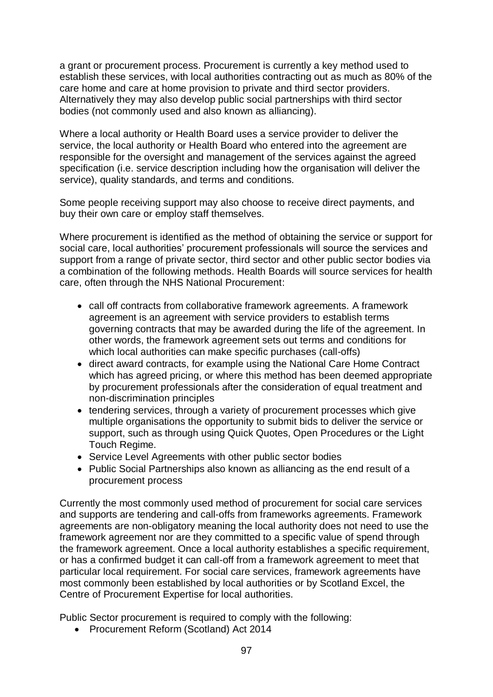a grant or procurement process. Procurement is currently a key method used to establish these services, with local authorities contracting out as much as 80% of the care home and care at home provision to private and third sector providers. Alternatively they may also develop public social partnerships with third sector bodies (not commonly used and also known as alliancing).

Where a local authority or Health Board uses a service provider to deliver the service, the local authority or Health Board who entered into the agreement are responsible for the oversight and management of the services against the agreed specification (i.e. service description including how the organisation will deliver the service), quality standards, and terms and conditions.

Some people receiving support may also choose to receive direct payments, and buy their own care or employ staff themselves.

Where procurement is identified as the method of obtaining the service or support for social care, local authorities' procurement professionals will source the services and support from a range of private sector, third sector and other public sector bodies via a combination of the following methods. Health Boards will source services for health care, often through the NHS National Procurement:

- call off contracts from collaborative framework agreements. A framework agreement is an agreement with service providers to establish terms governing contracts that may be awarded during the life of the agreement. In other words, the framework agreement sets out terms and conditions for which local authorities can make specific purchases (call-offs)
- direct award contracts, for example using the National Care Home Contract which has agreed pricing, or where this method has been deemed appropriate by procurement professionals after the consideration of equal treatment and non-discrimination principles
- tendering services, through a variety of procurement processes which give multiple organisations the opportunity to submit bids to deliver the service or support, such as through using Quick Quotes, Open Procedures or the Light Touch Regime.
- Service Level Agreements with other public sector bodies
- Public Social Partnerships also known as alliancing as the end result of a procurement process

Currently the most commonly used method of procurement for social care services and supports are tendering and call-offs from frameworks agreements. Framework agreements are non-obligatory meaning the local authority does not need to use the framework agreement nor are they committed to a specific value of spend through the framework agreement. Once a local authority establishes a specific requirement, or has a confirmed budget it can call-off from a framework agreement to meet that particular local requirement. For social care services, framework agreements have most commonly been established by local authorities or by Scotland Excel, the Centre of Procurement Expertise for local authorities.

Public Sector procurement is required to comply with the following:

• Procurement Reform (Scotland) Act 2014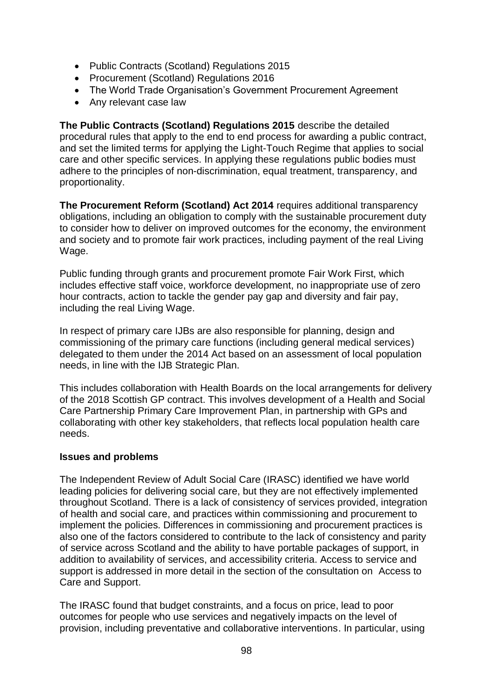- Public Contracts (Scotland) Regulations 2015
- Procurement (Scotland) Regulations 2016
- The World Trade Organisation's Government Procurement Agreement
- Any relevant case law

**The Public Contracts (Scotland) Regulations 2015** describe the detailed procedural rules that apply to the end to end process for awarding a public contract, and set the limited terms for applying the Light-Touch Regime that applies to social care and other specific services. In applying these regulations public bodies must adhere to the principles of non-discrimination, equal treatment, transparency, and proportionality.

**The Procurement Reform (Scotland) Act 2014** requires additional transparency obligations, including an obligation to comply with the sustainable procurement duty to consider how to deliver on improved outcomes for the economy, the environment and society and to promote fair work practices, including payment of the real Living Wage.

Public funding through grants and procurement promote Fair Work First, which includes effective staff voice, workforce development, no inappropriate use of zero hour contracts, action to tackle the gender pay gap and diversity and fair pay, including the real Living Wage.

In respect of primary care IJBs are also responsible for planning, design and commissioning of the primary care functions (including general medical services) delegated to them under the 2014 Act based on an assessment of local population needs, in line with the IJB Strategic Plan.

This includes collaboration with Health Boards on the local arrangements for delivery of the 2018 Scottish GP contract. This involves development of a Health and Social Care Partnership Primary Care Improvement Plan, in partnership with GPs and collaborating with other key stakeholders, that reflects local population health care needs.

### **Issues and problems**

The Independent Review of Adult Social Care (IRASC) identified we have world leading policies for delivering social care, but they are not effectively implemented throughout Scotland. There is a lack of consistency of services provided, integration of health and social care, and practices within commissioning and procurement to implement the policies. Differences in commissioning and procurement practices is also one of the factors considered to contribute to the lack of consistency and parity of service across Scotland and the ability to have portable packages of support, in addition to availability of services, and accessibility criteria. Access to service and support is addressed in more detail in the section of the consultation on Access to Care and Support.

The IRASC found that budget constraints, and a focus on price, lead to poor outcomes for people who use services and negatively impacts on the level of provision, including preventative and collaborative interventions. In particular, using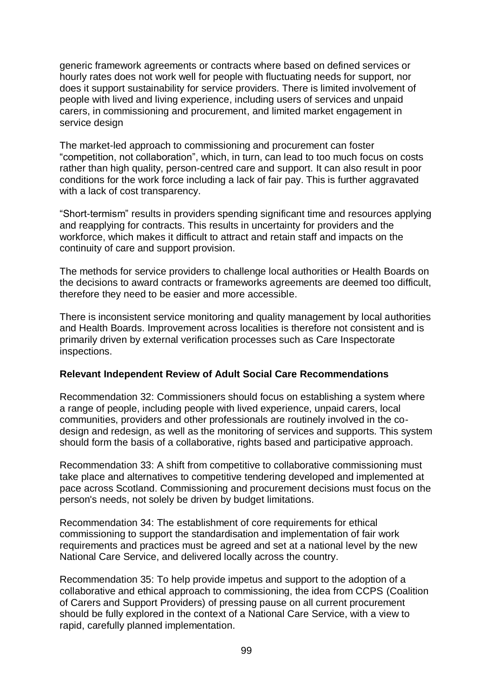generic framework agreements or contracts where based on defined services or hourly rates does not work well for people with fluctuating needs for support, nor does it support sustainability for service providers. There is limited involvement of people with lived and living experience, including users of services and unpaid carers, in commissioning and procurement, and limited market engagement in service design

The market-led approach to commissioning and procurement can foster "competition, not collaboration", which, in turn, can lead to too much focus on costs rather than high quality, person-centred care and support. It can also result in poor conditions for the work force including a lack of fair pay. This is further aggravated with a lack of cost transparency.

"Short-termism" results in providers spending significant time and resources applying and reapplying for contracts. This results in uncertainty for providers and the workforce, which makes it difficult to attract and retain staff and impacts on the continuity of care and support provision.

The methods for service providers to challenge local authorities or Health Boards on the decisions to award contracts or frameworks agreements are deemed too difficult, therefore they need to be easier and more accessible.

There is inconsistent service monitoring and quality management by local authorities and Health Boards. Improvement across localities is therefore not consistent and is primarily driven by external verification processes such as Care Inspectorate inspections.

### **Relevant Independent Review of Adult Social Care Recommendations**

Recommendation 32: Commissioners should focus on establishing a system where a range of people, including people with lived experience, unpaid carers, local communities, providers and other professionals are routinely involved in the codesign and redesign, as well as the monitoring of services and supports. This system should form the basis of a collaborative, rights based and participative approach.

Recommendation 33: A shift from competitive to collaborative commissioning must take place and alternatives to competitive tendering developed and implemented at pace across Scotland. Commissioning and procurement decisions must focus on the person's needs, not solely be driven by budget limitations.

Recommendation 34: The establishment of core requirements for ethical commissioning to support the standardisation and implementation of fair work requirements and practices must be agreed and set at a national level by the new National Care Service, and delivered locally across the country.

Recommendation 35: To help provide impetus and support to the adoption of a collaborative and ethical approach to commissioning, the idea from CCPS (Coalition of Carers and Support Providers) of pressing pause on all current procurement should be fully explored in the context of a National Care Service, with a view to rapid, carefully planned implementation.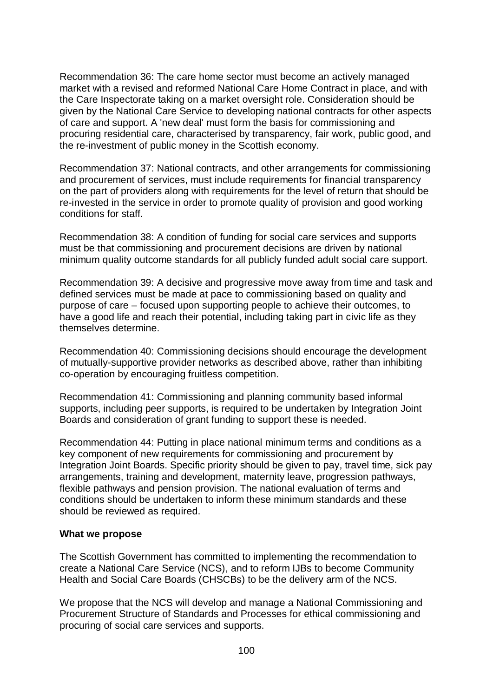Recommendation 36: The care home sector must become an actively managed market with a revised and reformed National Care Home Contract in place, and with the Care Inspectorate taking on a market oversight role. Consideration should be given by the National Care Service to developing national contracts for other aspects of care and support. A 'new deal' must form the basis for commissioning and procuring residential care, characterised by transparency, fair work, public good, and the re-investment of public money in the Scottish economy.

Recommendation 37: National contracts, and other arrangements for commissioning and procurement of services, must include requirements for financial transparency on the part of providers along with requirements for the level of return that should be re-invested in the service in order to promote quality of provision and good working conditions for staff.

Recommendation 38: A condition of funding for social care services and supports must be that commissioning and procurement decisions are driven by national minimum quality outcome standards for all publicly funded adult social care support.

Recommendation 39: A decisive and progressive move away from time and task and defined services must be made at pace to commissioning based on quality and purpose of care – focused upon supporting people to achieve their outcomes, to have a good life and reach their potential, including taking part in civic life as they themselves determine.

Recommendation 40: Commissioning decisions should encourage the development of mutually-supportive provider networks as described above, rather than inhibiting co-operation by encouraging fruitless competition.

Recommendation 41: Commissioning and planning community based informal supports, including peer supports, is required to be undertaken by Integration Joint Boards and consideration of grant funding to support these is needed.

Recommendation 44: Putting in place national minimum terms and conditions as a key component of new requirements for commissioning and procurement by Integration Joint Boards. Specific priority should be given to pay, travel time, sick pay arrangements, training and development, maternity leave, progression pathways, flexible pathways and pension provision. The national evaluation of terms and conditions should be undertaken to inform these minimum standards and these should be reviewed as required.

#### **What we propose**

The Scottish Government has committed to implementing the recommendation to create a National Care Service (NCS), and to reform IJBs to become Community Health and Social Care Boards (CHSCBs) to be the delivery arm of the NCS.

We propose that the NCS will develop and manage a National Commissioning and Procurement Structure of Standards and Processes for ethical commissioning and procuring of social care services and supports.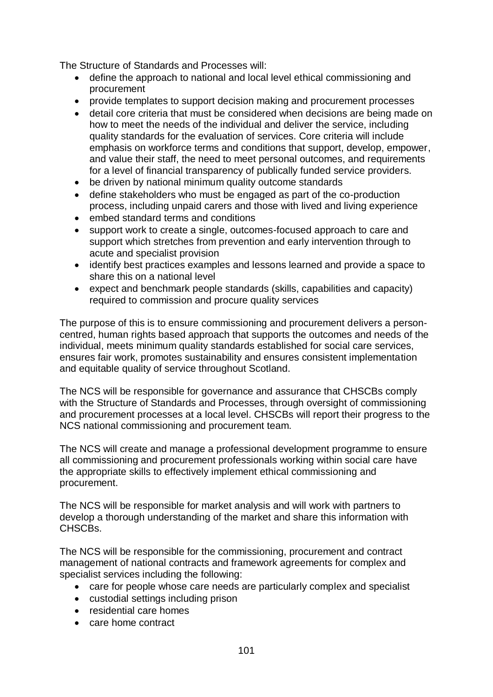The Structure of Standards and Processes will:

- define the approach to national and local level ethical commissioning and procurement
- provide templates to support decision making and procurement processes
- detail core criteria that must be considered when decisions are being made on how to meet the needs of the individual and deliver the service, including quality standards for the evaluation of services. Core criteria will include emphasis on workforce terms and conditions that support, develop, empower, and value their staff, the need to meet personal outcomes, and requirements for a level of financial transparency of publically funded service providers.
- be driven by national minimum quality outcome standards
- define stakeholders who must be engaged as part of the co-production process, including unpaid carers and those with lived and living experience
- embed standard terms and conditions
- support work to create a single, outcomes-focused approach to care and support which stretches from prevention and early intervention through to acute and specialist provision
- identify best practices examples and lessons learned and provide a space to share this on a national level
- expect and benchmark people standards (skills, capabilities and capacity) required to commission and procure quality services

The purpose of this is to ensure commissioning and procurement delivers a personcentred, human rights based approach that supports the outcomes and needs of the individual, meets minimum quality standards established for social care services, ensures fair work, promotes sustainability and ensures consistent implementation and equitable quality of service throughout Scotland.

The NCS will be responsible for governance and assurance that CHSCBs comply with the Structure of Standards and Processes, through oversight of commissioning and procurement processes at a local level. CHSCBs will report their progress to the NCS national commissioning and procurement team.

The NCS will create and manage a professional development programme to ensure all commissioning and procurement professionals working within social care have the appropriate skills to effectively implement ethical commissioning and procurement.

The NCS will be responsible for market analysis and will work with partners to develop a thorough understanding of the market and share this information with CHSCBs.

The NCS will be responsible for the commissioning, procurement and contract management of national contracts and framework agreements for complex and specialist services including the following:

- care for people whose care needs are particularly complex and specialist
- custodial settings including prison
- residential care homes
- care home contract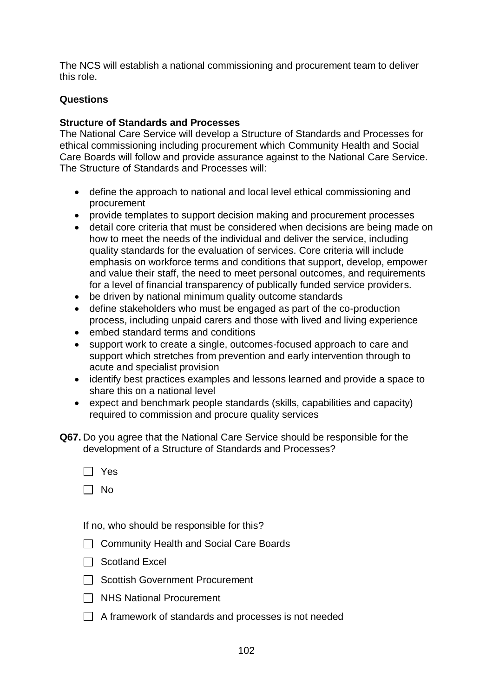The NCS will establish a national commissioning and procurement team to deliver this role.

## **Questions**

## **Structure of Standards and Processes**

The National Care Service will develop a Structure of Standards and Processes for ethical commissioning including procurement which Community Health and Social Care Boards will follow and provide assurance against to the National Care Service. The Structure of Standards and Processes will:

- define the approach to national and local level ethical commissioning and procurement
- provide templates to support decision making and procurement processes
- detail core criteria that must be considered when decisions are being made on how to meet the needs of the individual and deliver the service, including quality standards for the evaluation of services. Core criteria will include emphasis on workforce terms and conditions that support, develop, empower and value their staff, the need to meet personal outcomes, and requirements for a level of financial transparency of publically funded service providers.
- be driven by national minimum quality outcome standards
- define stakeholders who must be engaged as part of the co-production process, including unpaid carers and those with lived and living experience
- embed standard terms and conditions
- support work to create a single, outcomes-focused approach to care and support which stretches from prevention and early intervention through to acute and specialist provision
- identify best practices examples and lessons learned and provide a space to share this on a national level
- expect and benchmark people standards (skills, capabilities and capacity) required to commission and procure quality services
- **Q67.** Do you agree that the National Care Service should be responsible for the development of a Structure of Standards and Processes?
	- Yes
	- $\Box$  No

If no, who should be responsible for this?

- □ Community Health and Social Care Boards
- $\Box$  Scotland Excel
- □ Scottish Government Procurement
- $\Box$  NHS National Procurement
- $\Box$  A framework of standards and processes is not needed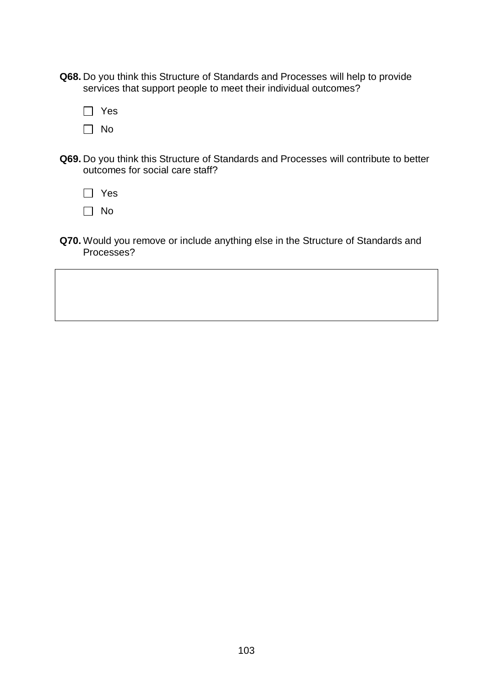- **Q68.** Do you think this Structure of Standards and Processes will help to provide services that support people to meet their individual outcomes?
	- □ Yes  $\Box$  No
- **Q69.** Do you think this Structure of Standards and Processes will contribute to better outcomes for social care staff?
	- Yes
	- $\Box$  No
- **Q70.** Would you remove or include anything else in the Structure of Standards and Processes?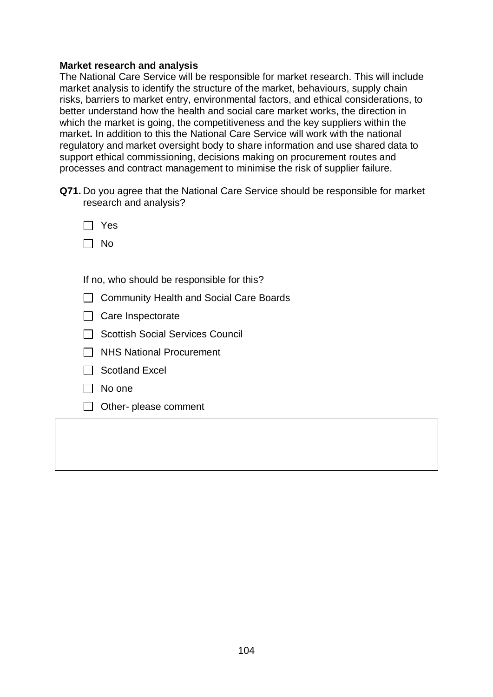### **Market research and analysis**

The National Care Service will be responsible for market research. This will include market analysis to identify the structure of the market, behaviours, supply chain risks, barriers to market entry, environmental factors, and ethical considerations, to better understand how the health and social care market works, the direction in which the market is going, the competitiveness and the key suppliers within the market**.** In addition to this the National Care Service will work with the national regulatory and market oversight body to share information and use shared data to support ethical commissioning, decisions making on procurement routes and processes and contract management to minimise the risk of supplier failure.

**Q71.** Do you agree that the National Care Service should be responsible for market research and analysis?

| Yes |
|-----|
| N٥  |

If no, who should be responsible for this?

- □ Community Health and Social Care Boards
- $\Box$  Care Inspectorate
- $\Box$  Scottish Social Services Council
- $\Box$  NHS National Procurement
- $\Box$  Scotland Excel
- $\Box$  No one
- $\Box$  Other- please comment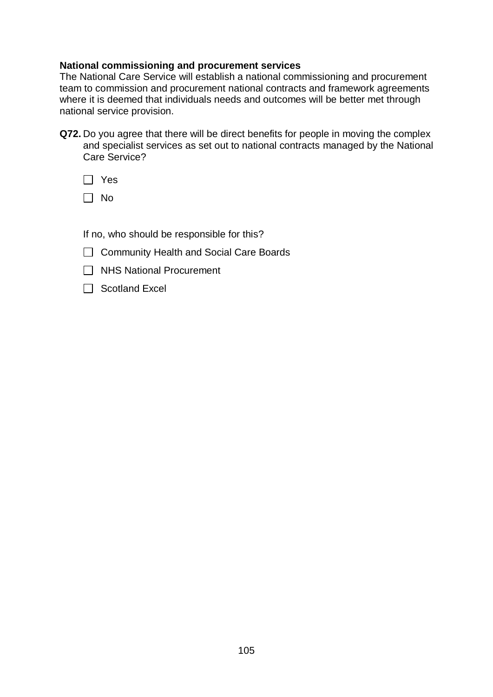### **National commissioning and procurement services**

The National Care Service will establish a national commissioning and procurement team to commission and procurement national contracts and framework agreements where it is deemed that individuals needs and outcomes will be better met through national service provision.

**Q72.** Do you agree that there will be direct benefits for people in moving the complex and specialist services as set out to national contracts managed by the National Care Service?

| I<br>t, |
|---------|
|---------|

 $\Box$  No

If no, who should be responsible for this?

- □ Community Health and Social Care Boards
- □ NHS National Procurement
- $\Box$  Scotland Excel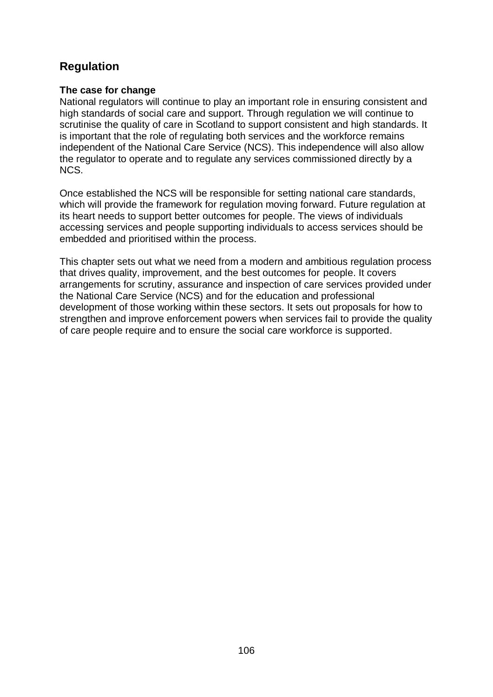# **Regulation**

### **The case for change**

National regulators will continue to play an important role in ensuring consistent and high standards of social care and support. Through regulation we will continue to scrutinise the quality of care in Scotland to support consistent and high standards. It is important that the role of regulating both services and the workforce remains independent of the National Care Service (NCS). This independence will also allow the regulator to operate and to regulate any services commissioned directly by a NCS.

Once established the NCS will be responsible for setting national care standards, which will provide the framework for regulation moving forward. Future regulation at its heart needs to support better outcomes for people. The views of individuals accessing services and people supporting individuals to access services should be embedded and prioritised within the process.

This chapter sets out what we need from a modern and ambitious regulation process that drives quality, improvement, and the best outcomes for people. It covers arrangements for scrutiny, assurance and inspection of care services provided under the National Care Service (NCS) and for the education and professional development of those working within these sectors. It sets out proposals for how to strengthen and improve enforcement powers when services fail to provide the quality of care people require and to ensure the social care workforce is supported.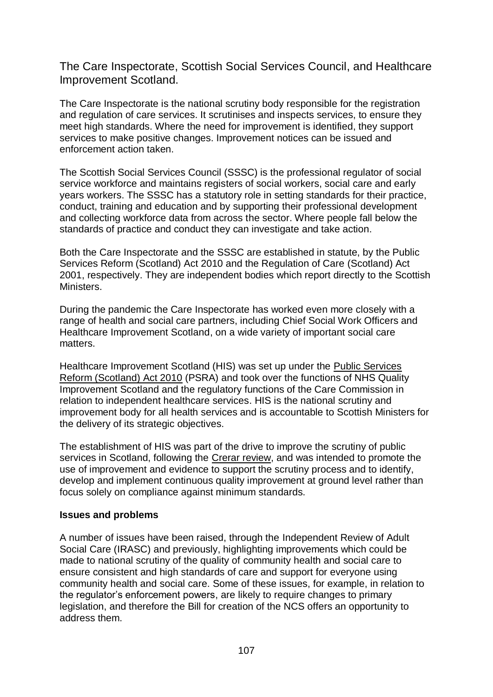The Care Inspectorate, Scottish Social Services Council, and Healthcare Improvement Scotland.

The Care Inspectorate is the national scrutiny body responsible for the registration and regulation of care services. It scrutinises and inspects services, to ensure they meet high standards. Where the need for improvement is identified, they support services to make positive changes. Improvement notices can be issued and enforcement action taken.

The Scottish Social Services Council (SSSC) is the professional regulator of social service workforce and maintains registers of social workers, social care and early years workers. The SSSC has a statutory role in setting standards for their practice, conduct, training and education and by supporting their professional development and collecting workforce data from across the sector. Where people fall below the standards of practice and conduct they can investigate and take action.

Both the Care Inspectorate and the SSSC are established in statute, by the Public Services Reform (Scotland) Act 2010 and the Regulation of Care (Scotland) Act 2001, respectively. They are independent bodies which report directly to the Scottish Ministers.

During the pandemic the Care Inspectorate has worked even more closely with a range of health and social care partners, including Chief Social Work Officers and Healthcare Improvement Scotland, on a wide variety of important social care matters.

Healthcare Improvement Scotland (HIS) was set up under the [Public Services](https://www.legislation.gov.uk/asp/2010/8/contents?text=%22Healthcare%20Improvement%20Scotland%22#match-1)  [Reform \(Scotland\) Act 2010](https://www.legislation.gov.uk/asp/2010/8/contents?text=%22Healthcare%20Improvement%20Scotland%22#match-1) (PSRA) and took over the functions of NHS Quality Improvement Scotland and the regulatory functions of the Care Commission in relation to independent healthcare services. HIS is the national scrutiny and improvement body for all health services and is accountable to Scottish Ministers for the delivery of its strategic objectives.

The establishment of HIS was part of the drive to improve the scrutiny of public services in Scotland, following the [Crerar review,](https://www.gov.scot/publications/crerar-review-report-independent-review-regulation-audit-inspection-complaints-handling/) and was intended to promote the use of improvement and evidence to support the scrutiny process and to identify, develop and implement continuous quality improvement at ground level rather than focus solely on compliance against minimum standards.

#### **Issues and problems**

A number of issues have been raised, through the Independent Review of Adult Social Care (IRASC) and previously, highlighting improvements which could be made to national scrutiny of the quality of community health and social care to ensure consistent and high standards of care and support for everyone using community health and social care. Some of these issues, for example, in relation to the regulator's enforcement powers, are likely to require changes to primary legislation, and therefore the Bill for creation of the NCS offers an opportunity to address them.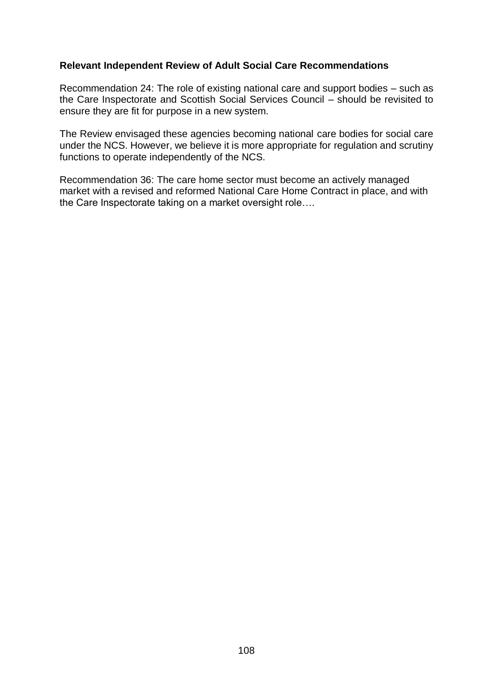# **Relevant Independent Review of Adult Social Care Recommendations**

Recommendation 24: The role of existing national care and support bodies – such as the Care Inspectorate and Scottish Social Services Council – should be revisited to ensure they are fit for purpose in a new system.

The Review envisaged these agencies becoming national care bodies for social care under the NCS. However, we believe it is more appropriate for regulation and scrutiny functions to operate independently of the NCS.

Recommendation 36: The care home sector must become an actively managed market with a revised and reformed National Care Home Contract in place, and with the Care Inspectorate taking on a market oversight role….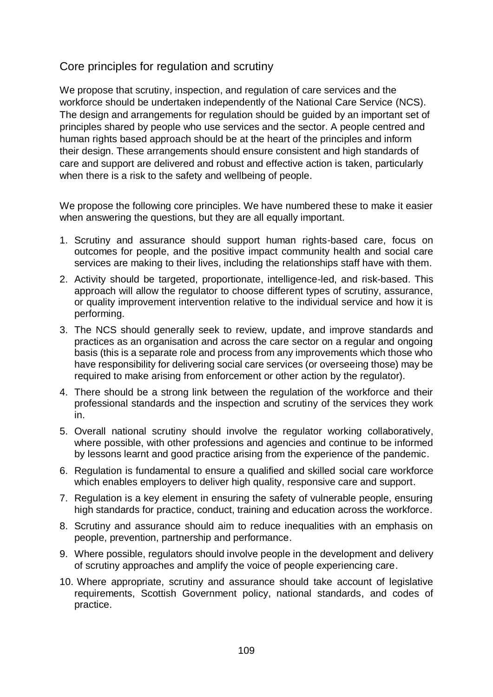# Core principles for regulation and scrutiny

We propose that scrutiny, inspection, and regulation of care services and the workforce should be undertaken independently of the National Care Service (NCS). The design and arrangements for regulation should be guided by an important set of principles shared by people who use services and the sector. A people centred and human rights based approach should be at the heart of the principles and inform their design. These arrangements should ensure consistent and high standards of care and support are delivered and robust and effective action is taken, particularly when there is a risk to the safety and wellbeing of people.

We propose the following core principles. We have numbered these to make it easier when answering the questions, but they are all equally important.

- 1. Scrutiny and assurance should support human rights-based care, focus on outcomes for people, and the positive impact community health and social care services are making to their lives, including the relationships staff have with them.
- 2. Activity should be targeted, proportionate, intelligence-led, and risk-based. This approach will allow the regulator to choose different types of scrutiny, assurance, or quality improvement intervention relative to the individual service and how it is performing.
- 3. The NCS should generally seek to review, update, and improve standards and practices as an organisation and across the care sector on a regular and ongoing basis (this is a separate role and process from any improvements which those who have responsibility for delivering social care services (or overseeing those) may be required to make arising from enforcement or other action by the regulator).
- 4. There should be a strong link between the regulation of the workforce and their professional standards and the inspection and scrutiny of the services they work in.
- 5. Overall national scrutiny should involve the regulator working collaboratively, where possible, with other professions and agencies and continue to be informed by lessons learnt and good practice arising from the experience of the pandemic.
- 6. Regulation is fundamental to ensure a qualified and skilled social care workforce which enables employers to deliver high quality, responsive care and support.
- 7. Regulation is a key element in ensuring the safety of vulnerable people, ensuring high standards for practice, conduct, training and education across the workforce.
- 8. Scrutiny and assurance should aim to reduce inequalities with an emphasis on people, prevention, partnership and performance.
- 9. Where possible, regulators should involve people in the development and delivery of scrutiny approaches and amplify the voice of people experiencing care.
- 10. Where appropriate, scrutiny and assurance should take account of legislative requirements, Scottish Government policy, national standards, and codes of practice.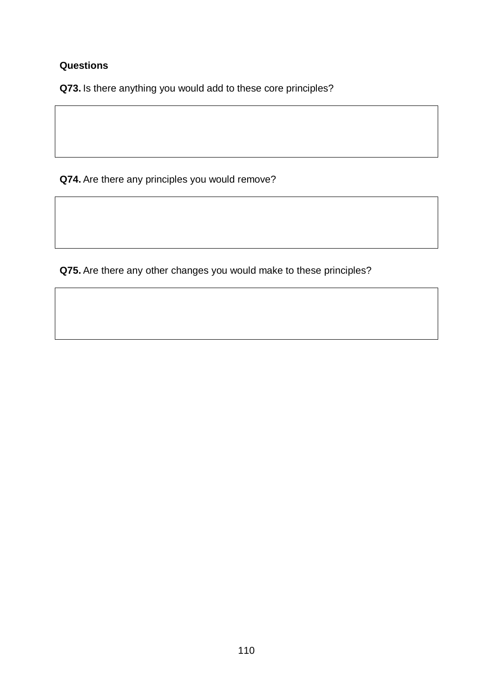# **Questions**

**Q73.** Is there anything you would add to these core principles?

**Q74.** Are there any principles you would remove?

**Q75.** Are there any other changes you would make to these principles?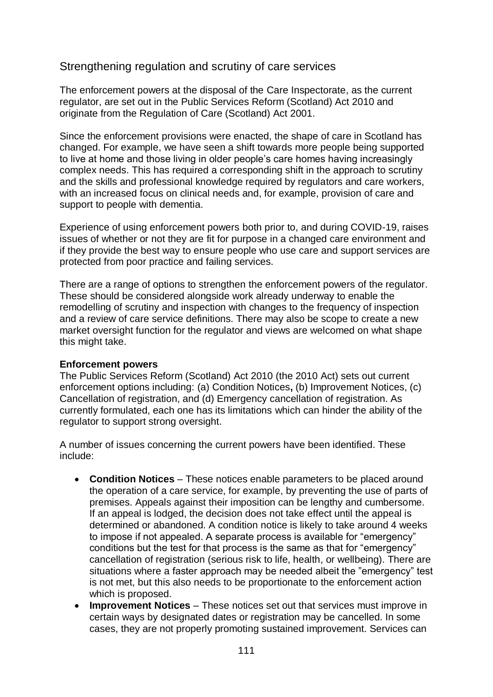# Strengthening regulation and scrutiny of care services

The enforcement powers at the disposal of the Care Inspectorate, as the current regulator, are set out in the Public Services Reform (Scotland) Act 2010 and originate from the Regulation of Care (Scotland) Act 2001.

Since the enforcement provisions were enacted, the shape of care in Scotland has changed. For example, we have seen a shift towards more people being supported to live at home and those living in older people's care homes having increasingly complex needs. This has required a corresponding shift in the approach to scrutiny and the skills and professional knowledge required by regulators and care workers, with an increased focus on clinical needs and, for example, provision of care and support to people with dementia.

Experience of using enforcement powers both prior to, and during COVID-19, raises issues of whether or not they are fit for purpose in a changed care environment and if they provide the best way to ensure people who use care and support services are protected from poor practice and failing services.

There are a range of options to strengthen the enforcement powers of the regulator. These should be considered alongside work already underway to enable the remodelling of scrutiny and inspection with changes to the frequency of inspection and a review of care service definitions. There may also be scope to create a new market oversight function for the regulator and views are welcomed on what shape this might take.

#### **Enforcement powers**

The Public Services Reform (Scotland) Act 2010 (the 2010 Act) sets out current enforcement options including: (a) Condition Notices**,** (b) Improvement Notices, (c) Cancellation of registration, and (d) Emergency cancellation of registration. As currently formulated, each one has its limitations which can hinder the ability of the regulator to support strong oversight.

A number of issues concerning the current powers have been identified. These include:

- **Condition Notices** These notices enable parameters to be placed around the operation of a care service, for example, by preventing the use of parts of premises. Appeals against their imposition can be lengthy and cumbersome. If an appeal is lodged, the decision does not take effect until the appeal is determined or abandoned. A condition notice is likely to take around 4 weeks to impose if not appealed. A separate process is available for "emergency" conditions but the test for that process is the same as that for "emergency" cancellation of registration (serious risk to life, health, or wellbeing). There are situations where a faster approach may be needed albeit the "emergency" test is not met, but this also needs to be proportionate to the enforcement action which is proposed.
- **Improvement Notices** These notices set out that services must improve in certain ways by designated dates or registration may be cancelled. In some cases, they are not properly promoting sustained improvement. Services can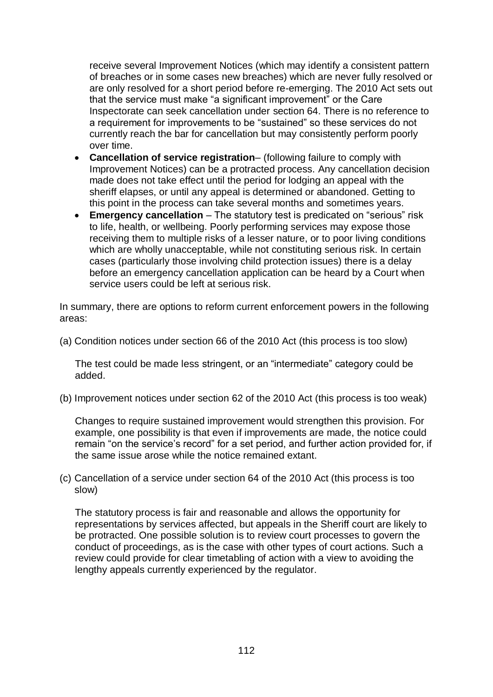receive several Improvement Notices (which may identify a consistent pattern of breaches or in some cases new breaches) which are never fully resolved or are only resolved for a short period before re-emerging. The 2010 Act sets out that the service must make "a significant improvement" or the Care Inspectorate can seek cancellation under section 64. There is no reference to a requirement for improvements to be "sustained" so these services do not currently reach the bar for cancellation but may consistently perform poorly over time.

- **Cancellation of service registration** (following failure to comply with Improvement Notices) can be a protracted process. Any cancellation decision made does not take effect until the period for lodging an appeal with the sheriff elapses, or until any appeal is determined or abandoned. Getting to this point in the process can take several months and sometimes years.
- **Emergency cancellation** The statutory test is predicated on "serious" risk to life, health, or wellbeing. Poorly performing services may expose those receiving them to multiple risks of a lesser nature, or to poor living conditions which are wholly unacceptable, while not constituting serious risk. In certain cases (particularly those involving child protection issues) there is a delay before an emergency cancellation application can be heard by a Court when service users could be left at serious risk.

In summary, there are options to reform current enforcement powers in the following areas:

(a) Condition notices under section 66 of the 2010 Act (this process is too slow)

The test could be made less stringent, or an "intermediate" category could be added.

(b) Improvement notices under section 62 of the 2010 Act (this process is too weak)

Changes to require sustained improvement would strengthen this provision. For example, one possibility is that even if improvements are made, the notice could remain "on the service's record" for a set period, and further action provided for, if the same issue arose while the notice remained extant.

(c) Cancellation of a service under section 64 of the 2010 Act (this process is too slow)

The statutory process is fair and reasonable and allows the opportunity for representations by services affected, but appeals in the Sheriff court are likely to be protracted. One possible solution is to review court processes to govern the conduct of proceedings, as is the case with other types of court actions. Such a review could provide for clear timetabling of action with a view to avoiding the lengthy appeals currently experienced by the regulator.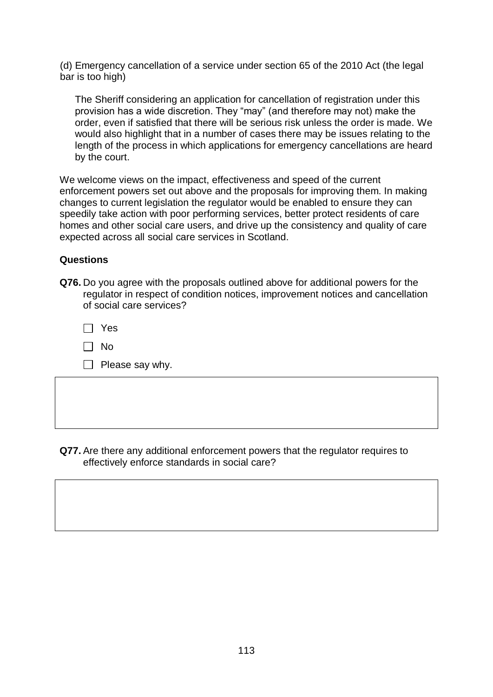(d) Emergency cancellation of a service under section 65 of the 2010 Act (the legal bar is too high)

The Sheriff considering an application for cancellation of registration under this provision has a wide discretion. They "may" (and therefore may not) make the order, even if satisfied that there will be serious risk unless the order is made. We would also highlight that in a number of cases there may be issues relating to the length of the process in which applications for emergency cancellations are heard by the court.

We welcome views on the impact, effectiveness and speed of the current enforcement powers set out above and the proposals for improving them. In making changes to current legislation the regulator would be enabled to ensure they can speedily take action with poor performing services, better protect residents of care homes and other social care users, and drive up the consistency and quality of care expected across all social care services in Scotland.

# **Questions**

**Q76.** Do you agree with the proposals outlined above for additional powers for the regulator in respect of condition notices, improvement notices and cancellation of social care services?

 $\Box$  No

| $\Box$ Please say why. |
|------------------------|
|------------------------|

**Q77.** Are there any additional enforcement powers that the regulator requires to effectively enforce standards in social care?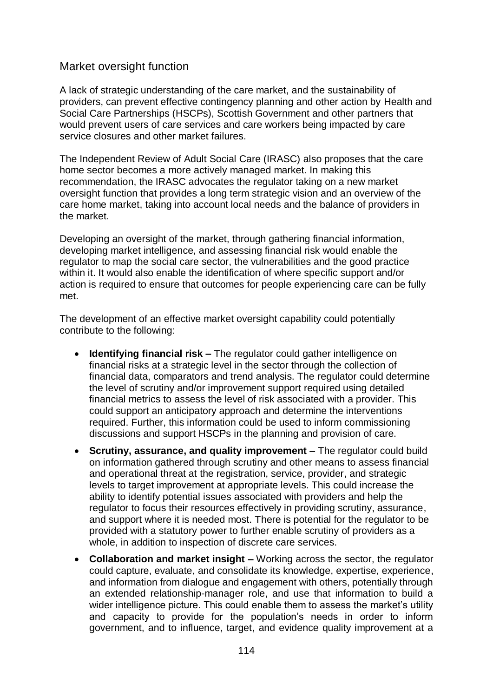# Market oversight function

A lack of strategic understanding of the care market, and the sustainability of providers, can prevent effective contingency planning and other action by Health and Social Care Partnerships (HSCPs), Scottish Government and other partners that would prevent users of care services and care workers being impacted by care service closures and other market failures.

The Independent Review of Adult Social Care (IRASC) also proposes that the care home sector becomes a more actively managed market. In making this recommendation, the IRASC advocates the regulator taking on a new market oversight function that provides a long term strategic vision and an overview of the care home market, taking into account local needs and the balance of providers in the market.

Developing an oversight of the market, through gathering financial information, developing market intelligence, and assessing financial risk would enable the regulator to map the social care sector, the vulnerabilities and the good practice within it. It would also enable the identification of where specific support and/or action is required to ensure that outcomes for people experiencing care can be fully met.

The development of an effective market oversight capability could potentially contribute to the following:

- **Identifying financial risk –** The regulator could gather intelligence on financial risks at a strategic level in the sector through the collection of financial data, comparators and trend analysis. The regulator could determine the level of scrutiny and/or improvement support required using detailed financial metrics to assess the level of risk associated with a provider. This could support an anticipatory approach and determine the interventions required. Further, this information could be used to inform commissioning discussions and support HSCPs in the planning and provision of care.
- **Scrutiny, assurance, and quality improvement –** The regulator could build on information gathered through scrutiny and other means to assess financial and operational threat at the registration, service, provider, and strategic levels to target improvement at appropriate levels. This could increase the ability to identify potential issues associated with providers and help the regulator to focus their resources effectively in providing scrutiny, assurance, and support where it is needed most. There is potential for the regulator to be provided with a statutory power to further enable scrutiny of providers as a whole, in addition to inspection of discrete care services.
- **Collaboration and market insight –** Working across the sector, the regulator could capture, evaluate, and consolidate its knowledge, expertise, experience, and information from dialogue and engagement with others, potentially through an extended relationship-manager role, and use that information to build a wider intelligence picture. This could enable them to assess the market's utility and capacity to provide for the population's needs in order to inform government, and to influence, target, and evidence quality improvement at a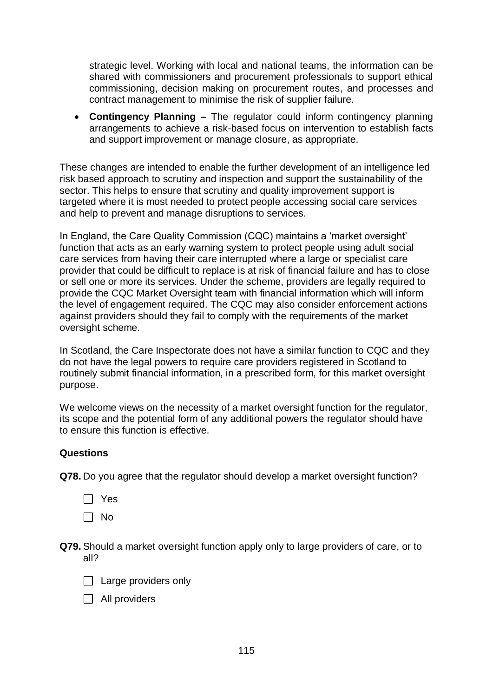strategic level. Working with local and national teams, the information can be shared with commissioners and procurement professionals to support ethical commissioning, decision making on procurement routes, and processes and contract management to minimise the risk of supplier failure.

• **Contingency Planning –** The regulator could inform contingency planning arrangements to achieve a risk-based focus on intervention to establish facts and support improvement or manage closure, as appropriate.

These changes are intended to enable the further development of an intelligence led risk based approach to scrutiny and inspection and support the sustainability of the sector. This helps to ensure that scrutiny and quality improvement support is targeted where it is most needed to protect people accessing social care services and help to prevent and manage disruptions to services.

In England, the Care Quality Commission (CQC) maintains a 'market oversight' function that acts as an early warning system to protect people using adult social care services from having their care interrupted where a large or specialist care provider that could be difficult to replace is at risk of financial failure and has to close or sell one or more its services. Under the scheme, providers are legally required to provide the CQC Market Oversight team with financial information which will inform the level of engagement required. The CQC may also consider enforcement actions against providers should they fail to comply with the requirements of the market oversight scheme.

In Scotland, the Care Inspectorate does not have a similar function to CQC and they do not have the legal powers to require care providers registered in Scotland to routinely submit financial information, in a prescribed form, for this market oversight purpose.

We welcome views on the necessity of a market oversight function for the regulator, its scope and the potential form of any additional powers the regulator should have to ensure this function is effective.

## **Questions**

**Q78.** Do you agree that the regulator should develop a market oversight function?

- Yes
- $\Box$  No
- **Q79.** Should a market oversight function apply only to large providers of care, or to all?
	- $\Box$  Large providers only
	- $\Box$  All providers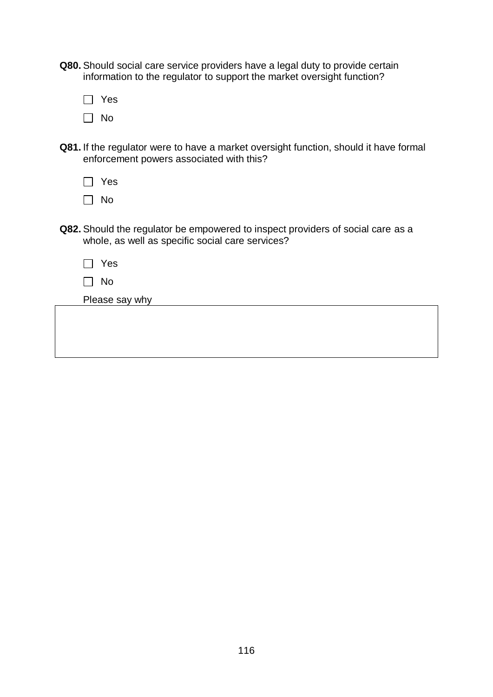- **Q80.** Should social care service providers have a legal duty to provide certain information to the regulator to support the market oversight function?
	- □ Yes  $\Box$  No
- **Q81.** If the regulator were to have a market oversight function, should it have formal enforcement powers associated with this?

| Yes |  |  |  |
|-----|--|--|--|
| Nο  |  |  |  |

- **Q82.** Should the regulator be empowered to inspect providers of social care as a whole, as well as specific social care services?
	- $\Box$  Yes
	- $\Box$  No

Please say why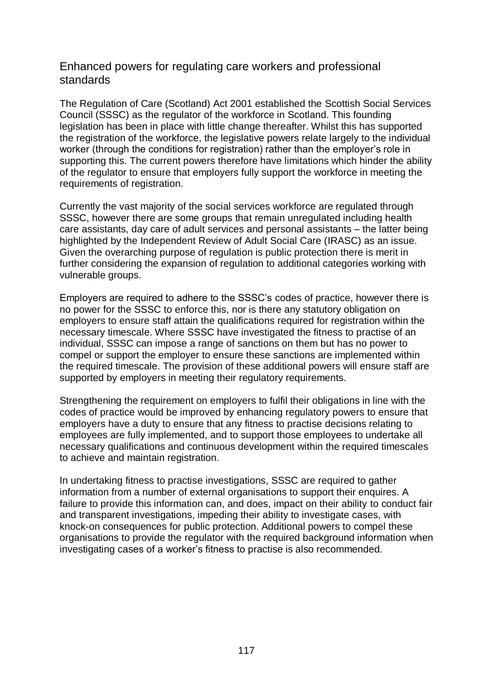# Enhanced powers for regulating care workers and professional standards

The Regulation of Care (Scotland) Act 2001 established the Scottish Social Services Council (SSSC) as the regulator of the workforce in Scotland. This founding legislation has been in place with little change thereafter. Whilst this has supported the registration of the workforce, the legislative powers relate largely to the individual worker (through the conditions for registration) rather than the employer's role in supporting this. The current powers therefore have limitations which hinder the ability of the regulator to ensure that employers fully support the workforce in meeting the requirements of registration.

Currently the vast majority of the social services workforce are regulated through SSSC, however there are some groups that remain unregulated including health care assistants, day care of adult services and personal assistants – the latter being highlighted by the Independent Review of Adult Social Care (IRASC) as an issue. Given the overarching purpose of regulation is public protection there is merit in further considering the expansion of regulation to additional categories working with vulnerable groups.

Employers are required to adhere to the SSSC's codes of practice, however there is no power for the SSSC to enforce this, nor is there any statutory obligation on employers to ensure staff attain the qualifications required for registration within the necessary timescale. Where SSSC have investigated the fitness to practise of an individual, SSSC can impose a range of sanctions on them but has no power to compel or support the employer to ensure these sanctions are implemented within the required timescale. The provision of these additional powers will ensure staff are supported by employers in meeting their regulatory requirements.

Strengthening the requirement on employers to fulfil their obligations in line with the codes of practice would be improved by enhancing regulatory powers to ensure that employers have a duty to ensure that any fitness to practise decisions relating to employees are fully implemented, and to support those employees to undertake all necessary qualifications and continuous development within the required timescales to achieve and maintain registration.

In undertaking fitness to practise investigations, SSSC are required to gather information from a number of external organisations to support their enquires. A failure to provide this information can, and does, impact on their ability to conduct fair and transparent investigations, impeding their ability to investigate cases, with knock-on consequences for public protection. Additional powers to compel these organisations to provide the regulator with the required background information when investigating cases of a worker's fitness to practise is also recommended.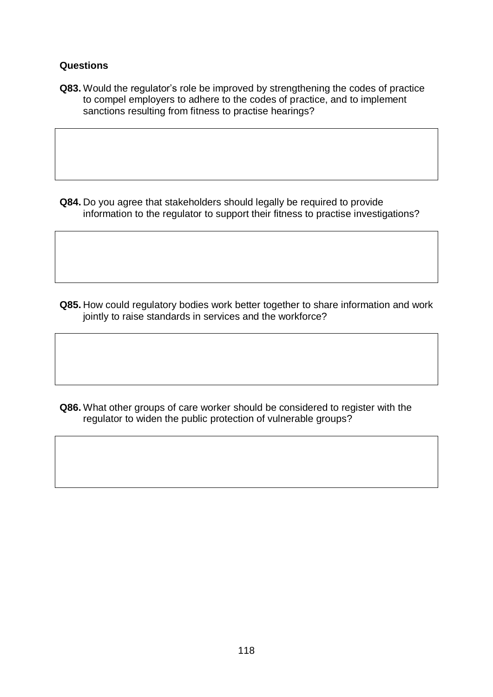# **Questions**

**Q83.** Would the regulator's role be improved by strengthening the codes of practice to compel employers to adhere to the codes of practice, and to implement sanctions resulting from fitness to practise hearings?

**Q84.** Do you agree that stakeholders should legally be required to provide information to the regulator to support their fitness to practise investigations?

**Q85.** How could regulatory bodies work better together to share information and work jointly to raise standards in services and the workforce?

**Q86.** What other groups of care worker should be considered to register with the regulator to widen the public protection of vulnerable groups?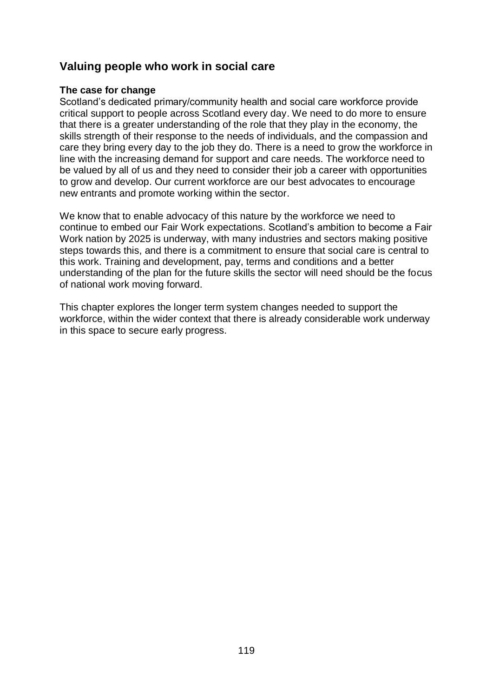# **Valuing people who work in social care**

## **The case for change**

Scotland's dedicated primary/community health and social care workforce provide critical support to people across Scotland every day. We need to do more to ensure that there is a greater understanding of the role that they play in the economy, the skills strength of their response to the needs of individuals, and the compassion and care they bring every day to the job they do. There is a need to grow the workforce in line with the increasing demand for support and care needs. The workforce need to be valued by all of us and they need to consider their job a career with opportunities to grow and develop. Our current workforce are our best advocates to encourage new entrants and promote working within the sector.

We know that to enable advocacy of this nature by the workforce we need to continue to embed our Fair Work expectations. Scotland's ambition to become a Fair Work nation by 2025 is underway, with many industries and sectors making positive steps towards this, and there is a commitment to ensure that social care is central to this work. Training and development, pay, terms and conditions and a better understanding of the plan for the future skills the sector will need should be the focus of national work moving forward.

This chapter explores the longer term system changes needed to support the workforce, within the wider context that there is already considerable work underway in this space to secure early progress.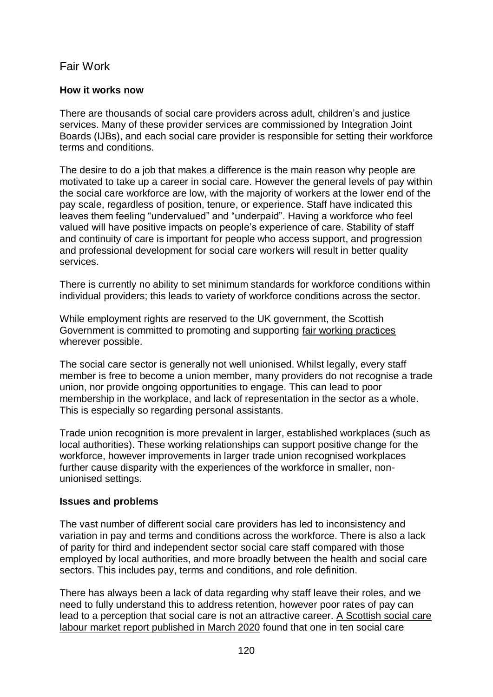# Fair Work

# **How it works now**

There are thousands of social care providers across adult, children's and justice services. Many of these provider services are commissioned by Integration Joint Boards (IJBs), and each social care provider is responsible for setting their workforce terms and conditions.

The desire to do a job that makes a difference is the main reason why people are motivated to take up a career in social care. However the general levels of pay within the social care workforce are low, with the majority of workers at the lower end of the pay scale, regardless of position, tenure, or experience. Staff have indicated this leaves them feeling "undervalued" and "underpaid". Having a workforce who feel valued will have positive impacts on people's experience of care. Stability of staff and continuity of care is important for people who access support, and progression and professional development for social care workers will result in better quality services.

There is currently no ability to set minimum standards for workforce conditions within individual providers; this leads to variety of workforce conditions across the sector.

While employment rights are reserved to the UK government, the Scottish Government is committed to promoting and supporting [fair working practices](https://www.gov.scot/policies/employment-support/fair-work-and-pay/) wherever possible.

The social care sector is generally not well unionised. Whilst legally, every staff member is free to become a union member, many providers do not recognise a trade union, nor provide ongoing opportunities to engage. This can lead to poor membership in the workplace, and lack of representation in the sector as a whole. This is especially so regarding personal assistants.

Trade union recognition is more prevalent in larger, established workplaces (such as local authorities). These working relationships can support positive change for the workforce, however improvements in larger trade union recognised workplaces further cause disparity with the experiences of the workforce in smaller, nonunionised settings.

## **Issues and problems**

The vast number of different social care providers has led to inconsistency and variation in pay and terms and conditions across the workforce. There is also a lack of parity for third and independent sector social care staff compared with those employed by local authorities, and more broadly between the health and social care sectors. This includes pay, terms and conditions, and role definition.

There has always been a lack of data regarding why staff leave their roles, and we need to fully understand this to address retention, however poor rates of pay can lead to a perception that social care is not an attractive career. [A Scottish social care](https://www.gov.scot/publications/implications-national-local-labour-markets-social-care-workforce-report-scottish-government-cosla/)  [labour market report published in March 2020](https://www.gov.scot/publications/implications-national-local-labour-markets-social-care-workforce-report-scottish-government-cosla/) found that one in ten social care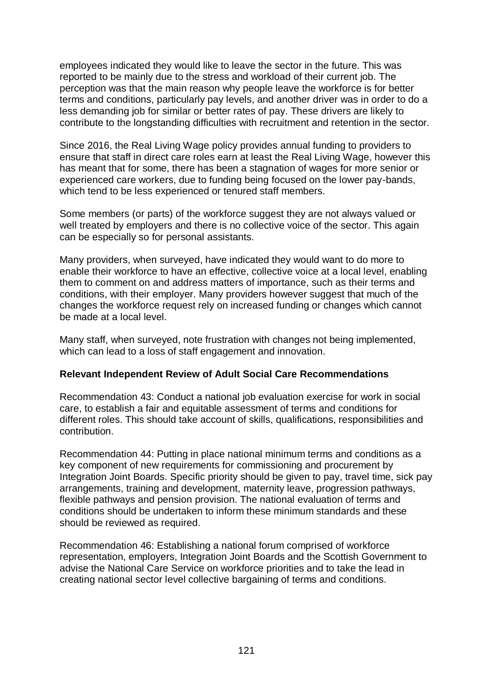employees indicated they would like to leave the sector in the future. This was reported to be mainly due to the stress and workload of their current job. The perception was that the main reason why people leave the workforce is for better terms and conditions, particularly pay levels, and another driver was in order to do a less demanding job for similar or better rates of pay. These drivers are likely to contribute to the longstanding difficulties with recruitment and retention in the sector.

Since 2016, the Real Living Wage policy provides annual funding to providers to ensure that staff in direct care roles earn at least the Real Living Wage, however this has meant that for some, there has been a stagnation of wages for more senior or experienced care workers, due to funding being focused on the lower pay-bands, which tend to be less experienced or tenured staff members.

Some members (or parts) of the workforce suggest they are not always valued or well treated by employers and there is no collective voice of the sector. This again can be especially so for personal assistants.

Many providers, when surveyed, have indicated they would want to do more to enable their workforce to have an effective, collective voice at a local level, enabling them to comment on and address matters of importance, such as their terms and conditions, with their employer. Many providers however suggest that much of the changes the workforce request rely on increased funding or changes which cannot be made at a local level.

Many staff, when surveyed, note frustration with changes not being implemented, which can lead to a loss of staff engagement and innovation.

## **Relevant Independent Review of Adult Social Care Recommendations**

Recommendation 43: Conduct a national job evaluation exercise for work in social care, to establish a fair and equitable assessment of terms and conditions for different roles. This should take account of skills, qualifications, responsibilities and contribution.

Recommendation 44: Putting in place national minimum terms and conditions as a key component of new requirements for commissioning and procurement by Integration Joint Boards. Specific priority should be given to pay, travel time, sick pay arrangements, training and development, maternity leave, progression pathways, flexible pathways and pension provision. The national evaluation of terms and conditions should be undertaken to inform these minimum standards and these should be reviewed as required.

Recommendation 46: Establishing a national forum comprised of workforce representation, employers, Integration Joint Boards and the Scottish Government to advise the National Care Service on workforce priorities and to take the lead in creating national sector level collective bargaining of terms and conditions.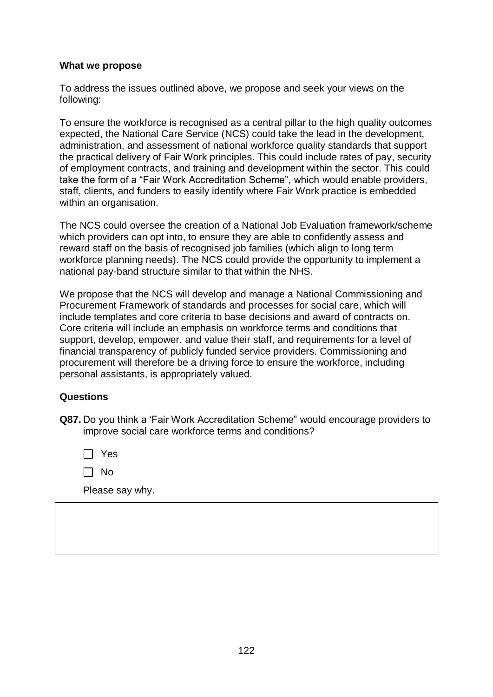#### **What we propose**

To address the issues outlined above, we propose and seek your views on the following:

To ensure the workforce is recognised as a central pillar to the high quality outcomes expected, the National Care Service (NCS) could take the lead in the development, administration, and assessment of national workforce quality standards that support the practical delivery of Fair Work principles. This could include rates of pay, security of employment contracts, and training and development within the sector. This could take the form of a "Fair Work Accreditation Scheme", which would enable providers, staff, clients, and funders to easily identify where Fair Work practice is embedded within an organisation.

The NCS could oversee the creation of a National Job Evaluation framework/scheme which providers can opt into, to ensure they are able to confidently assess and reward staff on the basis of recognised job families (which align to long term workforce planning needs). The NCS could provide the opportunity to implement a national pay-band structure similar to that within the NHS.

We propose that the NCS will develop and manage a National Commissioning and Procurement Framework of standards and processes for social care, which will include templates and core criteria to base decisions and award of contracts on. Core criteria will include an emphasis on workforce terms and conditions that support, develop, empower, and value their staff, and requirements for a level of financial transparency of publicly funded service providers. Commissioning and procurement will therefore be a driving force to ensure the workforce, including personal assistants, is appropriately valued.

## **Questions**

**Q87.** Do you think a 'Fair Work Accreditation Scheme" would encourage providers to improve social care workforce terms and conditions?

Yes

 $\Box$  No

Please say why.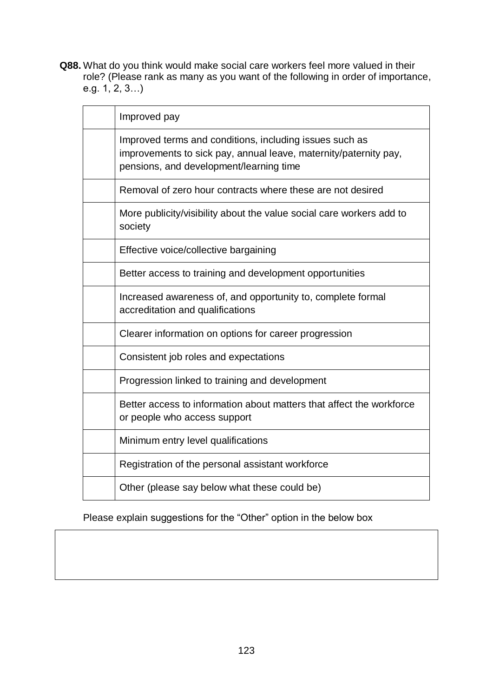**Q88.** What do you think would make social care workers feel more valued in their role? (Please rank as many as you want of the following in order of importance, e.g.  $1, 2, 3...$ 

| Improved pay                                                                                                                                                           |
|------------------------------------------------------------------------------------------------------------------------------------------------------------------------|
| Improved terms and conditions, including issues such as<br>improvements to sick pay, annual leave, maternity/paternity pay,<br>pensions, and development/learning time |
| Removal of zero hour contracts where these are not desired                                                                                                             |
| More publicity/visibility about the value social care workers add to<br>society                                                                                        |
| Effective voice/collective bargaining                                                                                                                                  |
| Better access to training and development opportunities                                                                                                                |
| Increased awareness of, and opportunity to, complete formal<br>accreditation and qualifications                                                                        |
| Clearer information on options for career progression                                                                                                                  |
| Consistent job roles and expectations                                                                                                                                  |
| Progression linked to training and development                                                                                                                         |
| Better access to information about matters that affect the workforce<br>or people who access support                                                                   |
| Minimum entry level qualifications                                                                                                                                     |
| Registration of the personal assistant workforce                                                                                                                       |
| Other (please say below what these could be)                                                                                                                           |

Please explain suggestions for the "Other" option in the below box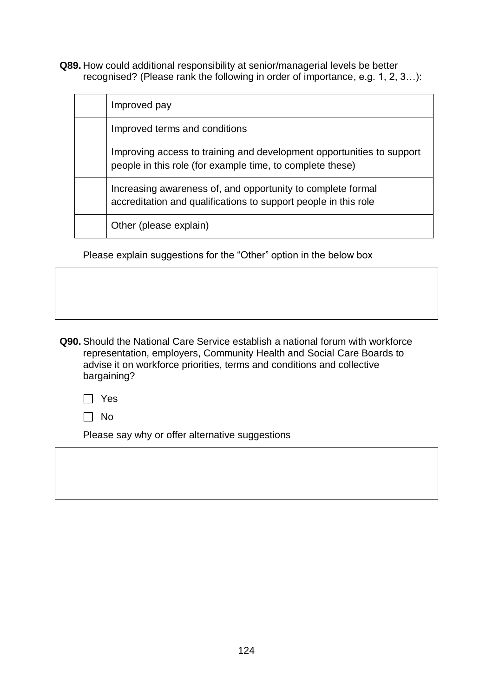**Q89.** How could additional responsibility at senior/managerial levels be better recognised? (Please rank the following in order of importance, e.g. 1, 2, 3…):

| Improved pay                                                                                                                       |
|------------------------------------------------------------------------------------------------------------------------------------|
| Improved terms and conditions                                                                                                      |
| Improving access to training and development opportunities to support<br>people in this role (for example time, to complete these) |
| Increasing awareness of, and opportunity to complete formal<br>accreditation and qualifications to support people in this role     |
| Other (please explain)                                                                                                             |

Please explain suggestions for the "Other" option in the below box

**Q90.** Should the National Care Service establish a national forum with workforce representation, employers, Community Health and Social Care Boards to advise it on workforce priorities, terms and conditions and collective bargaining?

□ Yes

 $\Box$  No

Please say why or offer alternative suggestions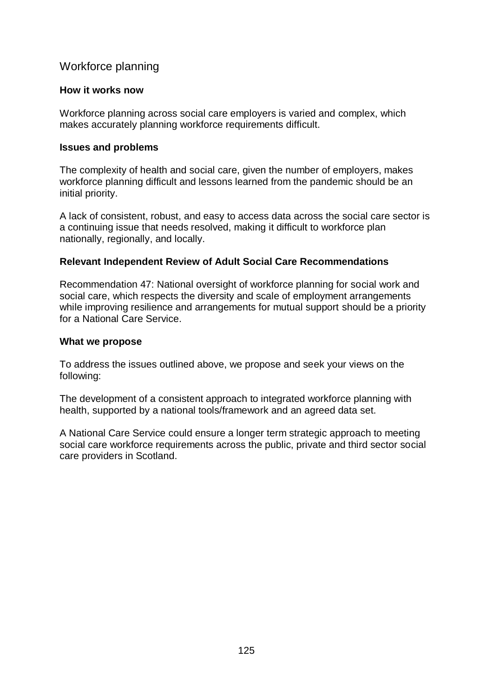# Workforce planning

#### **How it works now**

Workforce planning across social care employers is varied and complex, which makes accurately planning workforce requirements difficult.

#### **Issues and problems**

The complexity of health and social care, given the number of employers, makes workforce planning difficult and lessons learned from the pandemic should be an initial priority.

A lack of consistent, robust, and easy to access data across the social care sector is a continuing issue that needs resolved, making it difficult to workforce plan nationally, regionally, and locally.

## **Relevant Independent Review of Adult Social Care Recommendations**

Recommendation 47: National oversight of workforce planning for social work and social care, which respects the diversity and scale of employment arrangements while improving resilience and arrangements for mutual support should be a priority for a National Care Service.

#### **What we propose**

To address the issues outlined above, we propose and seek your views on the following:

The development of a consistent approach to integrated workforce planning with health, supported by a national tools/framework and an agreed data set.

A National Care Service could ensure a longer term strategic approach to meeting social care workforce requirements across the public, private and third sector social care providers in Scotland.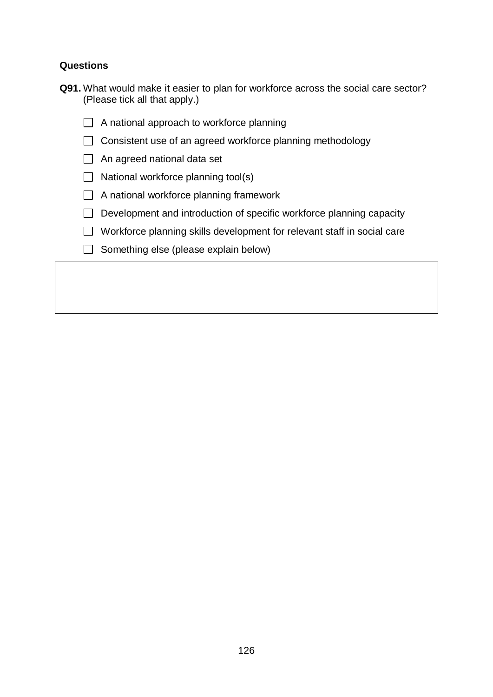# **Questions**

| <b>Q91.</b> What would make it easier to plan for workforce across the social care sector? |  |  |  |  |  |
|--------------------------------------------------------------------------------------------|--|--|--|--|--|
| (Please tick all that apply.)                                                              |  |  |  |  |  |

- $\Box$  A national approach to workforce planning
- $\Box$  Consistent use of an agreed workforce planning methodology
- An agreed national data set
- $\Box$  National workforce planning tool(s)
- $\Box$  A national workforce planning framework
- $\Box$  Development and introduction of specific workforce planning capacity
- $\Box$  Workforce planning skills development for relevant staff in social care
- $\Box$  Something else (please explain below)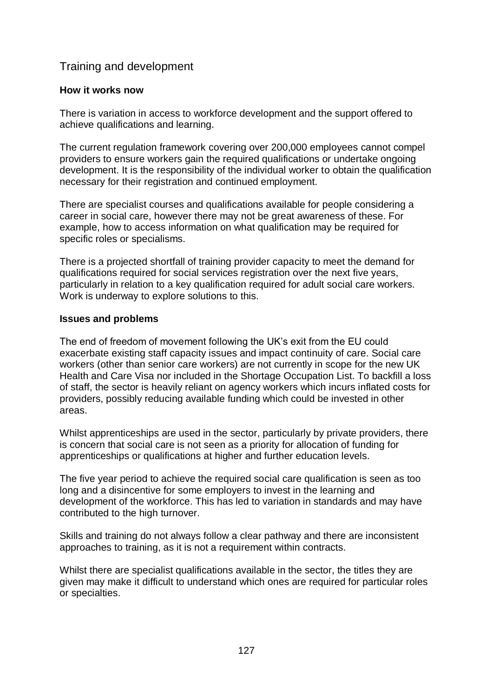# Training and development

## **How it works now**

There is variation in access to workforce development and the support offered to achieve qualifications and learning.

The current regulation framework covering over 200,000 employees cannot compel providers to ensure workers gain the required qualifications or undertake ongoing development. It is the responsibility of the individual worker to obtain the qualification necessary for their registration and continued employment.

There are specialist courses and qualifications available for people considering a career in social care, however there may not be great awareness of these. For example, how to access information on what qualification may be required for specific roles or specialisms.

There is a projected shortfall of training provider capacity to meet the demand for qualifications required for social services registration over the next five years, particularly in relation to a key qualification required for adult social care workers. Work is underway to explore solutions to this.

# **Issues and problems**

The end of freedom of movement following the UK's exit from the EU could exacerbate existing staff capacity issues and impact continuity of care. Social care workers (other than senior care workers) are not currently in scope for the new UK Health and Care Visa nor included in the Shortage Occupation List. To backfill a loss of staff, the sector is heavily reliant on agency workers which incurs inflated costs for providers, possibly reducing available funding which could be invested in other areas.

Whilst apprenticeships are used in the sector, particularly by private providers, there is concern that social care is not seen as a priority for allocation of funding for apprenticeships or qualifications at higher and further education levels.

The five year period to achieve the required social care qualification is seen as too long and a disincentive for some employers to invest in the learning and development of the workforce. This has led to variation in standards and may have contributed to the high turnover.

Skills and training do not always follow a clear pathway and there are inconsistent approaches to training, as it is not a requirement within contracts.

Whilst there are specialist qualifications available in the sector, the titles they are given may make it difficult to understand which ones are required for particular roles or specialties.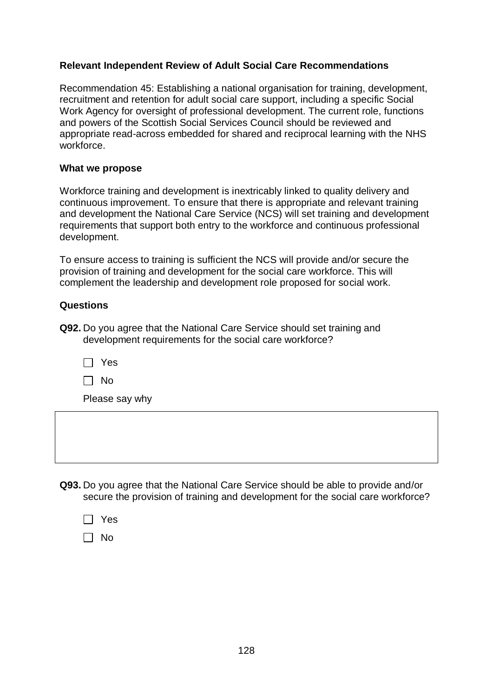# **Relevant Independent Review of Adult Social Care Recommendations**

Recommendation 45: Establishing a national organisation for training, development, recruitment and retention for adult social care support, including a specific Social Work Agency for oversight of professional development. The current role, functions and powers of the Scottish Social Services Council should be reviewed and appropriate read-across embedded for shared and reciprocal learning with the NHS workforce.

## **What we propose**

Workforce training and development is inextricably linked to quality delivery and continuous improvement. To ensure that there is appropriate and relevant training and development the National Care Service (NCS) will set training and development requirements that support both entry to the workforce and continuous professional development.

To ensure access to training is sufficient the NCS will provide and/or secure the provision of training and development for the social care workforce. This will complement the leadership and development role proposed for social work.

# **Questions**

**Q92.** Do you agree that the National Care Service should set training and development requirements for the social care workforce?

| I |  |
|---|--|
|---|--|

 $\Box$  No

Please say why

**Q93.** Do you agree that the National Care Service should be able to provide and/or secure the provision of training and development for the social care workforce?

| Yes |
|-----|
| N٥  |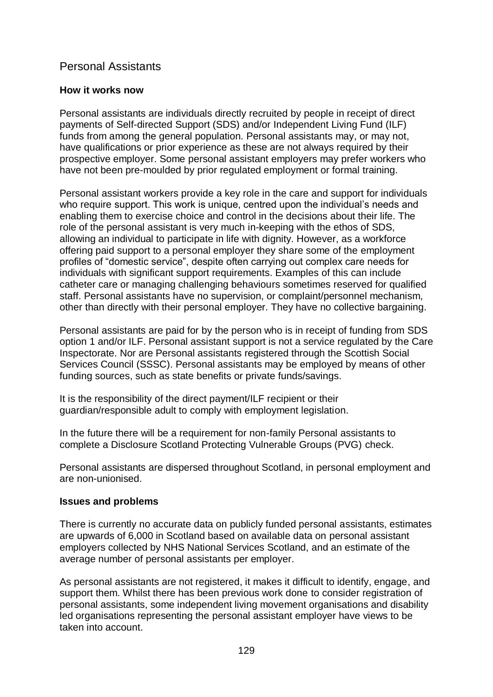# Personal Assistants

# **How it works now**

Personal assistants are individuals directly recruited by people in receipt of direct payments of Self-directed Support (SDS) and/or Independent Living Fund (ILF) funds from among the general population. Personal assistants may, or may not, have qualifications or prior experience as these are not always required by their prospective employer. Some personal assistant employers may prefer workers who have not been pre-moulded by prior regulated employment or formal training.

Personal assistant workers provide a key role in the care and support for individuals who require support. This work is unique, centred upon the individual's needs and enabling them to exercise choice and control in the decisions about their life. The role of the personal assistant is very much in-keeping with the ethos of SDS, allowing an individual to participate in life with dignity. However, as a workforce offering paid support to a personal employer they share some of the employment profiles of "domestic service", despite often carrying out complex care needs for individuals with significant support requirements. Examples of this can include catheter care or managing challenging behaviours sometimes reserved for qualified staff. Personal assistants have no supervision, or complaint/personnel mechanism, other than directly with their personal employer. They have no collective bargaining.

Personal assistants are paid for by the person who is in receipt of funding from SDS option 1 and/or ILF. Personal assistant support is not a service regulated by the Care Inspectorate. Nor are Personal assistants registered through the Scottish Social Services Council (SSSC). Personal assistants may be employed by means of other funding sources, such as state benefits or private funds/savings.

It is the responsibility of the direct payment/ILF recipient or their guardian/responsible adult to comply with employment legislation.

In the future there will be a requirement for non-family Personal assistants to complete a Disclosure Scotland Protecting Vulnerable Groups (PVG) check.

Personal assistants are dispersed throughout Scotland, in personal employment and are non-unionised.

## **Issues and problems**

There is currently no accurate data on publicly funded personal assistants, estimates are upwards of 6,000 in Scotland based on available data on personal assistant employers collected by NHS National Services Scotland, and an estimate of the average number of personal assistants per employer.

As personal assistants are not registered, it makes it difficult to identify, engage, and support them. Whilst there has been previous work done to consider registration of personal assistants, some independent living movement organisations and disability led organisations representing the personal assistant employer have views to be taken into account.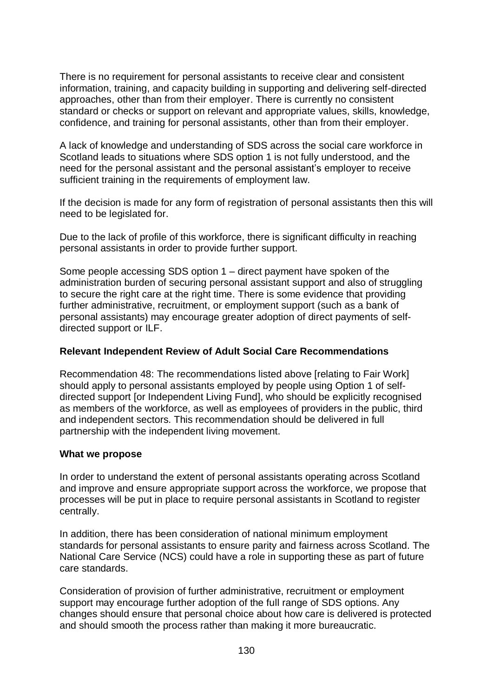There is no requirement for personal assistants to receive clear and consistent information, training, and capacity building in supporting and delivering self-directed approaches, other than from their employer. There is currently no consistent standard or checks or support on relevant and appropriate values, skills, knowledge, confidence, and training for personal assistants, other than from their employer.

A lack of knowledge and understanding of SDS across the social care workforce in Scotland leads to situations where SDS option 1 is not fully understood, and the need for the personal assistant and the personal assistant's employer to receive sufficient training in the requirements of employment law.

If the decision is made for any form of registration of personal assistants then this will need to be legislated for.

Due to the lack of profile of this workforce, there is significant difficulty in reaching personal assistants in order to provide further support.

Some people accessing SDS option 1 – direct payment have spoken of the administration burden of securing personal assistant support and also of struggling to secure the right care at the right time. There is some evidence that providing further administrative, recruitment, or employment support (such as a bank of personal assistants) may encourage greater adoption of direct payments of selfdirected support or ILF.

## **Relevant Independent Review of Adult Social Care Recommendations**

Recommendation 48: The recommendations listed above [relating to Fair Work] should apply to personal assistants employed by people using Option 1 of selfdirected support [or Independent Living Fund], who should be explicitly recognised as members of the workforce, as well as employees of providers in the public, third and independent sectors. This recommendation should be delivered in full partnership with the independent living movement.

#### **What we propose**

In order to understand the extent of personal assistants operating across Scotland and improve and ensure appropriate support across the workforce, we propose that processes will be put in place to require personal assistants in Scotland to register centrally.

In addition, there has been consideration of national minimum employment standards for personal assistants to ensure parity and fairness across Scotland. The National Care Service (NCS) could have a role in supporting these as part of future care standards.

Consideration of provision of further administrative, recruitment or employment support may encourage further adoption of the full range of SDS options. Any changes should ensure that personal choice about how care is delivered is protected and should smooth the process rather than making it more bureaucratic.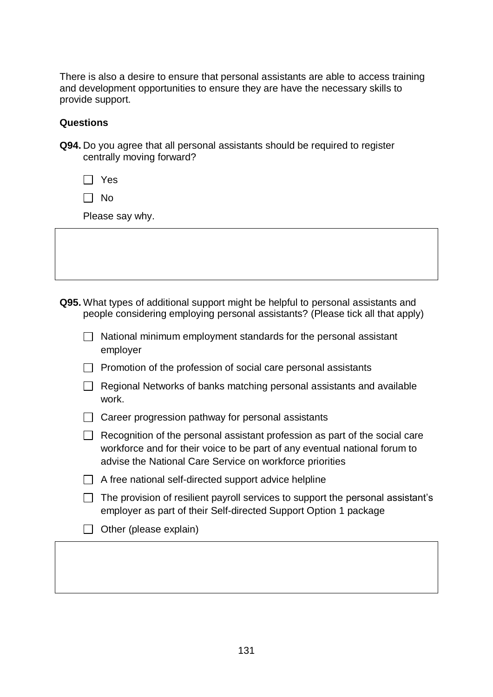There is also a desire to ensure that personal assistants are able to access training and development opportunities to ensure they are have the necessary skills to provide support.

## **Questions**

| <b>Q94.</b> Do you agree that all personal assistants should be required to register |  |  |
|--------------------------------------------------------------------------------------|--|--|
| centrally moving forward?                                                            |  |  |

Yes

 $\Box$  No

Please say why.

**Q95.** What types of additional support might be helpful to personal assistants and people considering employing personal assistants? (Please tick all that apply)

| $\Box$ National minimum employment standards for the personal assistant |
|-------------------------------------------------------------------------|
| employer                                                                |

 $\Box$  Promotion of the profession of social care personal assistants

| $\Box$ Regional Networks of banks matching personal assistants and available |  |
|------------------------------------------------------------------------------|--|
| work.                                                                        |  |

|  | $\Box$ Career progression pathway for personal assistants |  |  |
|--|-----------------------------------------------------------|--|--|
|  |                                                           |  |  |

 $\Box$  Recognition of the personal assistant profession as part of the social care workforce and for their voice to be part of any eventual national forum to advise the National Care Service on workforce priorities

| $\Box$ The provision of resilient payroll services to support the personal assistant's |
|----------------------------------------------------------------------------------------|
| employer as part of their Self-directed Support Option 1 package                       |

 $\Box$  Other (please explain)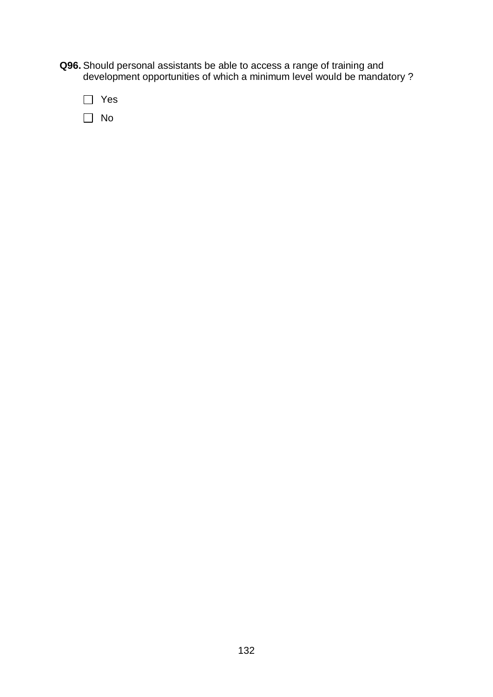- **Q96.** Should personal assistants be able to access a range of training and development opportunities of which a minimum level would be mandatory ?
	- Yes  $\Box$  No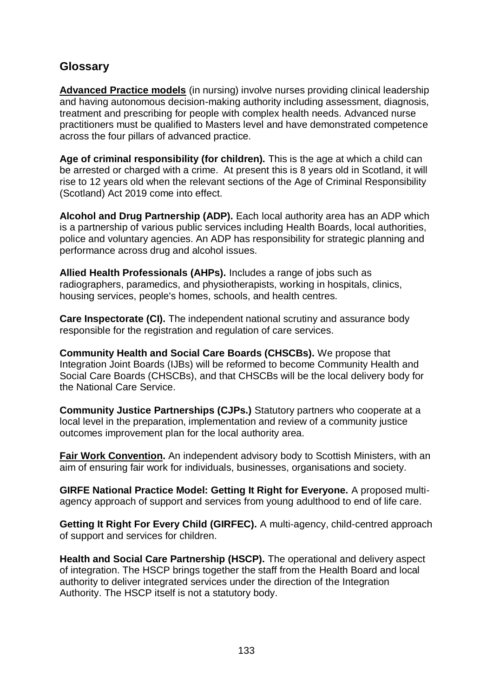# **Glossary**

**[Advanced Practice models](https://www.gov.scot/publications/transforming-nursing-midwifery-health-professions-roles-advance-nursing-practice/pages/1/)** (in nursing) involve nurses providing clinical leadership and having autonomous decision-making authority including assessment, diagnosis, treatment and prescribing for people with complex health needs. Advanced nurse practitioners must be qualified to Masters level and have demonstrated competence across the four pillars of advanced practice.

**Age of criminal responsibility (for children).** This is the age at which a child can be arrested or charged with a crime. At present this is 8 years old in Scotland, it will rise to 12 years old when the relevant sections of the Age of Criminal Responsibility (Scotland) Act 2019 come into effect.

**Alcohol and Drug Partnership (ADP).** Each local authority area has an ADP which is a partnership of various public services including Health Boards, local authorities, police and voluntary agencies. An ADP has responsibility for strategic planning and performance across drug and alcohol issues.

**Allied Health Professionals (AHPs).** Includes a range of jobs such as radiographers, paramedics, and physiotherapists, working in hospitals, clinics, housing services, people's homes, schools, and health centres.

**Care Inspectorate (CI).** The independent national scrutiny and assurance body responsible for the registration and regulation of care services.

**Community Health and Social Care Boards (CHSCBs).** We propose that Integration Joint Boards (IJBs) will be reformed to become Community Health and Social Care Boards (CHSCBs), and that CHSCBs will be the local delivery body for the National Care Service.

**Community Justice Partnerships (CJPs.)** Statutory partners who cooperate at a local level in the preparation, implementation and review of a community justice outcomes improvement plan for the local authority area.

**[Fair Work Convention.](https://www.fairworkconvention.scot/)** An independent advisory body to Scottish Ministers, with an aim of ensuring fair work for individuals, businesses, organisations and society.

**GIRFE National Practice Model: Getting It Right for Everyone.** A proposed multiagency approach of support and services from young adulthood to end of life care.

**Getting It Right For Every Child (GIRFEC).** A multi-agency, child-centred approach of support and services for children.

**Health and Social Care Partnership (HSCP).** The operational and delivery aspect of integration. The HSCP brings together the staff from the Health Board and local authority to deliver integrated services under the direction of the Integration Authority. The HSCP itself is not a statutory body.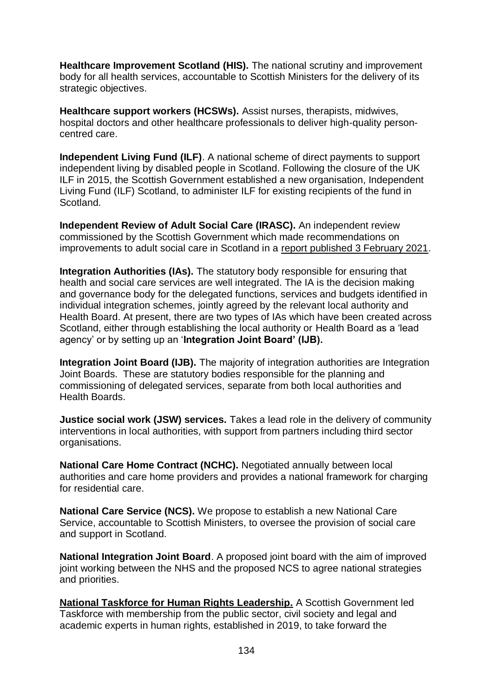**Healthcare Improvement Scotland (HIS).** The national scrutiny and improvement body for all health services, accountable to Scottish Ministers for the delivery of its strategic objectives.

**Healthcare support workers (HCSWs).** Assist nurses, therapists, midwives, hospital doctors and other healthcare professionals to deliver high-quality personcentred care.

**Independent Living Fund (ILF)**. A national scheme of direct payments to support independent living by disabled people in Scotland. Following the closure of the UK ILF in 2015, the Scottish Government established a new organisation, Independent Living Fund (ILF) Scotland, to administer ILF for existing recipients of the fund in Scotland.

**Independent Review of Adult Social Care (IRASC).** An independent review commissioned by the Scottish Government which made recommendations on improvements to adult social care in Scotland in a [report published 3 February 2021.](https://www.gov.scot/groups/independent-review-of-adult-social-care/)

**Integration Authorities (IAs).** The statutory body responsible for ensuring that health and social care services are well integrated. The IA is the decision making and governance body for the delegated functions, services and budgets identified in individual integration schemes, jointly agreed by the relevant local authority and Health Board. At present, there are two types of IAs which have been created across Scotland, either through establishing the local authority or Health Board as a 'lead agency' or by setting up an '**Integration Joint Board' (IJB).**

**Integration Joint Board (IJB).** The majority of integration authorities are Integration Joint Boards. These are statutory bodies responsible for the planning and commissioning of delegated services, separate from both local authorities and Health Boards.

**Justice social work (JSW) services.** Takes a lead role in the delivery of community interventions in local authorities, with support from partners including third sector organisations.

**National Care Home Contract (NCHC).** Negotiated annually between local authorities and care home providers and provides a national framework for charging for residential care.

**National Care Service (NCS).** We propose to establish a new National Care Service, accountable to Scottish Ministers, to oversee the provision of social care and support in Scotland.

**National Integration Joint Board**. A proposed joint board with the aim of improved joint working between the NHS and the proposed NCS to agree national strategies and priorities.

**[National Taskforce for Human Rights Leadership.](https://www.gov.scot/groups/national-taskforce-for-human-rights-leadership/)** A Scottish Government led Taskforce with membership from the public sector, civil society and legal and academic experts in human rights, established in 2019, to take forward the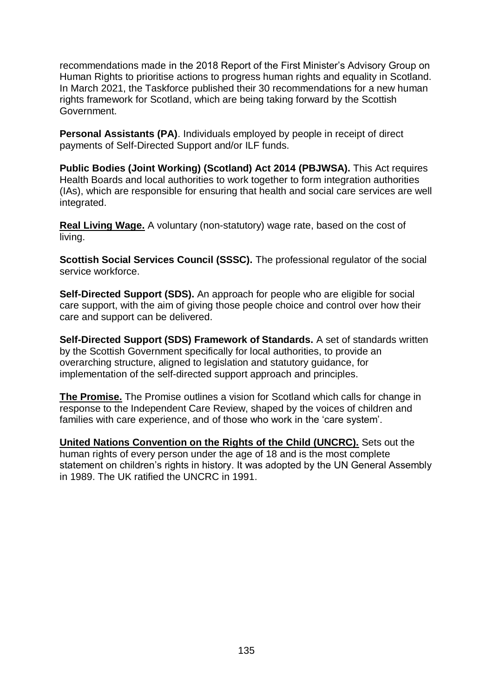recommendations made in the 2018 Report of the First Minister's Advisory Group on Human Rights to prioritise actions to progress human rights and equality in Scotland. In March 2021, the Taskforce published their 30 recommendations for a new human rights framework for Scotland, which are being taking forward by the Scottish Government.

**Personal Assistants (PA)**. Individuals employed by people in receipt of direct payments of Self-Directed Support and/or ILF funds.

**Public Bodies (Joint Working) (Scotland) Act 2014 (PBJWSA).** This Act requires Health Boards and local authorities to work together to form integration authorities (IAs), which are responsible for ensuring that health and social care services are well integrated.

**[Real Living Wage.](https://scottishlivingwage.org/what-is-the-real-living-wage/)** A voluntary (non-statutory) wage rate, based on the cost of living.

**Scottish Social Services Council (SSSC).** The professional regulator of the social service workforce.

**Self-Directed Support (SDS).** An approach for people who are eligible for social care support, with the aim of giving those people choice and control over how their care and support can be delivered.

**Self-Directed Support (SDS) Framework of Standards.** A set of standards written by the Scottish Government specifically for local authorities, to provide an overarching structure, aligned to legislation and statutory guidance, for implementation of the self-directed support approach and principles.

**[The Promise.](https://thepromise.scot/)** The Promise outlines a vision for Scotland which calls for change in response to the Independent Care Review, shaped by the voices of children and families with care experience, and of those who work in the 'care system'.

**[United Nations Convention on the Rights of the Child \(UNCRC\).](https://downloads.unicef.org.uk/wp-content/uploads/2016/08/unicef-convention-rights-child-uncrc.pdf?_adal_sd=www.unicef.org.uk.1627555088153&_adal_ca=so%3DGoogle%26me%3Dorganic%26ca%3D(not%2520set)%26co%3D(not%2520set)%26ke%3D(not%2520set).1627555088153&_adal_cw=1627478452977.1627555088153&_adal_id=c3a85a34-24a5-4671-8d9f-27c4b691e34a.1627478453.3.1627555071.1627478468.f7ac21d5-6422-4aab-820d-ebed56244515.1627555088153&_ga=2.235292674.200681435.1627478452-492905740.1627478452)** Sets out the human rights of every person under the age of 18 and is the most complete statement on children's rights in history. It was adopted by the UN General Assembly in 1989. The UK ratified the UNCRC in 1991.